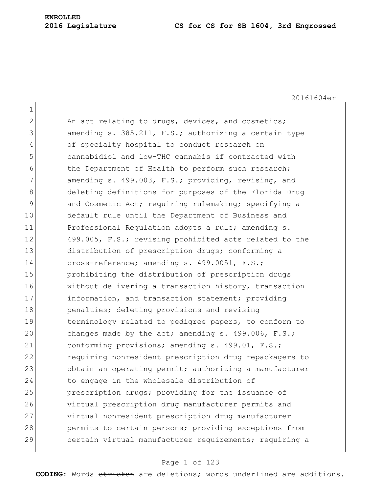20161604er

| $\overline{2}$ | An act relating to drugs, devices, and cosmetics;      |
|----------------|--------------------------------------------------------|
| 3              | amending s. 385.211, F.S.; authorizing a certain type  |
| 4              | of specialty hospital to conduct research on           |
| 5              | cannabidiol and low-THC cannabis if contracted with    |
| 6              | the Department of Health to perform such research;     |
| 7              | amending s. 499.003, F.S.; providing, revising, and    |
| 8              | deleting definitions for purposes of the Florida Drug  |
| $\mathsf{S}$   | and Cosmetic Act; requiring rulemaking; specifying a   |
| 10             | default rule until the Department of Business and      |
| 11             | Professional Regulation adopts a rule; amending s.     |
| 12             | 499.005, F.S.; revising prohibited acts related to the |
| 13             | distribution of prescription drugs; conforming a       |
| 14             | cross-reference; amending s. 499.0051, F.S.;           |
| 15             | prohibiting the distribution of prescription drugs     |
| 16             | without delivering a transaction history, transaction  |
| 17             | information, and transaction statement; providing      |
| 18             | penalties; deleting provisions and revising            |
| 19             | terminology related to pedigree papers, to conform to  |
| 20             | changes made by the act; amending s. $499.006$ , F.S.; |
| 21             | conforming provisions; amending s. 499.01, F.S.;       |
| 22             | requiring nonresident prescription drug repackagers to |
| 23             | obtain an operating permit; authorizing a manufacturer |
| 24             | to engage in the wholesale distribution of             |
| 25             | prescription drugs; providing for the issuance of      |
| 26             | virtual prescription drug manufacturer permits and     |
| 27             | virtual nonresident prescription drug manufacturer     |
| 28             | permits to certain persons; providing exceptions from  |
| 29             | certain virtual manufacturer requirements; requiring a |
|                |                                                        |

# Page 1 of 123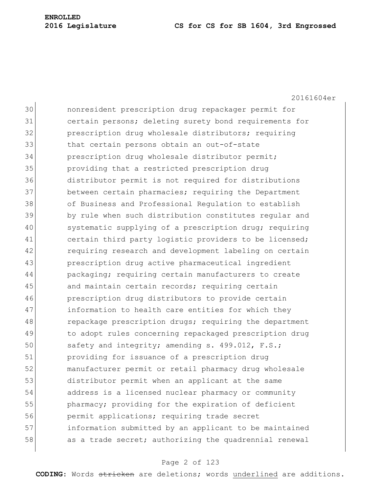20161604er 30 nonresident prescription drug repackager permit for 31 certain persons; deleting surety bond requirements for 32 **prescription drug wholesale distributors;** requiring 33 that certain persons obtain an out-of-state 34 prescription drug wholesale distributor permit; 35 providing that a restricted prescription drug 36 distributor permit is not required for distributions 37 between certain pharmacies; requiring the Department 38 of Business and Professional Regulation to establish 39 by rule when such distribution constitutes regular and 40 systematic supplying of a prescription drug; requiring 41 certain third party logistic providers to be licensed; 42 requiring research and development labeling on certain 43 prescription drug active pharmaceutical ingredient 44 **packaging;** requiring certain manufacturers to create 45 and maintain certain records; requiring certain 46 prescription drug distributors to provide certain 47 information to health care entities for which they 48 repackage prescription drugs; requiring the department 49 to adopt rules concerning repackaged prescription drug 50 safety and integrity; amending s. 499.012, F.S.; 51 providing for issuance of a prescription drug 52 manufacturer permit or retail pharmacy drug wholesale 53 distributor permit when an applicant at the same 54 address is a licensed nuclear pharmacy or community 55 pharmacy; providing for the expiration of deficient 56 permit applications; requiring trade secret 57 information submitted by an applicant to be maintained 58 as a trade secret; authorizing the quadrennial renewal

#### Page 2 of 123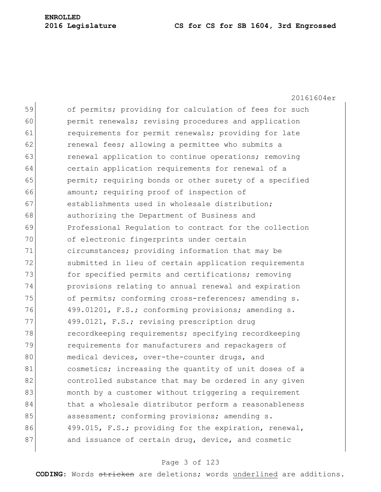20161604er 59 of permits; providing for calculation of fees for such 60 permit renewals; revising procedures and application 61 requirements for permit renewals; providing for late 62 **renewal fees; allowing a permittee who submits a** 63 **renewal application to continue operations;** removing 64 certain application requirements for renewal of a 65 **permit;** requiring bonds or other surety of a specified 66 **amount;** requiring proof of inspection of 67 establishments used in wholesale distribution; 68 authorizing the Department of Business and 69 Professional Regulation to contract for the collection 70 of electronic fingerprints under certain 71 circumstances; providing information that may be 72 Submitted in lieu of certain application requirements 73 **for specified permits and certifications; removing** 74 provisions relating to annual renewal and expiration 75 of permits; conforming cross-references; amending s. 76 499.01201, F.S.; conforming provisions; amending s. 77 499.0121, F.S.; revising prescription drug 78 recordkeeping requirements; specifying recordkeeping 79 **requirements for manufacturers and repackagers of** 80 medical devices, over-the-counter drugs, and 81 cosmetics; increasing the quantity of unit doses of a 82 controlled substance that may be ordered in any given 83 month by a customer without triggering a requirement 84 that a wholesale distributor perform a reasonableness 85 assessment; conforming provisions; amending s. 86 499.015, F.S.; providing for the expiration, renewal, 87 and issuance of certain drug, device, and cosmetic

# Page 3 of 123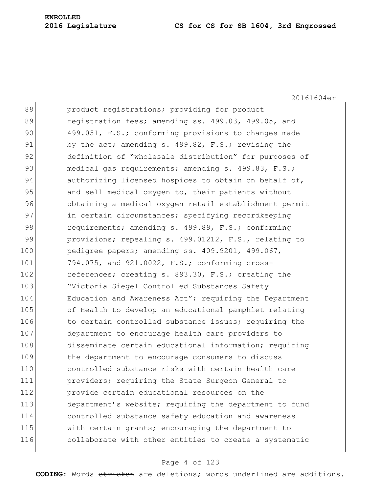20161604er

| 88  | product registrations; providing for product           |
|-----|--------------------------------------------------------|
| 89  | registration fees; amending ss. 499.03, 499.05, and    |
| 90  | 499.051, F.S.; conforming provisions to changes made   |
| 91  | by the act; amending s. 499.82, F.S.; revising the     |
| 92  | definition of "wholesale distribution" for purposes of |
| 93  | medical gas requirements; amending s. 499.83, F.S.;    |
| 94  | authorizing licensed hospices to obtain on behalf of,  |
| 95  | and sell medical oxygen to, their patients without     |
| 96  | obtaining a medical oxygen retail establishment permit |
| 97  | in certain circumstances; specifying recordkeeping     |
| 98  | requirements; amending s. 499.89, F.S.; conforming     |
| 99  | provisions; repealing s. 499.01212, F.S., relating to  |
| 100 | pedigree papers; amending ss. 409.9201, 499.067,       |
| 101 | 794.075, and 921.0022, F.S.; conforming cross-         |
| 102 | references; creating s. 893.30, F.S.; creating the     |
| 103 | "Victoria Siegel Controlled Substances Safety          |
| 104 | Education and Awareness Act"; requiring the Department |
| 105 | of Health to develop an educational pamphlet relating  |
| 106 | to certain controlled substance issues; requiring the  |
| 107 | department to encourage health care providers to       |
| 108 | disseminate certain educational information; requiring |
| 109 | the department to encourage consumers to discuss       |
| 110 | controlled substance risks with certain health care    |
| 111 | providers; requiring the State Surgeon General to      |
| 112 | provide certain educational resources on the           |
| 113 | department's website; requiring the department to fund |
| 114 | controlled substance safety education and awareness    |
| 115 | with certain grants; encouraging the department to     |
| 116 | collaborate with other entities to create a systematic |
|     |                                                        |

# Page 4 of 123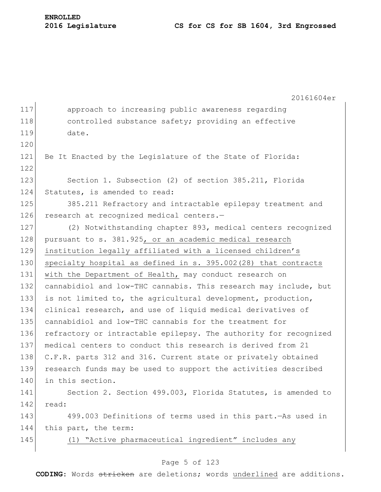20161604er

| 117 | approach to increasing public awareness regarding                |
|-----|------------------------------------------------------------------|
| 118 | controlled substance safety; providing an effective              |
| 119 | date.                                                            |
| 120 |                                                                  |
| 121 | Be It Enacted by the Legislature of the State of Florida:        |
| 122 |                                                                  |
| 123 | Section 1. Subsection (2) of section 385.211, Florida            |
| 124 | Statutes, is amended to read:                                    |
| 125 | 385.211 Refractory and intractable epilepsy treatment and        |
| 126 | research at recognized medical centers.-                         |
| 127 | (2) Notwithstanding chapter 893, medical centers recognized      |
| 128 | pursuant to s. 381.925, or an academic medical research          |
| 129 | institution legally affiliated with a licensed children's        |
| 130 | specialty hospital as defined in s. 395.002(28) that contracts   |
| 131 | with the Department of Health, may conduct research on           |
| 132 | cannabidiol and low-THC cannabis. This research may include, but |
| 133 | is not limited to, the agricultural development, production,     |
| 134 | clinical research, and use of liquid medical derivatives of      |
| 135 | cannabidiol and low-THC cannabis for the treatment for           |
| 136 | refractory or intractable epilepsy. The authority for recognized |
| 137 | medical centers to conduct this research is derived from 21      |
| 138 | C.F.R. parts 312 and 316. Current state or privately obtained    |
| 139 | research funds may be used to support the activities described   |
| 140 | in this section.                                                 |
| 141 | Section 2. Section 499.003, Florida Statutes, is amended to      |
| 142 | read:                                                            |
| 143 | 499.003 Definitions of terms used in this part. As used in       |
| 144 | this part, the term:                                             |
| 145 | (1) "Active pharmaceutical ingredient" includes any              |
|     |                                                                  |

# Page 5 of 123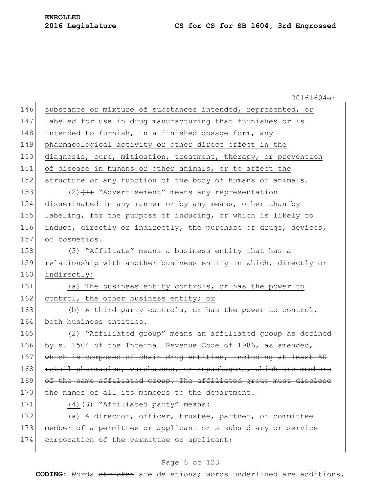|     | 20161604er                                                       |
|-----|------------------------------------------------------------------|
| 146 | substance or mixture of substances intended, represented, or     |
| 147 | labeled for use in drug manufacturing that furnishes or is       |
| 148 | intended to furnish, in a finished dosage form, any              |
| 149 | pharmacological activity or other direct effect in the           |
| 150 | diagnosis, cure, mitigation, treatment, therapy, or prevention   |
| 151 | of disease in humans or other animals, or to affect the          |
| 152 | structure or any function of the body of humans or animals.      |
| 153 | $(2)$ $(1)$ "Advertisement" means any representation             |
| 154 | disseminated in any manner or by any means, other than by        |
| 155 | labeling, for the purpose of inducing, or which is likely to     |
| 156 | induce, directly or indirectly, the purchase of drugs, devices,  |
| 157 | or cosmetics.                                                    |
| 158 | (3) "Affiliate" means a business entity that has a               |
| 159 | relationship with another business entity in which, directly or  |
| 160 | indirectly:                                                      |
| 161 | (a) The business entity controls, or has the power to            |
| 162 | control, the other business entity; or                           |
| 163 | (b) A third party controls, or has the power to control,         |
| 164 | both business entities.                                          |
| 165 | (2) "Affiliated group" means an affiliated group as defined      |
| 166 | by s. 1504 of the Internal Revenue Code of 1986, as amended,     |
| 167 | which is composed of chain drug entities, including at least 50  |
| 168 | retail pharmacies, warehouses, or repackagers, which are members |
| 169 | of the same affiliated group. The affiliated group must disclose |
| 170 | the names of all its members to the department.                  |
| 171 | $(4)$ $(3)$ "Affiliated party" means:                            |
| 172 | (a) A director, officer, trustee, partner, or committee          |
| 173 | member of a permittee or applicant or a subsidiary or service    |
| 174 | corporation of the permittee or applicant;                       |
|     |                                                                  |

# Page 6 of 123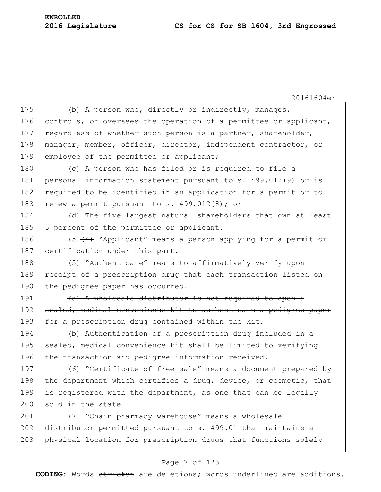**ENROLLED**

20161604er 175 (b) A person who, directly or indirectly, manages, 176 controls, or oversees the operation of a permittee or applicant, 177 regardless of whether such person is a partner, shareholder, 178 manager, member, officer, director, independent contractor, or 179 employee of the permittee or applicant; 180 (c) A person who has filed or is required to file a 181 personal information statement pursuant to s. 499.012(9) or is 182 required to be identified in an application for a permit or to 183 renew a permit pursuant to s.  $499.012(8)$ ; or 184 (d) The five largest natural shareholders that own at least 185 5 percent of the permittee or applicant. 186  $(5)$   $(4)$  "Applicant" means a person applying for a permit or 187 certification under this part. 188 (5) "Authenticate" means to affirmatively verify upon 189 receipt of a prescription drug that each transaction listed on 190 the pedigree paper has occurred.  $191$  (a) A wholesale distributor is not required to open a 192 sealed, medical convenience kit to authenticate a pedigree paper 193 for a prescription drug contained within the kit. 194 (b) Authentication of a prescription drug included in a 195 sealed, medical convenience kit shall be limited to verifying 196 the transaction and pedigree information received. 197 (6) "Certificate of free sale" means a document prepared by 198 the department which certifies a drug, device, or cosmetic, that 199 is registered with the department, as one that can be legally 200 sold in the state. 201 (7) "Chain pharmacy warehouse" means a wholesale 202 distributor permitted pursuant to s. 499.01 that maintains a 203 physical location for prescription drugs that functions solely

# Page 7 of 123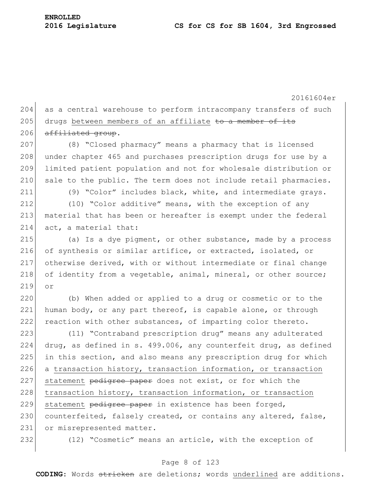20161604er 204 as a central warehouse to perform intracompany transfers of such 205 drugs between members of an affiliate to a member of its  $206$  affiliated group. 207 (8) "Closed pharmacy" means a pharmacy that is licensed 208 under chapter 465 and purchases prescription drugs for use by a 209 limited patient population and not for wholesale distribution or 210 sale to the public. The term does not include retail pharmacies. 211 (9) "Color" includes black, white, and intermediate grays. 212 (10) "Color additive" means, with the exception of any 213 material that has been or hereafter is exempt under the federal 214 act, a material that: 215 (a) Is a dye pigment, or other substance, made by a process 216 of synthesis or similar artifice, or extracted, isolated, or 217 otherwise derived, with or without intermediate or final change 218 of identity from a vegetable, animal, mineral, or other source; 219 or 220 (b) When added or applied to a drug or cosmetic or to the 221 human body, or any part thereof, is capable alone, or through 222 reaction with other substances, of imparting color thereto. 223 (11) "Contraband prescription drug" means any adulterated 224 drug, as defined in s. 499.006, any counterfeit drug, as defined 225 in this section, and also means any prescription drug for which 226 a transaction history, transaction information, or transaction 227 statement pedigree paper does not exist, or for which the 228 transaction history, transaction information, or transaction 229 statement pedigree paper in existence has been forged, 230 counterfeited, falsely created, or contains any altered, false, 231 or misrepresented matter. 232 (12) "Cosmetic" means an article, with the exception of

### Page 8 of 123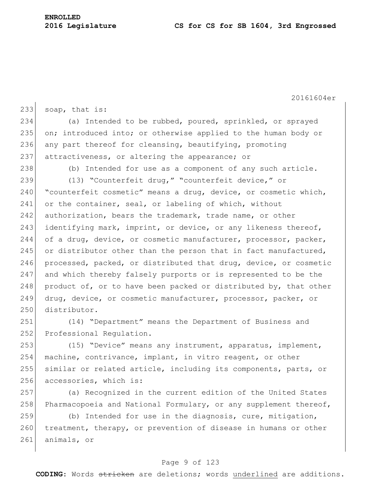20161604er 233 soap, that is: 234 (a) Intended to be rubbed, poured, sprinkled, or sprayed 235 on; introduced into; or otherwise applied to the human body or 236 any part thereof for cleansing, beautifying, promoting 237 attractiveness, or altering the appearance; or 238 (b) Intended for use as a component of any such article. 239 (13) "Counterfeit drug," "counterfeit device," or 240 | "counterfeit cosmetic" means a drug, device, or cosmetic which, 241 or the container, seal, or labeling of which, without 242 authorization, bears the trademark, trade name, or other 243 identifying mark, imprint, or device, or any likeness thereof, 244 of a drug, device, or cosmetic manufacturer, processor, packer, 245 or distributor other than the person that in fact manufactured, 246 processed, packed, or distributed that drug, device, or cosmetic 247 and which thereby falsely purports or is represented to be the 248 product of, or to have been packed or distributed by, that other 249 drug, device, or cosmetic manufacturer, processor, packer, or 250 distributor. 251 (14) "Department" means the Department of Business and

252 Professional Requiation. 253 (15) "Device" means any instrument, apparatus, implement, 254 machine, contrivance, implant, in vitro reagent, or other 255 similar or related article, including its components, parts, or

- 256 accessories, which is:
- 257 (a) Recognized in the current edition of the United States 258 Pharmacopoeia and National Formulary, or any supplement thereof,

259 (b) Intended for use in the diagnosis, cure, mitigation, 260 treatment, therapy, or prevention of disease in humans or other 261 animals, or

#### Page 9 of 123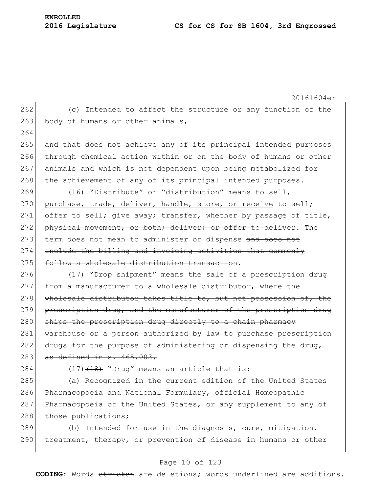20161604er 262 (c) Intended to affect the structure or any function of the 263 body of humans or other animals, 264 265 and that does not achieve any of its principal intended purposes 266 through chemical action within or on the body of humans or other 267 animals and which is not dependent upon being metabolized for 268 the achievement of any of its principal intended purposes. 269 (16) "Distribute" or "distribution" means to sell, 270 purchase, trade, deliver, handle, store, or receive to sell; 271 offer to sell; give away; transfer, whether by passage of title, 272 physical movement, or both; deliver; or offer to deliver. The 273 term does not mean to administer or dispense and does not 274 include the billing and invoicing activities that commonly 275 follow a wholesale distribution transaction.  $276$  (17) "Drop shipment" means the sale of a prescription drug 277 from a manufacturer to a wholesale distributor, where the 278 wholesale distributor takes title to, but not possession of, the 279 prescription drug, and the manufacturer of the prescription drug 280 ships the prescription drug directly to a chain pharmacy 281 warehouse or a person authorized by law to purchase prescription 282 drugs for the purpose of administering or dispensing the drug,  $283$  as defined in s.  $465.003$ . 284  $(17)$   $(18)$  "Drug" means an article that is: 285 (a) Recognized in the current edition of the United States 286 Pharmacopoeia and National Formulary, official Homeopathic 287 Pharmacopoeia of the United States, or any supplement to any of 288 those publications; 289  $\vert$  (b) Intended for use in the diagnosis, cure, mitigation, 290 treatment, therapy, or prevention of disease in humans or other

### Page 10 of 123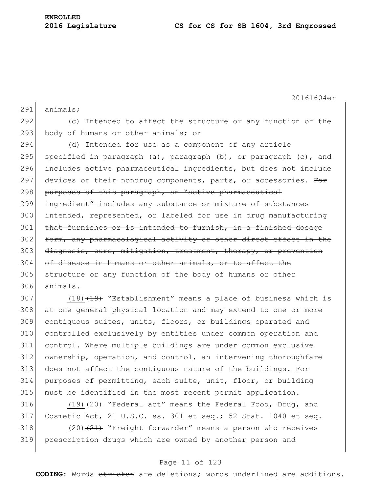20161604er 291 animals; 292 (c) Intended to affect the structure or any function of the 293 body of humans or other animals; or 294 (d) Intended for use as a component of any article 295 specified in paragraph (a), paragraph  $(b)$ , or paragraph  $(c)$ , and 296 includes active pharmaceutical ingredients, but does not include 297 devices or their nondrug components, parts, or accessories. For 298 purposes of this paragraph, an "active pharmaceutical 299 ingredient" includes any substance or mixture of substances 300 intended, represented, or labeled for use in drug manufacturing 301 that furnishes or is intended to furnish, in a finished dosage 302 form, any pharmacological activity or other direct effect in the 303 diagnosis, cure, mitigation, treatment, therapy, or prevention 304 of disease in humans or other animals, or to affect the 305 structure or any function of the body of humans or other  $306$  animals. 307 (18) $(19)$  "Establishment" means a place of business which is

 at one general physical location and may extend to one or more contiguous suites, units, floors, or buildings operated and controlled exclusively by entities under common operation and control. Where multiple buildings are under common exclusive ownership, operation, and control, an intervening thoroughfare does not affect the contiguous nature of the buildings. For purposes of permitting, each suite, unit, floor, or building must be identified in the most recent permit application.

 $(19)$   $(20)$  "Federal act" means the Federal Food, Drug, and Cosmetic Act, 21 U.S.C. ss. 301 et seq.; 52 Stat. 1040 et seq.  $(20)$   $(21)$  "Freight forwarder" means a person who receives prescription drugs which are owned by another person and

# Page 11 of 123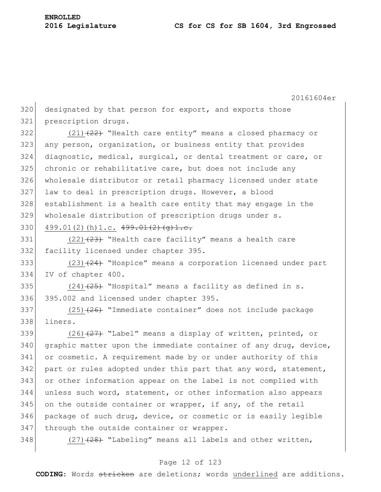20161604er 320 designated by that person for export, and exports those 321 prescription drugs. 322  $(21)$   $(22)$  "Health care entity" means a closed pharmacy or 323 any person, organization, or business entity that provides 324 diagnostic, medical, surgical, or dental treatment or care, or  $325$  chronic or rehabilitative care, but does not include any 326 wholesale distributor or retail pharmacy licensed under state 327 law to deal in prescription drugs. However, a blood 328 establishment is a health care entity that may engage in the 329 wholesale distribution of prescription drugs under s. 330 499.01(2)(h) 1.c.  $499.01(2)(q)1.e.$ 331  $(22)$   $(23)$  "Health care facility" means a health care 332 facility licensed under chapter 395. 333  $(23)$   $(24)$  "Hospice" means a corporation licensed under part 334 IV of chapter 400. 335 (24) $(24)$   $(25)$  "Hospital" means a facility as defined in s. 336 395.002 and licensed under chapter 395. 337 (25)<del>(26)</del> "Immediate container" does not include package 338 liners. 339 (26) $(26)$  "Label" means a display of written, printed, or  $340$  graphic matter upon the immediate container of any drug, device, 341 or cosmetic. A requirement made by or under authority of this 342 part or rules adopted under this part that any word, statement, 343 or other information appear on the label is not complied with 344 unless such word, statement, or other information also appears  $345$  on the outside container or wrapper, if any, of the retail 346 package of such drug, device, or cosmetic or is easily legible 347 through the outside container or wrapper. 348  $(27)$   $(28)$  "Labeling" means all labels and other written,

# Page 12 of 123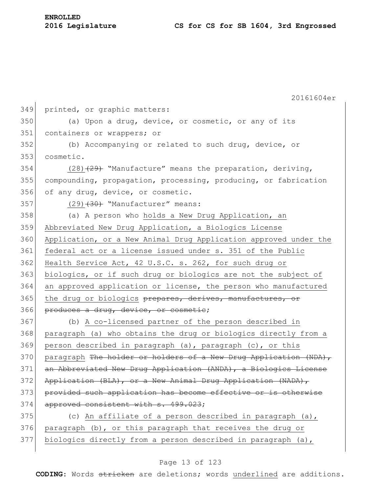| <b>ENROLLED</b> |                  |
|-----------------|------------------|
|                 | 2016 Legislature |

20161604er 349 printed, or graphic matters: 350 (a) Upon a drug, device, or cosmetic, or any of its 351 containers or wrappers; or 352 (b) Accompanying or related to such drug, device, or 353 cosmetic. 354 (28) $(28)$  "Manufacture" means the preparation, deriving, 355 compounding, propagation, processing, producing, or fabrication 356 of any drug, device, or cosmetic.  $357$  (29)<del>(30)</del> "Manufacturer" means: 358 (a) A person who holds a New Drug Application, an 359 Abbreviated New Drug Application, a Biologics License 360 Application, or a New Animal Drug Application approved under the 361 federal act or a license issued under s. 351 of the Public 362 Health Service Act, 42 U.S.C. s. 262, for such drug or 363 biologics, or if such drug or biologics are not the subject of 364 an approved application or license, the person who manufactured 365 | the drug or biologics prepares, derives, manufactures, or 366 produces a drug, device, or cosmetic; 367 (b) A co-licensed partner of the person described in 368 paragraph (a) who obtains the drug or biologics directly from a 369 person described in paragraph (a), paragraph (c), or this 370 paragraph The holder or holders of a New Drug Application (NDA), 371 an Abbreviated New Drug Application (ANDA), a Biologics License 372 Application (BLA), or a New Animal Drug Application (NADA), 373 provided such application has become effective or is otherwise 374 approved consistent with s. 499.023; 375 (c) An affiliate of a person described in paragraph  $(a)$ , 376 paragraph (b), or this paragraph that receives the drug or 377 biologics directly from a person described in paragraph (a),

# Page 13 of 123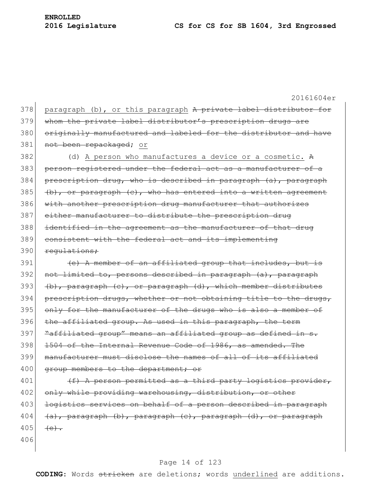20161604er 378 paragraph (b), or this paragraph A private label distributor for 379 whom the private label distributor's prescription drugs are 380 originally manufactured and labeled for the distributor and have 381 not been repackaged; or  $382$  (d) A person who manufactures a device or a cosmetic. A 383 person registered under the federal act as a manufacturer of a 384 prescription drug, who is described in paragraph  $(a)$ , paragraph 385 (b), or paragraph  $(e)$ , who has entered into a written agreement 386 with another prescription drug manufacturer that authorizes 387 either manufacturer to distribute the prescription drug 388 identified in the agreement as the manufacturer of that drug 389 consistent with the federal act and its implementing 390 regulations;  $391$  (e) A member of an affiliated group that includes, but is 392 not limited to, persons described in paragraph (a), paragraph 393 (b), paragraph (c), or paragraph (d), which member distributes 394 prescription drugs, whether or not obtaining title to the drugs, 395 only for the manufacturer of the drugs who is also a member of 396 the affiliated group. As used in this paragraph, the term 397 Taffiliated group" means an affiliated group as defined in s. 398 1504 of the Internal Revenue Code of 1986, as amended. The 399 manufacturer must disclose the names of all of its affiliated 400 group members to the department; or 401  $(f)$  A person permitted as a third party logistics provider, 402 only while providing warehousing, distribution, or other 403 logistics services on behalf of a person described in paragraph 404  $(a)$ , paragraph (b), paragraph (c), paragraph (d), or paragraph 405  $(e)$ . 406

#### Page 14 of 123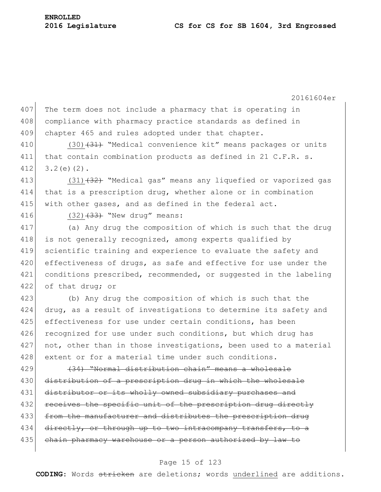20161604er 407 The term does not include a pharmacy that is operating in 408 compliance with pharmacy practice standards as defined in 409 chapter 465 and rules adopted under that chapter. 410 (30)<del>(31)</del> "Medical convenience kit" means packages or units 411 that contain combination products as defined in 21 C.F.R. s.  $412$  3.2(e)(2). 413 (31)<del>(32)</del> "Medical gas" means any liquefied or vaporized gas 414 that is a prescription drug, whether alone or in combination 415 with other gases, and as defined in the federal act. 416 (32) $(32)$  "New drug" means: 417 (a) Any drug the composition of which is such that the drug 418 is not generally recognized, among experts qualified by 419 scientific training and experience to evaluate the safety and 420 effectiveness of drugs, as safe and effective for use under the 421 conditions prescribed, recommended, or suggested in the labeling 422 of that drug; or 423 (b) Any drug the composition of which is such that the 424 drug, as a result of investigations to determine its safety and 425 effectiveness for use under certain conditions, has been 426 recognized for use under such conditions, but which drug has 427 not, other than in those investigations, been used to a material 428 extent or for a material time under such conditions.  $429$  (34) "Normal distribution chain" means a wholesale 430 distribution of a prescription drug in which the wholesale 431 distributor or its wholly owned subsidiary purchases and 432 receives the specific unit of the prescription drug directly 433 from the manufacturer and distributes the prescription drug 434 directly, or through up to two intracompany transfers, to a 435 chain pharmacy warehouse or a person authorized by law to

# Page 15 of 123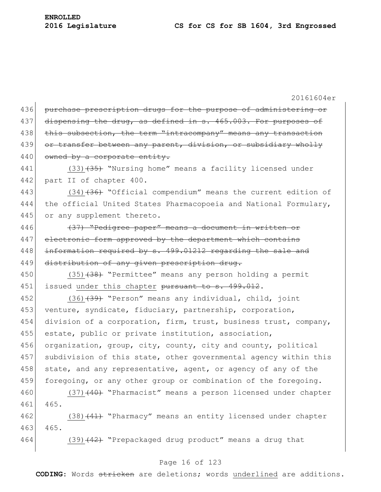|     | 20161604er                                                       |
|-----|------------------------------------------------------------------|
| 436 | purchase prescription drugs for the purpose of administering or  |
| 437 | dispensing the drug, as defined in s. 465.003. For purposes of   |
| 438 | this subsection, the term "intracompany" means any transaction   |
| 439 | or transfer between any parent, division, or subsidiary wholly   |
| 440 | owned by a corporate entity.                                     |
| 441 | $(33)$ $(35)$ "Nursing home" means a facility licensed under     |
| 442 | part II of chapter 400.                                          |
| 443 | (34) (36) "Official compendium" means the current edition of     |
| 444 | the official United States Pharmacopoeia and National Formulary, |
| 445 | or any supplement thereto.                                       |
| 446 | (37) "Pedigree paper" means a document in written or             |
| 447 | electronic form approved by the department which contains        |
| 448 | information required by s. 499.01212 regarding the sale and      |
| 449 | distribution of any given prescription drug.                     |
| 450 | (35) (38) "Permittee" means any person holding a permit          |
| 451 | issued under this chapter pursuant to s. 499.012.                |
| 452 | (36) (39) "Person" means any individual, child, joint            |
| 453 | venture, syndicate, fiduciary, partnership, corporation,         |
| 454 | division of a corporation, firm, trust, business trust, company, |
| 455 | estate, public or private institution, association,              |
| 456 | organization, group, city, county, city and county, political    |
| 457 | subdivision of this state, other governmental agency within this |
| 458 | state, and any representative, agent, or agency of any of the    |
| 459 | foregoing, or any other group or combination of the foregoing.   |
| 460 | $(37)$ $(40)$ "Pharmacist" means a person licensed under chapter |
| 461 | 465.                                                             |
| 462 | $(38)$ $(41)$ "Pharmacy" means an entity licensed under chapter  |
| 463 | 465.                                                             |
| 464 | (39) (42) "Prepackaged drug product" means a drug that           |
|     |                                                                  |

# Page 16 of 123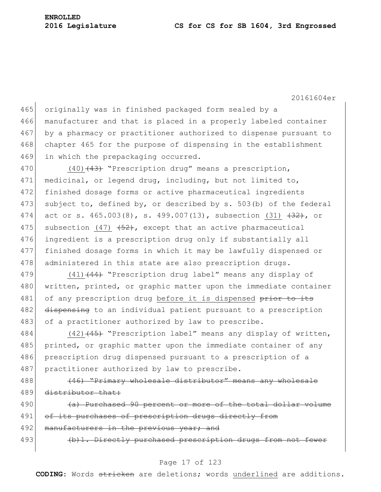20161604er

465 originally was in finished packaged form sealed by a 466 manufacturer and that is placed in a properly labeled container 467 by a pharmacy or practitioner authorized to dispense pursuant to 468 chapter 465 for the purpose of dispensing in the establishment 469 in which the prepackaging occurred.

470 (40)<del>(43)</del> "Prescription drug" means a prescription, 471 medicinal, or legend drug, including, but not limited to, 472 finished dosage forms or active pharmaceutical ingredients 473 subject to, defined by, or described by s. 503(b) of the federal 474 act or s.  $465.003(8)$ , s.  $499.007(13)$ , subsection (31)  $\{32\}$ , or 475 subsection (47)  $\left(52\right)$ , except that an active pharmaceutical 476 ingredient is a prescription drug only if substantially all 477 finished dosage forms in which it may be lawfully dispensed or 478 administered in this state are also prescription drugs.

479 (41)<del>(44)</del> "Prescription drug label" means any display of 480 written, printed, or graphic matter upon the immediate container 481 of any prescription drug before it is dispensed prior to its 482 dispensing to an individual patient pursuant to a prescription 483 of a practitioner authorized by law to prescribe.

484 (42)<del>(45)</del> "Prescription label" means any display of written, 485 printed, or graphic matter upon the immediate container of any 486 prescription drug dispensed pursuant to a prescription of a 487 practitioner authorized by law to prescribe.

488 (46) "Primary wholesale distributor" means any wholesale 489 distributor that:

490 (a) Purchased 90 percent or more of the total dollar volume 491 of its purchases of prescription drugs directly from 492 manufacturers in the previous year; and 493 (b)1. Directly purchased prescription drugs from not fewer

#### Page 17 of 123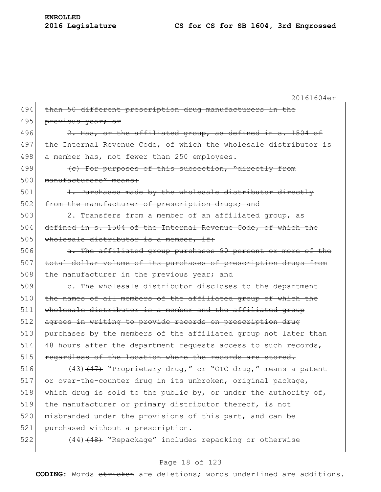20161604er 494 than 50 different prescription drug manufacturers in the 495 previous year; or 496  $\vert$  2. Has, or the affiliated group, as defined in s. 1504 of 497 the Internal Revenue Code, of which the wholesale distributor is 498 a member has, not fewer than 250 employees. 499 (4) For purposes of this subsection, "directly from 500 manufacturers" means: 501 1. Purchases made by the wholesale distributor directly 502 from the manufacturer of prescription drugs; and 503 2. Transfers from a member of an affiliated group, as 504 defined in s. 1504 of the Internal Revenue Code, of which the  $505$  wholesale distributor is a member, if: 506 **a.** The affiliated group purchases 90 percent or more of the 507 total dollar volume of its purchases of prescription drugs from 508 the manufacturer in the previous year; and 509 b. The wholesale distributor discloses to the department 510 the names of all members of the affiliated group of which the 511 wholesale distributor is a member and the affiliated group 512 agrees in writing to provide records on prescription drug 513 purchases by the members of the affiliated group not later than 514 48 hours after the department requests access to such records, 515 regardless of the location where the records are stored. 516  $(43)$   $(47)$  "Proprietary drug," or "OTC drug," means a patent 517 or over-the-counter drug in its unbroken, original package, 518 which drug is sold to the public by, or under the authority of, 519 the manufacturer or primary distributor thereof, is not 520 misbranded under the provisions of this part, and can be 521 purchased without a prescription. 522 (44) (48) "Repackage" includes repacking or otherwise

# Page 18 of 123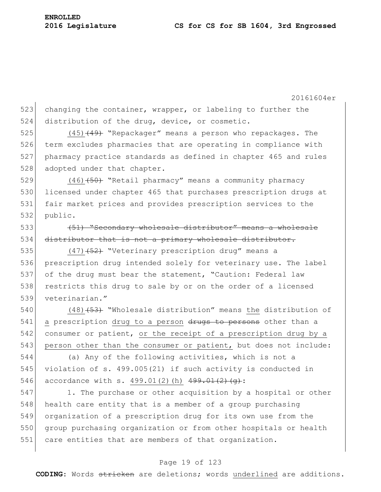20161604er 523 changing the container, wrapper, or labeling to further the 524 distribution of the drug, device, or cosmetic. 525  $(45)$   $(49)$  "Repackager" means a person who repackages. The 526 term excludes pharmacies that are operating in compliance with 527 pharmacy practice standards as defined in chapter 465 and rules 528 adopted under that chapter. 529 (46)<del>(50)</del> "Retail pharmacy" means a community pharmacy 530 licensed under chapter 465 that purchases prescription drugs at 531 fair market prices and provides prescription services to the 532 public. 533 (651) "Secondary wholesale distributor" means a wholesale 534 distributor that is not a primary wholesale distributor. 535 (47)<del>(52)</del> "Veterinary prescription drug" means a 536 prescription drug intended solely for veterinary use. The label 537 of the drug must bear the statement, "Caution: Federal law 538 restricts this drug to sale by or on the order of a licensed 539 veterinarian." 540 (48)<del>(53)</del> "Wholesale distribution" means the distribution of

541 a prescription drug to a person drugs to persons other than a  $542$  consumer or patient, or the receipt of a prescription drug by a 543 person other than the consumer or patient, but does not include:

544 (a) Any of the following activities, which is not a 545 violation of s. 499.005(21) if such activity is conducted in 546 accordance with s. 499.01(2)(h)  $499.01(2)(h)$ 

547 1. The purchase or other acquisition by a hospital or other 548 health care entity that is a member of a group purchasing 549 organization of a prescription drug for its own use from the 550 group purchasing organization or from other hospitals or health 551 care entities that are members of that organization.

### Page 19 of 123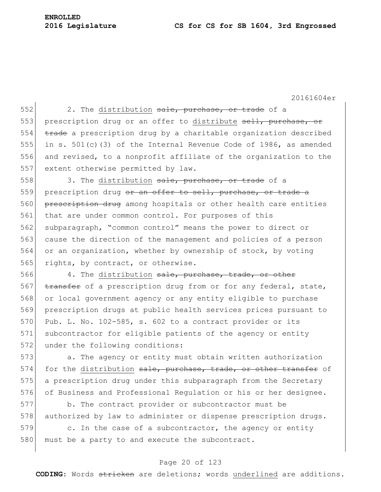**ENROLLED**

20161604er

552 2. The distribution sale, purchase, or trade of a 553 prescription drug or an offer to distribute sell, purchase, or  $554$  trade a prescription drug by a charitable organization described 555 in s. 501(c)(3) of the Internal Revenue Code of 1986, as amended 556 and revised, to a nonprofit affiliate of the organization to the 557 extent otherwise permitted by law. 558 3. The distribution sale, purchase, or trade of a 559 prescription drug or an offer to sell, purchase, or trade a 560 prescription drug among hospitals or other health care entities 561 that are under common control. For purposes of this 562 subparagraph, "common control" means the power to direct or 563 cause the direction of the management and policies of a person 564 or an organization, whether by ownership of stock, by voting 565 rights, by contract, or otherwise. 566 4. The distribution sale, purchase, trade, or other 567 transfer of a prescription drug from or for any federal, state, 568 or local government agency or any entity eligible to purchase 569 prescription drugs at public health services prices pursuant to 570 Pub. L. No.  $102-585$ , s. 602 to a contract provider or its 571 subcontractor for eligible patients of the agency or entity 572 under the following conditions: 573 a. The agency or entity must obtain written authorization 574 for the distribution sale, purchase, trade, or other transfer of 575 a prescription drug under this subparagraph from the Secretary 576 of Business and Professional Requlation or his or her designee. 577 b. The contract provider or subcontractor must be 578 authorized by law to administer or dispense prescription drugs.

579 c. In the case of a subcontractor, the agency or entity 580 must be a party to and execute the subcontract.

# Page 20 of 123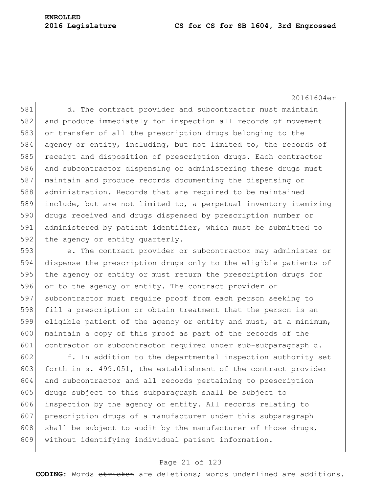20161604er

581 d. The contract provider and subcontractor must maintain 582 and produce immediately for inspection all records of movement 583 or transfer of all the prescription drugs belonging to the 584 agency or entity, including, but not limited to, the records of 585 receipt and disposition of prescription drugs. Each contractor 586 and subcontractor dispensing or administering these drugs must 587 maintain and produce records documenting the dispensing or 588 administration. Records that are required to be maintained 589 include, but are not limited to, a perpetual inventory itemizing 590 drugs received and drugs dispensed by prescription number or 591 administered by patient identifier, which must be submitted to 592 the agency or entity quarterly.

 e. The contract provider or subcontractor may administer or dispense the prescription drugs only to the eligible patients of 595 the agency or entity or must return the prescription drugs for or to the agency or entity. The contract provider or subcontractor must require proof from each person seeking to fill a prescription or obtain treatment that the person is an eligible patient of the agency or entity and must, at a minimum, 600 maintain a copy of this proof as part of the records of the 601 contractor or subcontractor required under sub-subparagraph d.

 f. In addition to the departmental inspection authority set 603 forth in s. 499.051, the establishment of the contract provider and subcontractor and all records pertaining to prescription drugs subject to this subparagraph shall be subject to 606 inspection by the agency or entity. All records relating to prescription drugs of a manufacturer under this subparagraph 608 shall be subject to audit by the manufacturer of those drugs, without identifying individual patient information.

#### Page 21 of 123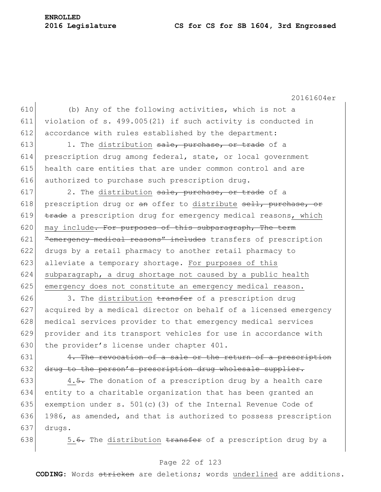**ENROLLED**

20161604er

 (b) Any of the following activities, which is not a violation of s. 499.005(21) if such activity is conducted in 612 accordance with rules established by the department: 1. The distribution sale, purchase, or trade of a

614 prescription drug among federal, state, or local government 615 health care entities that are under common control and are 616 authorized to purchase such prescription drug.

617 2. The distribution  $\frac{1}{3}$ , purchase, or trade of a 618 prescription drug or an offer to distribute sell, purchase, or 619  $\frac{1}{6}$  trade a prescription drug for emergency medical reasons, which 620 may include. For purposes of this subparagraph, The term 621 Examergency medical reasons" includes transfers of prescription 622 drugs by a retail pharmacy to another retail pharmacy to 623 alleviate a temporary shortage. For purposes of this 624 subparagraph, a drug shortage not caused by a public health 625 emergency does not constitute an emergency medical reason.

626 3. The distribution  $\frac{1}{2}$  and  $\frac{1}{2}$  are prescription drug 627 acquired by a medical director on behalf of a licensed emergency 628 medical services provider to that emergency medical services 629 provider and its transport vehicles for use in accordance with 630 the provider's license under chapter 401.

631  $\vert$  4. The revocation of a sale or the return of a prescription 632  $\frac{1}{2}$  drug to the person's prescription drug wholesale supplier.

633 4.5. The donation of a prescription drug by a health care 634 entity to a charitable organization that has been granted an 635 exemption under s. 501(c)(3) of the Internal Revenue Code of 636 1986, as amended, and that is authorized to possess prescription  $637$  drugs.

638  $\vert$  5.<del>6.</del> The distribution <del>transfer</del> of a prescription drug by a

# Page 22 of 123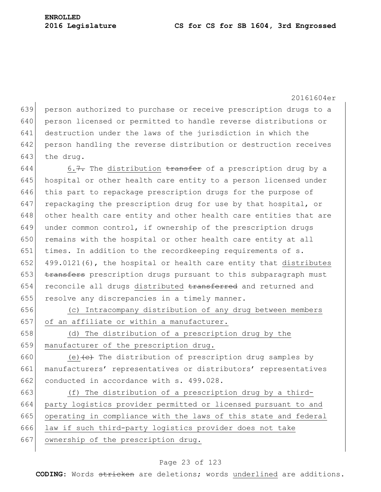20161604er

639 person authorized to purchase or receive prescription drugs to a 640 person licensed or permitted to handle reverse distributions or 641 destruction under the laws of the jurisdiction in which the 642 person handling the reverse distribution or destruction receives 643 the drug. 644 6.7. The distribution  $\frac{1}{2}$  transfer of a prescription drug by a 645 hospital or other health care entity to a person licensed under 646 this part to repackage prescription drugs for the purpose of 647 repackaging the prescription drug for use by that hospital, or 648 other health care entity and other health care entities that are 649 under common control, if ownership of the prescription drugs 650 remains with the hospital or other health care entity at all 651 times. In addition to the recordkeeping requirements of s. 652 499.0121(6), the hospital or health care entity that distributes

653 transfers prescription drugs pursuant to this subparagraph must 654 reconcile all drugs distributed transferred and returned and 655 resolve any discrepancies in a timely manner.

656 (c) Intracompany distribution of any drug between members 657 of an affiliate or within a manufacturer.

658 (d) The distribution of a prescription drug by the 659 manufacturer of the prescription drug.

660 (e)  $\left\{ \frac{e}{e} \right\}$  The distribution of prescription drug samples by 661 manufacturers' representatives or distributors' representatives 662 conducted in accordance with s. 499.028.

663  $( f )$  The distribution of a prescription drug by a third-664 party logistics provider permitted or licensed pursuant to and 665 operating in compliance with the laws of this state and federal 666 law if such third-party logistics provider does not take 667 ownership of the prescription drug.

# Page 23 of 123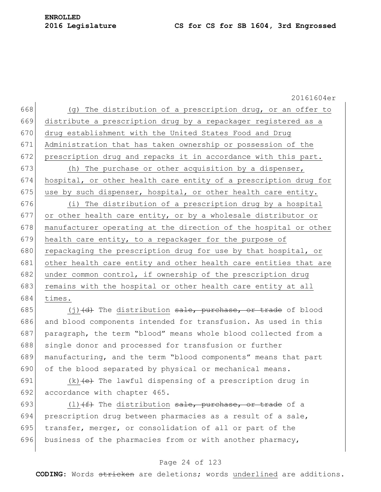20161604er 668 (g) The distribution of a prescription drug, or an offer to 669 distribute a prescription drug by a repackager registered as a 670 drug establishment with the United States Food and Drug 671 Administration that has taken ownership or possession of the 672 prescription drug and repacks it in accordance with this part. 673 (h) The purchase or other acquisition by a dispenser, 674 hospital, or other health care entity of a prescription drug for 675 use by such dispenser, hospital, or other health care entity. 676 (i) The distribution of a prescription drug by a hospital 677 or other health care entity, or by a wholesale distributor or 678 manufacturer operating at the direction of the hospital or other 679 health care entity, to a repackager for the purpose of 680 repackaging the prescription drug for use by that hospital, or 681 other health care entity and other health care entities that are 682 under common control, if ownership of the prescription drug 683 remains with the hospital or other health care entity at all 684 times.

685 (j)  $(d)$  The distribution sale, purchase, or trade of blood 686 and blood components intended for transfusion. As used in this 687 paragraph, the term "blood" means whole blood collected from a 688 single donor and processed for transfusion or further 689 manufacturing, and the term "blood components" means that part 690 of the blood separated by physical or mechanical means.

691  $(k)$   $\left(\mathrm{e}\right)$  The lawful dispensing of a prescription drug in 692 accordance with chapter 465.

693 (1)  $(f)$  The distribution sale, purchase, or trade of a 694 prescription drug between pharmacies as a result of a sale, 695 transfer, merger, or consolidation of all or part of the 696 business of the pharmacies from or with another pharmacy,

# Page 24 of 123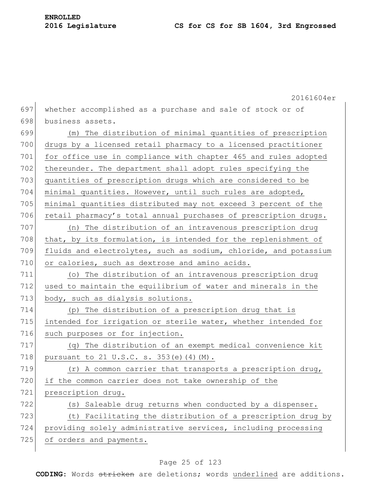|     | 20161604er                                                       |
|-----|------------------------------------------------------------------|
| 697 | whether accomplished as a purchase and sale of stock or of       |
| 698 | business assets.                                                 |
| 699 | (m) The distribution of minimal quantities of prescription       |
| 700 | drugs by a licensed retail pharmacy to a licensed practitioner   |
| 701 | for office use in compliance with chapter 465 and rules adopted  |
| 702 | thereunder. The department shall adopt rules specifying the      |
| 703 | quantities of prescription drugs which are considered to be      |
| 704 | minimal quantities. However, until such rules are adopted,       |
| 705 | minimal quantities distributed may not exceed 3 percent of the   |
| 706 | retail pharmacy's total annual purchases of prescription drugs.  |
| 707 | (n) The distribution of an intravenous prescription drug         |
| 708 | that, by its formulation, is intended for the replenishment of   |
| 709 | fluids and electrolytes, such as sodium, chloride, and potassium |
| 710 | or calories, such as dextrose and amino acids.                   |
| 711 | (o) The distribution of an intravenous prescription drug         |
| 712 | used to maintain the equilibrium of water and minerals in the    |
| 713 | body, such as dialysis solutions.                                |
| 714 | (p) The distribution of a prescription drug that is              |
| 715 | intended for irrigation or sterile water, whether intended for   |
| 716 | such purposes or for injection.                                  |
| 717 | (q) The distribution of an exempt medical convenience kit        |
| 718 | pursuant to 21 U.S.C. s. 353(e)(4)(M).                           |
| 719 | $(r)$ A common carrier that transports a prescription drug,      |
| 720 | if the common carrier does not take ownership of the             |
| 721 | prescription drug.                                               |
| 722 | (s) Saleable drug returns when conducted by a dispenser.         |
| 723 | (t) Facilitating the distribution of a prescription drug by      |
| 724 | providing solely administrative services, including processing   |
| 725 | of orders and payments.                                          |
|     |                                                                  |

# Page 25 of 123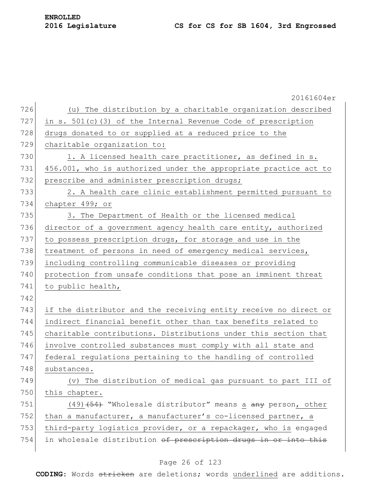|     | 20161604er                                                       |
|-----|------------------------------------------------------------------|
| 726 | (u) The distribution by a charitable organization described      |
| 727 | in s. 501(c)(3) of the Internal Revenue Code of prescription     |
| 728 | drugs donated to or supplied at a reduced price to the           |
| 729 | charitable organization to:                                      |
| 730 | 1. A licensed health care practitioner, as defined in s.         |
| 731 | 456.001, who is authorized under the appropriate practice act to |
| 732 | prescribe and administer prescription drugs;                     |
| 733 | 2. A health care clinic establishment permitted pursuant to      |
| 734 | chapter 499; or                                                  |
| 735 | 3. The Department of Health or the licensed medical              |
| 736 | director of a government agency health care entity, authorized   |
| 737 | to possess prescription drugs, for storage and use in the        |
| 738 | treatment of persons in need of emergency medical services,      |
| 739 | including controlling communicable diseases or providing         |
| 740 | protection from unsafe conditions that pose an imminent threat   |
| 741 | to public health,                                                |
| 742 |                                                                  |
| 743 | if the distributor and the receiving entity receive no direct or |
| 744 | indirect financial benefit other than tax benefits related to    |
| 745 | charitable contributions. Distributions under this section that  |
| 746 | involve controlled substances must comply with all state and     |
| 747 | federal regulations pertaining to the handling of controlled     |
| 748 | substances.                                                      |
| 749 | (v) The distribution of medical gas pursuant to part III of      |
| 750 | this chapter.                                                    |
| 751 | $(49)$ $(54)$ "Wholesale distributor" means a any person, other  |
| 752 | than a manufacturer, a manufacturer's co-licensed partner, a     |
| 753 | third-party logistics provider, or a repackager, who is engaged  |
| 754 | in wholesale distribution of prescription drugs in or into this  |
|     |                                                                  |

# Page 26 of 123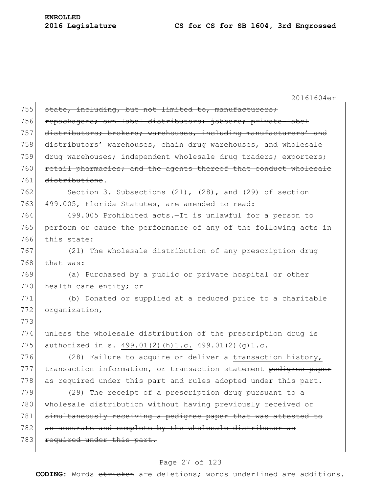20161604er 755 state, including, but not limited to, manufacturers; 756 repackagers; own-label distributors; jobbers; private-label 757 distributors; brokers; warehouses, including manufacturers' and 758 distributors' warehouses, chain drug warehouses, and wholesale 759 drug warehouses; independent wholesale drug traders; exporters; 760 retail pharmacies; and the agents thereof that conduct wholesale 761 distributions. 762 Section 3. Subsections (21), (28), and (29) of section 763 499.005, Florida Statutes, are amended to read: 764 499.005 Prohibited acts.—It is unlawful for a person to 765 perform or cause the performance of any of the following acts in 766 this state: 767 (21) The wholesale distribution of any prescription drug  $768$  that was: 769 (a) Purchased by a public or private hospital or other 770 health care entity; or 771 (b) Donated or supplied at a reduced price to a charitable 772 organization, 773 774 unless the wholesale distribution of the prescription drug is 775 authorized in s. 499.01(2)(h)1.c.  $499.01(2)(q)1.c.$ 776  $(28)$  Failure to acquire or deliver a transaction history, 777 transaction information, or transaction statement pedigree paper 778 as required under this part and rules adopted under this part. 779  $(29)$  The receipt of a prescription drug pursuant to a 780 wholesale distribution without having previously received or 781 simultaneously receiving a pedigree paper that was attested to 782 as accurate and complete by the wholesale distributor as 783 required under this part.

#### Page 27 of 123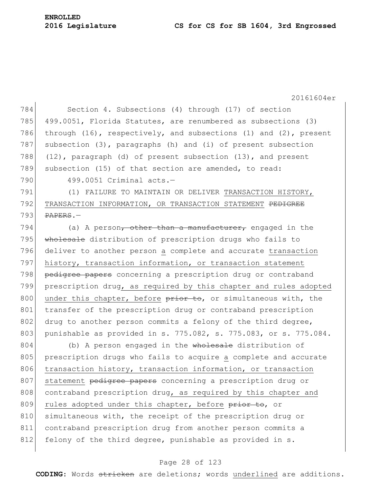20161604er 784 Section 4. Subsections (4) through (17) of section 785 499.0051, Florida Statutes, are renumbered as subsections (3) 786 through (16), respectively, and subsections (1) and (2), present 787 subsection (3), paragraphs (h) and (i) of present subsection 788  $(12)$ , paragraph (d) of present subsection  $(13)$ , and present 789 subsection (15) of that section are amended, to read: 790 499.0051 Criminal acts.-791 (1) FAILURE TO MAINTAIN OR DELIVER TRANSACTION HISTORY, 792 TRANSACTION INFORMATION, OR TRANSACTION STATEMENT PEDIGREE  $793$  PAPERS. 794 (a) A person<del>, other than a manufacturer,</del> engaged in the 795 wholesale distribution of prescription drugs who fails to 796 deliver to another person a complete and accurate transaction 797 history, transaction information, or transaction statement 798 pedigree papers concerning a prescription drug or contraband 799 prescription drug, as required by this chapter and rules adopted 800 under this chapter, before prior to, or simultaneous with, the 801 transfer of the prescription drug or contraband prescription 802 drug to another person commits a felony of the third degree, 803 punishable as provided in s. 775.082, s. 775.083, or s. 775.084. 804 (b) A person engaged in the wholesale distribution of 805 prescription drugs who fails to acquire a complete and accurate 806 transaction history, transaction information, or transaction 807 statement pedigree papers concerning a prescription drug or 808 contraband prescription drug, as required by this chapter and 809 rules adopted under this chapter, before prior to, or 810 simultaneous with, the receipt of the prescription drug or 811 contraband prescription drug from another person commits a

812 felony of the third degree, punishable as provided in s.

# Page 28 of 123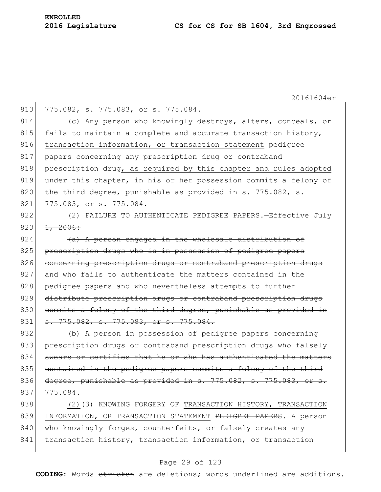20161604er 813 775.082, s. 775.083, or s. 775.084. 814 (c) Any person who knowingly destroys, alters, conceals, or 815 fails to maintain a complete and accurate transaction history, 816 transaction information, or transaction statement pedigree 817 **papers** concerning any prescription drug or contraband 818 prescription drug, as required by this chapter and rules adopted 819 under this chapter, in his or her possession commits a felony of 820 the third degree, punishable as provided in s. 775.082, s. 821 775.083, or s. 775.084. 822 (2) FAILURE TO AUTHENTICATE PEDIGREE PAPERS. Effective July  $823$   $1, 2006$ :  $824$  (a) A person engaged in the wholesale distribution of 825 prescription drugs who is in possession of pedigree papers 826 concerning prescription drugs or contraband prescription drugs

 $827$  and who fails to authenticate the matters contained in the 828 pedigree papers and who nevertheless attempts to further 829 distribute prescription drugs or contraband prescription drugs 830 commits a felony of the third degree, punishable as provided in 831 <del>s. 775.082, s. 775.083, or s. 775.084.</del>

832 (b) A person in possession of pedigree papers concerning 833 prescription drugs or contraband prescription drugs who falsely 834 swears or certifies that he or she has authenticated the matters 835 contained in the pedigree papers commits a felony of the third 836 degree, punishable as provided in s. 775.082, s. 775.083, or  $837$   $775.084$ .

838 (2)<del>(3)</del> KNOWING FORGERY OF TRANSACTION HISTORY, TRANSACTION 839 INFORMATION, OR TRANSACTION STATEMENT PEDIGREE PAPERS. A person 840 who knowingly forges, counterfeits, or falsely creates any 841 transaction history, transaction information, or transaction

# Page 29 of 123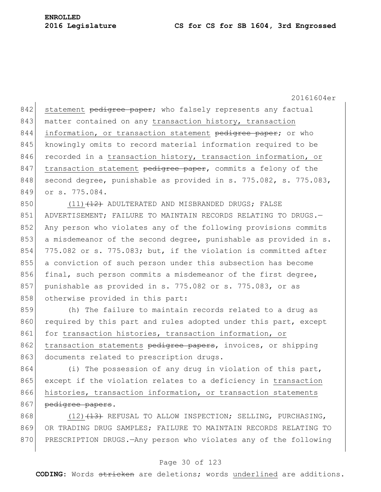20161604er

842 statement pedigree paper; who falsely represents any factual 843 matter contained on any transaction history, transaction 844 information, or transaction statement pedigree paper; or who 845 knowingly omits to record material information required to be 846 recorded in a transaction history, transaction information, or  $847$  transaction statement pedigree paper, commits a felony of the 848 second degree, punishable as provided in s. 775.082, s. 775.083, 849 or s. 775.084.

850 (11)<del>(12)</del> ADULTERATED AND MISBRANDED DRUGS; FALSE 851 ADVERTISEMENT; FAILURE TO MAINTAIN RECORDS RELATING TO DRUGS. 852 Any person who violates any of the following provisions commits 853 a misdemeanor of the second degree, punishable as provided in s. 854 775.082 or s. 775.083; but, if the violation is committed after 855 a conviction of such person under this subsection has become 856 final, such person commits a misdemeanor of the first degree, 857 punishable as provided in s. 775.082 or s. 775.083, or as 858 otherwise provided in this part:

859 (h) The failure to maintain records related to a drug as 860 required by this part and rules adopted under this part, except 861 for transaction histories, transaction information, or 862 transaction statements pedigree papers, invoices, or shipping 863 documents related to prescription drugs.

864 (i) The possession of any drug in violation of this part, 865 except if the violation relates to a deficiency in transaction 866 histories, transaction information, or transaction statements 867 pedigree papers.

868 (12)<del>(13)</del> REFUSAL TO ALLOW INSPECTION; SELLING, PURCHASING, 869 OR TRADING DRUG SAMPLES; FAILURE TO MAINTAIN RECORDS RELATING TO 870 PRESCRIPTION DRUGS.—Any person who violates any of the following

### Page 30 of 123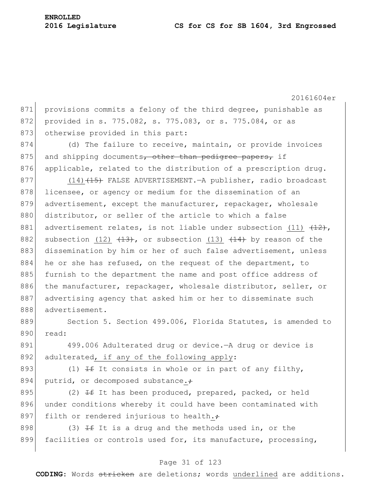20161604er 871 provisions commits a felony of the third degree, punishable as 872 provided in s. 775.082, s. 775.083, or s. 775.084, or as 873 otherwise provided in this part: 874 (d) The failure to receive, maintain, or provide invoices 875 and shipping documents, other than pedigree papers, if 876 applicable, related to the distribution of a prescription drug. 877 (14) (15) FALSE ADVERTISEMENT.—A publisher, radio broadcast 878 licensee, or agency or medium for the dissemination of an 879 advertisement, except the manufacturer, repackager, wholesale 880 distributor, or seller of the article to which a false 881 advertisement relates, is not liable under subsection (11)  $\{12\}$ , 882 subsection (12)  $(13)$ , or subsection (13)  $(14)$  by reason of the 883 dissemination by him or her of such false advertisement, unless  $884$  he or she has refused, on the request of the department, to 885 furnish to the department the name and post office address of 886 the manufacturer, repackager, wholesale distributor, seller, or 887 advertising agency that asked him or her to disseminate such 888 advertisement. 889 Section 5. Section 499.006, Florida Statutes, is amended to 890 read: 891 499.006 Adulterated drug or device.—A drug or device is 892 adulterated, if any of the following apply: 893 (1)  $H$  It consists in whole or in part of any filthy, 894 putrid, or decomposed substance. $\div$ 895 (2)  $\pm$  It has been produced, prepared, packed, or held 896 under conditions whereby it could have been contaminated with 897 filth or rendered injurious to health. $\div$ 898 (3)  $\pm$  It is a drug and the methods used in, or the 899 facilities or controls used for, its manufacture, processing,

#### Page 31 of 123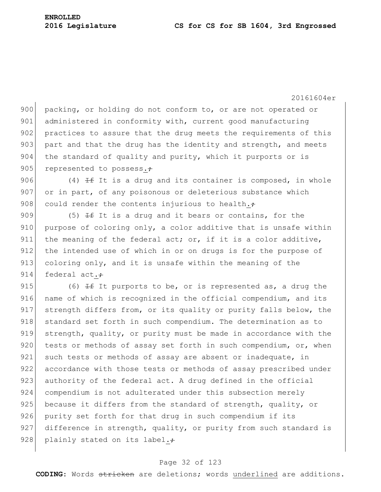20161604er

900 packing, or holding do not conform to, or are not operated or 901 administered in conformity with, current good manufacturing 902 practices to assure that the drug meets the requirements of this 903 part and that the drug has the identity and strength, and meets 904 the standard of quality and purity, which it purports or is 905 represented to possess. $\div$ 

906 (4)  $\pm$  It is a drug and its container is composed, in whole 907 or in part, of any poisonous or deleterious substance which 908 could render the contents injurious to health. $\div$ 

909 (5)  $H$  It is a drug and it bears or contains, for the 910 purpose of coloring only, a color additive that is unsafe within 911 the meaning of the federal act; or, if it is a color additive, 912 the intended use of which in or on drugs is for the purpose of 913 coloring only, and it is unsafe within the meaning of the 914 federal act. $\div$ 

915 (6)  $\pm$  It purports to be, or is represented as, a drug the 916 name of which is recognized in the official compendium, and its 917 strength differs from, or its quality or purity falls below, the 918 standard set forth in such compendium. The determination as to 919 strength, quality, or purity must be made in accordance with the 920 tests or methods of assay set forth in such compendium, or, when 921 such tests or methods of assay are absent or inadequate, in 922 accordance with those tests or methods of assay prescribed under 923 authority of the federal act. A drug defined in the official 924 compendium is not adulterated under this subsection merely 925 because it differs from the standard of strength, quality, or 926 purity set forth for that drug in such compendium if its 927 difference in strength, quality, or purity from such standard is 928 plainly stated on its label. $\div$ 

#### Page 32 of 123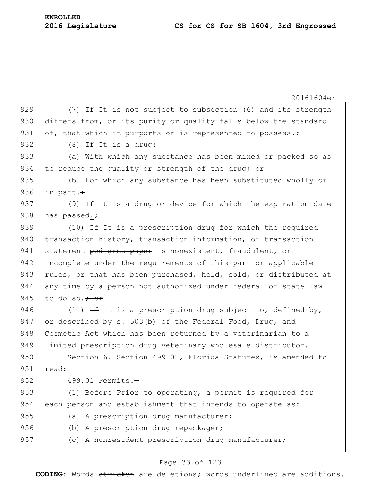| <b>ENROLLED</b> |                  |
|-----------------|------------------|
|                 | 2016 Legislature |

|     | 20161604er                                                       |
|-----|------------------------------------------------------------------|
| 929 | (7) $\pm$ It is not subject to subsection (6) and its strength   |
| 930 | differs from, or its purity or quality falls below the standard  |
| 931 | of, that which it purports or is represented to possess. $\div$  |
| 932 | $(8)$ <del>If</del> It is a drug:                                |
| 933 | (a) With which any substance has been mixed or packed so as      |
| 934 | to reduce the quality or strength of the drug; or                |
| 935 | (b) For which any substance has been substituted wholly or       |
| 936 | in part.+                                                        |
| 937 | (9) $H$ It is a drug or device for which the expiration date     |
| 938 | has passed.+                                                     |
| 939 | (10) $\pm$ It is a prescription drug for which the required      |
| 940 | transaction history, transaction information, or transaction     |
| 941 | statement pedigree paper is nonexistent, fraudulent, or          |
| 942 | incomplete under the requirements of this part or applicable     |
| 943 | rules, or that has been purchased, held, sold, or distributed at |
| 944 | any time by a person not authorized under federal or state law   |
| 945 | to do so. <del>; or</del>                                        |
| 946 | (11) $\pm$ It is a prescription drug subject to, defined by,     |
| 947 | or described by s. 503(b) of the Federal Food, Drug, and         |
| 948 | Cosmetic Act which has been returned by a veterinarian to a      |
| 949 | limited prescription drug veterinary wholesale distributor.      |
| 950 | Section 6. Section 499.01, Florida Statutes, is amended to       |
| 951 | read:                                                            |
| 952 | 499.01 Permits.-                                                 |
| 953 | (1) Before Prior to operating, a permit is required for          |
| 954 | each person and establishment that intends to operate as:        |
| 955 | (a) A prescription drug manufacturer;                            |
| 956 | (b) A prescription drug repackager;                              |
| 957 | (c) A nonresident prescription drug manufacturer;                |
|     |                                                                  |

# Page 33 of 123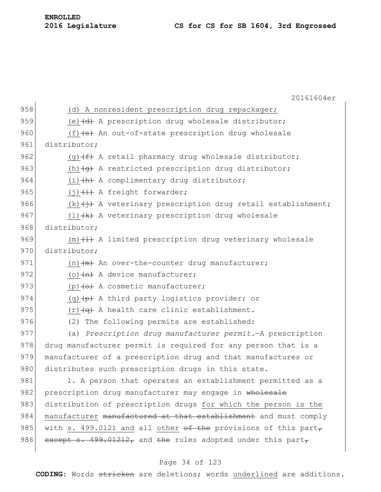20161604er 958 (d) A nonresident prescription drug repackager; 959 (e) $\left(\frac{d}{dt}\right)$  A prescription drug wholesale distributor; 960  $(f)$  (f)  $\leftrightarrow$  An out-of-state prescription drug wholesale 961 distributor: 962 (g)  $(f)$  A retail pharmacy drug wholesale distributor; 963 (h)  $\left( \theta \right)$  A restricted prescription drug distributor; 964  $(i)$   $\leftrightarrow$  A complimentary drug distributor; 965  $(i)$   $(i)$   $(i)$  a freight forwarder; 966 (k) $\leftrightarrow$  A veterinary prescription drug retail establishment; 967 (1) $\{k\}$  A veterinary prescription drug wholesale 968 distributor; 969  $(m)$   $(1)$  A limited prescription drug veterinary wholesale 970 distributor: 971  $(n)$   $+m$  An over-the-counter drug manufacturer; 972 (o) $\left\{\text{A} \right\}$  A device manufacturer; 973 (p) $\left\{\Theta\right\}$  A cosmetic manufacturer; 974 (q) $(p)$  A third party logistics provider; or 975  $(r)$   $\left(\alpha\right)$  A health care clinic establishment. 976 (2) The following permits are established: 977 (a) *Prescription drug manufacturer permit.*—A prescription 978 drug manufacturer permit is required for any person that is a 979 manufacturer of a prescription drug and that manufactures or 980 distributes such prescription drugs in this state. 981 1. A person that operates an establishment permitted as a 982 prescription drug manufacturer may engage in wholesale 983 distribution of prescription drugs for which the person is the 984 manufacturer manufactured at that establishment and must comply 985 with s. 499.0121 and all other of the provisions of this part $_{7}$ 986 except s.  $499.01212$ , and the rules adopted under this part,

# Page 34 of 123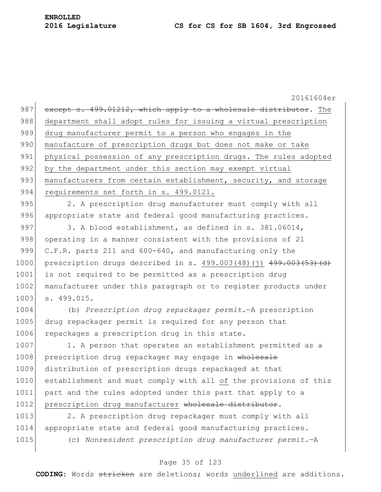20161604er 987 except s. 499.01212, which apply to a wholesale distributor. The 988 department shall adopt rules for issuing a virtual prescription 989 drug manufacturer permit to a person who engages in the 990 manufacture of prescription drugs but does not make or take 991 physical possession of any prescription drugs. The rules adopted 992 by the department under this section may exempt virtual 993 manufacturers from certain establishment, security, and storage 994 requirements set forth in s. 499.0121. 995 2. A prescription drug manufacturer must comply with all 996 appropriate state and federal good manufacturing practices. 997 3. A blood establishment, as defined in s. 381.06014, 998 operating in a manner consistent with the provisions of 21 999 C.F.R. parts 211 and 600-640, and manufacturing only the 1000 prescription drugs described in s. 499.003(48)(j) 499.003(53)(d) 1001 is not required to be permitted as a prescription drug 1002 manufacturer under this paragraph or to register products under 1003 s. 499.015. 1004 (b) *Prescription drug repackager permit.*—A prescription 1005 drug repackager permit is required for any person that 1006 repackages a prescription drug in this state. 1007 1. A person that operates an establishment permitted as a 1008 prescription drug repackager may engage in wholesale 1009 distribution of prescription drugs repackaged at that 1010 establishment and must comply with all of the provisions of this 1011 part and the rules adopted under this part that apply to a 1012 prescription drug manufacturer wholesale distributor. 1013 2. A prescription drug repackager must comply with all 1014 appropriate state and federal good manufacturing practices.

1015 (c) *Nonresident prescription drug manufacturer permit.*—A

# Page 35 of 123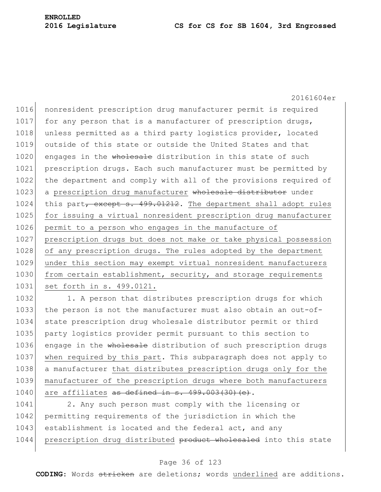20161604er 1016 nonresident prescription drug manufacturer permit is required 1017 for any person that is a manufacturer of prescription drugs, 1018 unless permitted as a third party logistics provider, located 1019 outside of this state or outside the United States and that 1020 engages in the wholesale distribution in this state of such 1021 prescription drugs. Each such manufacturer must be permitted by 1022 the department and comply with all of the provisions required of 1023 a prescription drug manufacturer wholesale distributor under 1024 this part, except s. 499.01212. The department shall adopt rules 1025 for issuing a virtual nonresident prescription drug manufacturer 1026 permit to a person who engages in the manufacture of 1027 prescription drugs but does not make or take physical possession 1028 of any prescription drugs. The rules adopted by the department 1029 under this section may exempt virtual nonresident manufacturers 1030 from certain establishment, security, and storage requirements 1031 set forth in s. 499.0121.

1032 1. A person that distributes prescription drugs for which 1033 the person is not the manufacturer must also obtain an out-of-1034 state prescription drug wholesale distributor permit or third 1035 party logistics provider permit pursuant to this section to 1036 engage in the wholesale distribution of such prescription drugs 1037 when required by this part. This subparagraph does not apply to 1038 a manufacturer that distributes prescription drugs only for the 1039 manufacturer of the prescription drugs where both manufacturers 1040 are affiliates as defined in  $s. 499.003(30)(e)$ .

1041 2. Any such person must comply with the licensing or 1042 permitting requirements of the jurisdiction in which the 1043 establishment is located and the federal act, and any 1044 prescription drug distributed product wholesaled into this state

#### Page 36 of 123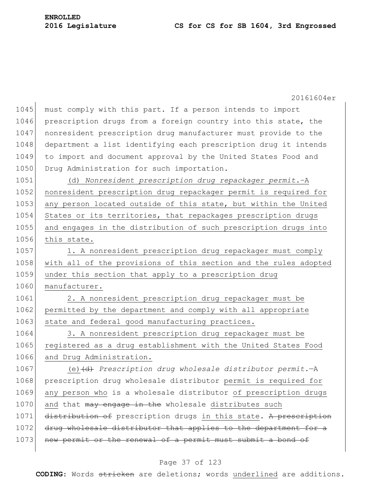20161604er 1045 must comply with this part. If a person intends to import 1046 prescription drugs from a foreign country into this state, the 1047 nonresident prescription drug manufacturer must provide to the 1048 department a list identifying each prescription drug it intends 1049 to import and document approval by the United States Food and 1050 Drug Administration for such importation. 1051 (d) *Nonresident prescription drug repackager permit.*–A 1052 nonresident prescription drug repackager permit is required for 1053 any person located outside of this state, but within the United 1054 States or its territories, that repackages prescription drugs 1055 and engages in the distribution of such prescription drugs into 1056 this state. 1057 1. A nonresident prescription drug repackager must comply 1058 with all of the provisions of this section and the rules adopted 1059 under this section that apply to a prescription drug 1060 manufacturer. 1061 2. A nonresident prescription drug repackager must be 1062 permitted by the department and comply with all appropriate 1063 state and federal good manufacturing practices. 1064 3. A nonresident prescription drug repackager must be 1065 registered as a drug establishment with the United States Food 1066 and Drug Administration. 1067 (e) (d) *Prescription drug wholesale distributor permit.*—A 1068 prescription drug wholesale distributor permit is required for 1069 any person who is a wholesale distributor of prescription drugs 1070 and that may engage in the wholesale distributes such 1071 distribution of prescription drugs in this state. A prescription 1072 drug wholesale distributor that applies to the department for a 1073 new permit or the renewal of a permit must submit a bond of

#### Page 37 of 123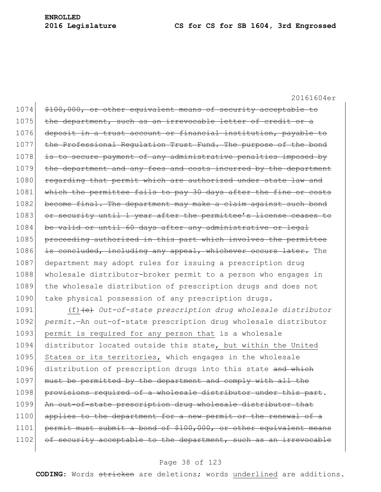1074 \$100,000, or other equivalent means of security acceptable to 1075 the department, such as an irrevocable letter of credit or a 1076 deposit in a trust account or financial institution, payable to 1077 the Professional Regulation Trust Fund. The purpose of the bond 1078 is to secure payment of any administrative penalties imposed by 1079 the department and any fees and costs incurred by the department 1080 regarding that permit which are authorized under state law and 1081 which the permittee fails to pay 30 days after the fine or costs 1082 become final. The department may make a claim against such bond 1083 or security until 1 year after the permittee's license ceases to 1084 be valid or until 60 days after any administrative or legal 1085 proceeding authorized in this part which involves the permittee 1086 is concluded, including any appeal, whichever occurs later. The 1087 department may adopt rules for issuing a prescription drug 1088 wholesale distributor-broker permit to a person who engages in 1089 the wholesale distribution of prescription drugs and does not 1090 take physical possession of any prescription drugs. 1091 (f)(e) *Out-of-state prescription drug wholesale distributor*  1092 *permit.*—An out-of-state prescription drug wholesale distributor

1093 permit is required for any person that is a wholesale 1094 distributor located outside this state, but within the United 1095 States or its territories, which engages in the wholesale 1096 distribution of prescription drugs into this state and which 1097 must be permitted by the department and comply with all the 1098 provisions required of a wholesale distributor under this part. 1099 An out-of-state prescription drug wholesale distributor that 1100 applies to the department for a new permit or the renewal of a 1101 permit must submit a bond of \$100,000, or other equivalent means 1102 of security acceptable to the department, such as an irrevocable

#### Page 38 of 123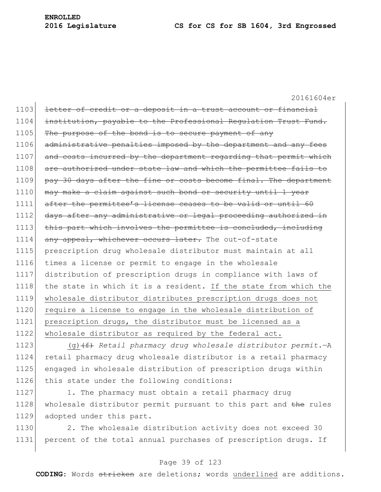1103 letter of credit or a deposit in a trust account or financial 1104 institution, payable to the Professional Regulation Trust Fund. 1105 The purpose of the bond is to secure payment of any 1106 administrative penalties imposed by the department and any fees 1107 and costs incurred by the department regarding that permit which 1108 are authorized under state law and which the permittee fails to 1109 pay 30 days after the fine or costs become final. The department 1110 may make a claim against such bond or security until 1 year 1111 after the permittee's license ceases to be valid or until 60 1112 days after any administrative or legal proceeding authorized in 1113 this part which involves the permittee is concluded, including 1114 any appeal, whichever occurs later. The out-of-state 1115 prescription drug wholesale distributor must maintain at all 1116 times a license or permit to engage in the wholesale 1117 distribution of prescription drugs in compliance with laws of 1118 the state in which it is a resident. If the state from which the 1119 wholesale distributor distributes prescription drugs does not 1120 require a license to engage in the wholesale distribution of 1121 prescription drugs, the distributor must be licensed as a 1122 wholesale distributor as required by the federal act.

 (g)(f) *Retail pharmacy drug wholesale distributor permit.*—A retail pharmacy drug wholesale distributor is a retail pharmacy engaged in wholesale distribution of prescription drugs within 1126 this state under the following conditions:

1127 1. The pharmacy must obtain a retail pharmacy drug 1128 wholesale distributor permit pursuant to this part and the rules 1129 adopted under this part.

1130 2. The wholesale distribution activity does not exceed 30 1131 percent of the total annual purchases of prescription drugs. If

# Page 39 of 123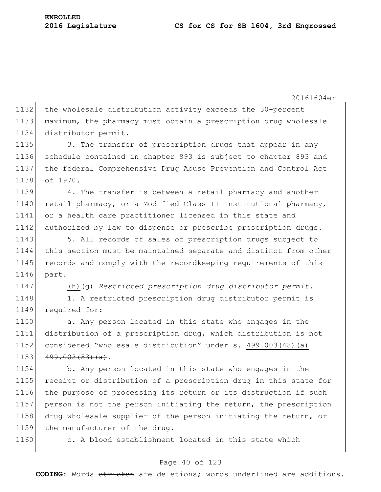1132 the wholesale distribution activity exceeds the 30-percent 1133 maximum, the pharmacy must obtain a prescription drug wholesale 1134 distributor permit.

1135 3. The transfer of prescription drugs that appear in any 1136 schedule contained in chapter 893 is subject to chapter 893 and 1137 the federal Comprehensive Drug Abuse Prevention and Control Act 1138 of 1970.

1139 4. The transfer is between a retail pharmacy and another 1140 retail pharmacy, or a Modified Class II institutional pharmacy, 1141 or a health care practitioner licensed in this state and 1142 authorized by law to dispense or prescribe prescription drugs.

1143 5. All records of sales of prescription drugs subject to 1144 this section must be maintained separate and distinct from other 1145 records and comply with the recordkeeping requirements of this 1146 part.

1147 (h) (g) Restricted prescription drug distributor permit.

1148 1. A restricted prescription drug distributor permit is 1149 required for:

1150 a. Any person located in this state who engages in the distribution of a prescription drug, which distribution is not considered "wholesale distribution" under s. 499.003(48)(a)  $499.003(53)(a)$ .

1154 b. Any person located in this state who engages in the 1155 receipt or distribution of a prescription drug in this state for 1156 the purpose of processing its return or its destruction if such 1157 person is not the person initiating the return, the prescription 1158 drug wholesale supplier of the person initiating the return, or 1159 the manufacturer of the drug.

1160 c. A blood establishment located in this state which

# Page 40 of 123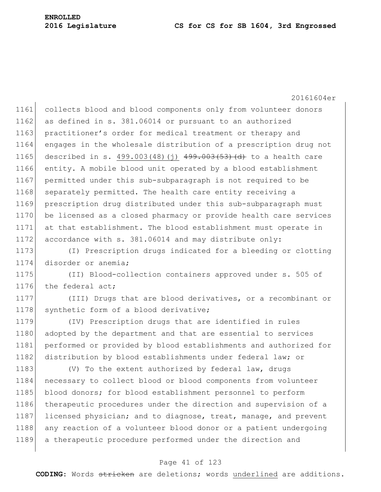#### **2016 Legislature CS for CS for SB 1604, 3rd Engrossed**

20161604er

1161 collects blood and blood components only from volunteer donors 1162 as defined in s. 381.06014 or pursuant to an authorized 1163 practitioner's order for medical treatment or therapy and 1164 engages in the wholesale distribution of a prescription drug not 1165 described in s. 499.003(48)(j)  $499.003(53)$  (d) to a health care 1166 entity. A mobile blood unit operated by a blood establishment 1167 permitted under this sub-subparagraph is not required to be 1168 separately permitted. The health care entity receiving a 1169 prescription drug distributed under this sub-subparagraph must 1170 be licensed as a closed pharmacy or provide health care services 1171 at that establishment. The blood establishment must operate in 1172 accordance with s. 381.06014 and may distribute only:

1173 (I) Prescription drugs indicated for a bleeding or clotting 1174 disorder or anemia;

1175 (II) Blood-collection containers approved under s. 505 of 1176 the federal act;

1177 (III) Drugs that are blood derivatives, or a recombinant or 1178 synthetic form of a blood derivative;

1179 (IV) Prescription drugs that are identified in rules 1180 adopted by the department and that are essential to services 1181 performed or provided by blood establishments and authorized for 1182 distribution by blood establishments under federal law; or

1183 (V) To the extent authorized by federal law, drugs 1184 necessary to collect blood or blood components from volunteer 1185 blood donors; for blood establishment personnel to perform 1186 therapeutic procedures under the direction and supervision of a 1187 licensed physician; and to diagnose, treat, manage, and prevent 1188 any reaction of a volunteer blood donor or a patient undergoing 1189 a therapeutic procedure performed under the direction and

#### Page 41 of 123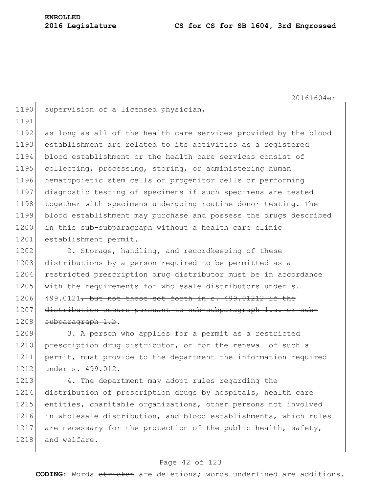# **ENROLLED**

1218 and welfare.

20161604er 1190 supervision of a licensed physician, 1191 1192 as long as all of the health care services provided by the blood 1193 establishment are related to its activities as a registered 1194 blood establishment or the health care services consist of 1195 collecting, processing, storing, or administering human 1196 hematopoietic stem cells or progenitor cells or performing 1197 diagnostic testing of specimens if such specimens are tested 1198 together with specimens undergoing routine donor testing. The 1199 blood establishment may purchase and possess the drugs described 1200 in this sub-subparagraph without a health care clinic 1201 establishment permit. 1202 2. Storage, handling, and recordkeeping of these 1203 distributions by a person required to be permitted as a 1204 restricted prescription drug distributor must be in accordance 1205 with the requirements for wholesale distributors under s. 1206 499.0121, but not those set forth in  $s$ . 499.01212 if the 1207 distribution occurs pursuant to sub-subparagraph 1.a. or sub- $1208$  subparagraph 1.b. 1209 3. A person who applies for a permit as a restricted 1210 prescription drug distributor, or for the renewal of such a 1211 permit, must provide to the department the information required 1212 under s. 499.012. 1213 4. The department may adopt rules regarding the 1214 distribution of prescription drugs by hospitals, health care 1215 entities, charitable organizations, other persons not involved 1216 in wholesale distribution, and blood establishments, which rules 1217 are necessary for the protection of the public health, safety,

#### Page 42 of 123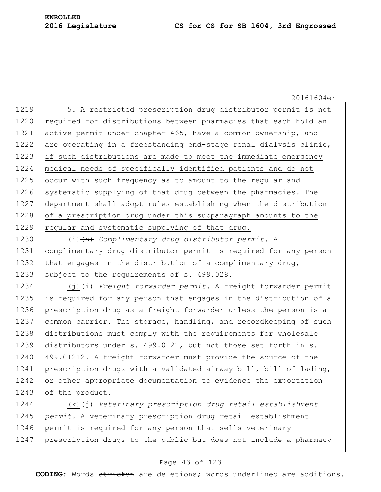**ENROLLED**

1219 5. A restricted prescription drug distributor permit is not 1220 required for distributions between pharmacies that each hold an 1221 active permit under chapter 465, have a common ownership, and 1222 are operating in a freestanding end-stage renal dialysis clinic, 1223 if such distributions are made to meet the immediate emergency 1224 medical needs of specifically identified patients and do not 1225 occur with such frequency as to amount to the regular and 1226 systematic supplying of that drug between the pharmacies. The 1227 department shall adopt rules establishing when the distribution 1228 of a prescription drug under this subparagraph amounts to the 1229 regular and systematic supplying of that drug.

1230 (i)(h) *Complimentary drug distributor permit.*—A 1231 complimentary drug distributor permit is required for any person 1232 that engages in the distribution of a complimentary drug, 1233 subject to the requirements of s. 499.028.

1234 (j) (i) *Freight forwarder permit.*—A freight forwarder permit 1235 is required for any person that engages in the distribution of a 1236 prescription drug as a freight forwarder unless the person is a 1237 common carrier. The storage, handling, and recordkeeping of such 1238 distributions must comply with the requirements for wholesale 1239 distributors under s. 499.0121, but not those set forth in  $s$ . 1240 499.01212. A freight forwarder must provide the source of the 1241 prescription drugs with a validated airway bill, bill of lading, 1242 or other appropriate documentation to evidence the exportation 1243 of the product.

1244 (k)  $\leftrightarrow$  *Veterinary prescription drug retail establishment* 1245 *permit.*—A veterinary prescription drug retail establishment 1246 permit is required for any person that sells veterinary 1247 prescription drugs to the public but does not include a pharmacy

# Page 43 of 123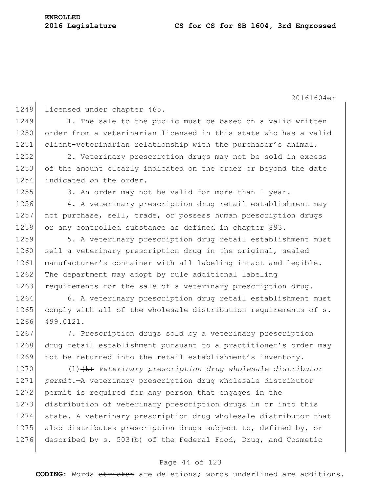**ENROLLED**

20161604er 1248 licensed under chapter 465. 1249 1. The sale to the public must be based on a valid written 1250 order from a veterinarian licensed in this state who has a valid 1251 client-veterinarian relationship with the purchaser's animal. 1252 2. Veterinary prescription drugs may not be sold in excess 1253 of the amount clearly indicated on the order or beyond the date 1254 indicated on the order. 1255 3. An order may not be valid for more than 1 year. 1256 4. A veterinary prescription drug retail establishment may 1257 not purchase, sell, trade, or possess human prescription drugs 1258 or any controlled substance as defined in chapter 893. 1259 5. A veterinary prescription drug retail establishment must 1260 sell a veterinary prescription drug in the original, sealed 1261 manufacturer's container with all labeling intact and legible. 1262 The department may adopt by rule additional labeling 1263 requirements for the sale of a veterinary prescription drug. 1264 6. A veterinary prescription drug retail establishment must 1265 comply with all of the wholesale distribution requirements of s. 1266 499.0121. 1267 7. Prescription drugs sold by a veterinary prescription 1268 drug retail establishment pursuant to a practitioner's order may 1269 not be returned into the retail establishment's inventory. 1270 (l)<del>(k)</del> *Veterinary prescription drug wholesale distributor* 1271 *permit.*—A veterinary prescription drug wholesale distributor 1272 permit is required for any person that engages in the 1273 distribution of veterinary prescription drugs in or into this 1274 state. A veterinary prescription drug wholesale distributor that 1275 also distributes prescription drugs subject to, defined by, or 1276 described by s. 503(b) of the Federal Food, Drug, and Cosmetic

#### Page 44 of 123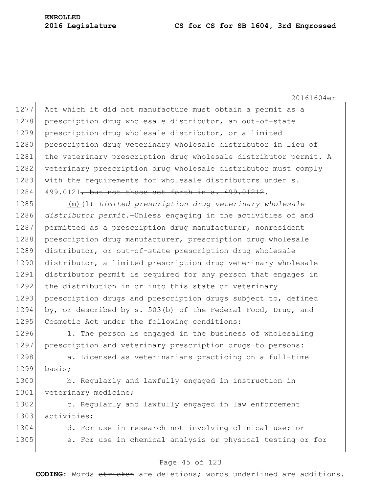20161604er 1277 Act which it did not manufacture must obtain a permit as a 1278 prescription drug wholesale distributor, an out-of-state 1279 prescription drug wholesale distributor, or a limited 1280 prescription drug veterinary wholesale distributor in lieu of 1281 the veterinary prescription drug wholesale distributor permit. A 1282 veterinary prescription drug wholesale distributor must comply 1283 with the requirements for wholesale distributors under s. 1284 499.0121, but not those set forth in s. 499.01212. 1285 (m) <sup>(1)</sup> *Limited prescription drug veterinary wholesale* 1286 *distributor permit.*—Unless engaging in the activities of and 1287 permitted as a prescription drug manufacturer, nonresident 1288 prescription drug manufacturer, prescription drug wholesale 1289 distributor, or out-of-state prescription drug wholesale 1290 distributor, a limited prescription drug veterinary wholesale 1291 distributor permit is required for any person that engages in 1292 the distribution in or into this state of veterinary 1293 prescription drugs and prescription drugs subject to, defined 1294 by, or described by s. 503(b) of the Federal Food, Drug, and 1295 Cosmetic Act under the following conditions: 1296 1. The person is engaged in the business of wholesaling 1297 prescription and veterinary prescription drugs to persons: 1298 a. Licensed as veterinarians practicing on a full-time 1299 basis; 1300 b. Regularly and lawfully engaged in instruction in 1301 veterinary medicine;

1302 c. Regularly and lawfully engaged in law enforcement 1303 activities;

1304 d. For use in research not involving clinical use; or 1305 e. For use in chemical analysis or physical testing or for

#### Page 45 of 123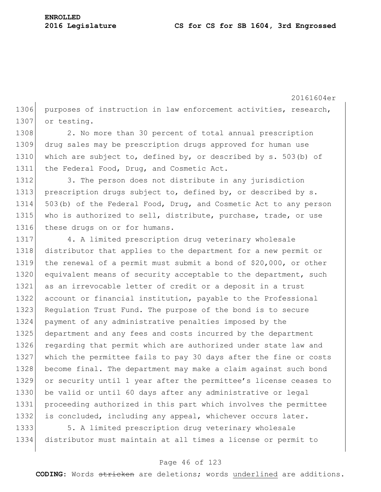20161604er 1306 purposes of instruction in law enforcement activities, research, 1307 or testing.

1308 2. No more than 30 percent of total annual prescription 1309 drug sales may be prescription drugs approved for human use 1310 which are subject to, defined by, or described by s. 503(b) of 1311 the Federal Food, Drug, and Cosmetic Act.

1312 3. The person does not distribute in any jurisdiction 1313 prescription drugs subject to, defined by, or described by s. 1314 503(b) of the Federal Food, Drug, and Cosmetic Act to any person 1315 who is authorized to sell, distribute, purchase, trade, or use 1316 these drugs on or for humans.

1317 4. A limited prescription drug veterinary wholesale 1318 distributor that applies to the department for a new permit or 1319 the renewal of a permit must submit a bond of \$20,000, or other 1320 equivalent means of security acceptable to the department, such 1321 as an irrevocable letter of credit or a deposit in a trust 1322 account or financial institution, payable to the Professional 1323 Regulation Trust Fund. The purpose of the bond is to secure 1324 payment of any administrative penalties imposed by the 1325 department and any fees and costs incurred by the department 1326 regarding that permit which are authorized under state law and 1327 which the permittee fails to pay 30 days after the fine or costs 1328 become final. The department may make a claim against such bond 1329 or security until 1 year after the permittee's license ceases to 1330 be valid or until 60 days after any administrative or legal 1331 proceeding authorized in this part which involves the permittee 1332 is concluded, including any appeal, whichever occurs later.

1333 5. A limited prescription drug veterinary wholesale 1334 distributor must maintain at all times a license or permit to

#### Page 46 of 123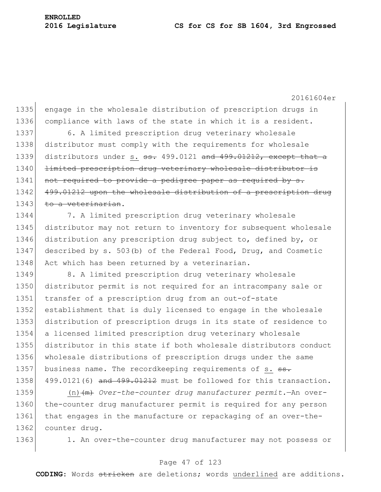20161604er 1335 engage in the wholesale distribution of prescription drugs in 1336 compliance with laws of the state in which it is a resident. 1337 6. A limited prescription drug veterinary wholesale 1338 distributor must comply with the requirements for wholesale 1339 distributors under s.  $\frac{1339}{121}$  and  $\frac{1339}{1212}$ , except that a 1340 <del>limited prescription drug veterinary wholesale distributor is</del> 1341 not required to provide a pedigree paper as required by s. 1342 499.01212 upon the wholesale distribution of a prescription drug 1343 to a veterinarian. 1344 7. A limited prescription drug veterinary wholesale 1345 distributor may not return to inventory for subsequent wholesale 1346 distribution any prescription drug subject to, defined by, or 1347 described by s. 503(b) of the Federal Food, Drug, and Cosmetic 1348 Act which has been returned by a veterinarian. 1349 8. A limited prescription drug veterinary wholesale 1350 distributor permit is not required for an intracompany sale or 1351 transfer of a prescription drug from an out-of-state 1352 establishment that is duly licensed to engage in the wholesale 1353 distribution of prescription drugs in its state of residence to 1354 a licensed limited prescription drug veterinary wholesale 1355 distributor in this state if both wholesale distributors conduct 1356 wholesale distributions of prescription drugs under the same 1357 business name. The recordkeeping requirements of s. ss. 1358 499.0121(6) and  $499.01212$  must be followed for this transaction.

1359 (n)(m) *Over-the-counter drug manufacturer permit.*—An over-1360 the-counter drug manufacturer permit is required for any person 1361 that engages in the manufacture or repackaging of an over-the-1362 counter drug.

1363 1. An over-the-counter drug manufacturer may not possess or

#### Page 47 of 123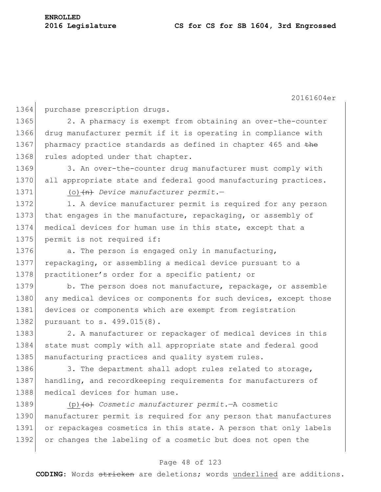1364 purchase prescription drugs.

1365 2. A pharmacy is exempt from obtaining an over-the-counter 1366 drug manufacturer permit if it is operating in compliance with 1367 pharmacy practice standards as defined in chapter 465 and the 1368 rules adopted under that chapter.

1369 3. An over-the-counter drug manufacturer must comply with 1370 all appropriate state and federal good manufacturing practices.

1371 (o)  $\left\langle n\right\rangle$  *Device manufacturer permit.*—

1372 1. A device manufacturer permit is required for any person 1373 that engages in the manufacture, repackaging, or assembly of 1374 medical devices for human use in this state, except that a 1375 permit is not required if:

1376 a. The person is engaged only in manufacturing, 1377 repackaging, or assembling a medical device pursuant to a 1378 practitioner's order for a specific patient; or

1379 b. The person does not manufacture, repackage, or assemble 1380 any medical devices or components for such devices, except those 1381 devices or components which are exempt from registration 1382 pursuant to s. 499.015(8).

1383 2. A manufacturer or repackager of medical devices in this 1384 state must comply with all appropriate state and federal good 1385 manufacturing practices and quality system rules.

1386 3. The department shall adopt rules related to storage, 1387 handling, and recordkeeping requirements for manufacturers of 1388 medical devices for human use.

1389 (p) (o) *Cosmetic manufacturer permit.*—A cosmetic 1390 manufacturer permit is required for any person that manufactures 1391 or repackages cosmetics in this state. A person that only labels 1392 or changes the labeling of a cosmetic but does not open the

#### Page 48 of 123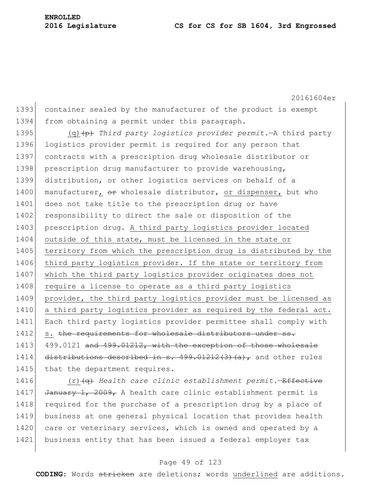20161604er 1393 container sealed by the manufacturer of the product is exempt 1394 from obtaining a permit under this paragraph. 1395 (q)<sup>(p)</sup> *Third party logistics provider permit.*—A third party 1396 logistics provider permit is required for any person that 1397 contracts with a prescription drug wholesale distributor or 1398 prescription drug manufacturer to provide warehousing, 1399 distribution, or other logistics services on behalf of a 1400 manufacturer, or wholesale distributor, or dispenser, but who 1401 does not take title to the prescription drug or have 1402 responsibility to direct the sale or disposition of the 1403 prescription drug. A third party logistics provider located 1404 outside of this state, must be licensed in the state or 1405 territory from which the prescription drug is distributed by the 1406 third party logistics provider. If the state or territory from 1407 which the third party logistics provider originates does not 1408 require a license to operate as a third party logistics 1409 provider, the third party logistics provider must be licensed as 1410 a third party logistics provider as required by the federal act. 1411 Each third party logistics provider permittee shall comply with 1412 s. the requirements for wholesale distributors under ss. 1413 499.0121 and 499.01212, with the exception of those wholesale 1414 distributions described in s.  $499.01212(3)(a)$ , and other rules 1415 that the department requires.

1416 (r)(q) *Health care clinic establishment permit.*—Effective 1417 January 1, 2009, A health care clinic establishment permit is 1418 required for the purchase of a prescription drug by a place of 1419 business at one general physical location that provides health 1420 care or veterinary services, which is owned and operated by a 1421 business entity that has been issued a federal employer tax

#### Page 49 of 123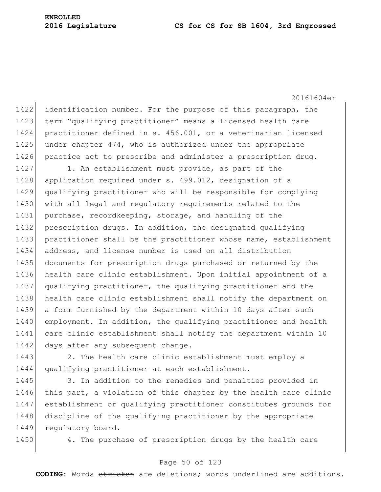#### **2016 Legislature CS for CS for SB 1604, 3rd Engrossed**

20161604er 1422 identification number. For the purpose of this paragraph, the 1423 term "qualifying practitioner" means a licensed health care 1424 practitioner defined in s. 456.001, or a veterinarian licensed 1425 under chapter 474, who is authorized under the appropriate 1426 practice act to prescribe and administer a prescription drug. 1427 1. An establishment must provide, as part of the 1428 application required under s. 499.012, designation of a 1429 qualifying practitioner who will be responsible for complying 1430 with all legal and regulatory requirements related to the 1431 purchase, recordkeeping, storage, and handling of the 1432 prescription drugs. In addition, the designated qualifying 1433 practitioner shall be the practitioner whose name, establishment 1434 address, and license number is used on all distribution 1435 documents for prescription drugs purchased or returned by the 1436 health care clinic establishment. Upon initial appointment of a 1437 qualifying practitioner, the qualifying practitioner and the 1438 health care clinic establishment shall notify the department on 1439 a form furnished by the department within 10 days after such 1440 employment. In addition, the qualifying practitioner and health 1441 care clinic establishment shall notify the department within 10 1442 days after any subsequent change.

1443 2. The health care clinic establishment must employ a 1444 qualifying practitioner at each establishment.

1445 3. In addition to the remedies and penalties provided in 1446 this part, a violation of this chapter by the health care clinic 1447 establishment or qualifying practitioner constitutes grounds for 1448 discipline of the qualifying practitioner by the appropriate 1449 regulatory board.

1450 4. The purchase of prescription drugs by the health care

# Page 50 of 123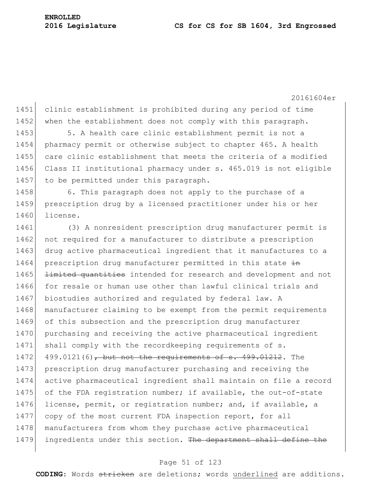1451 clinic establishment is prohibited during any period of time 1452 when the establishment does not comply with this paragraph.

1453 5. A health care clinic establishment permit is not a 1454 pharmacy permit or otherwise subject to chapter 465. A health 1455 care clinic establishment that meets the criteria of a modified 1456 Class II institutional pharmacy under s. 465.019 is not eligible 1457 to be permitted under this paragraph.

1458 6. This paragraph does not apply to the purchase of a 1459 prescription drug by a licensed practitioner under his or her 1460 license.

1461 (3) A nonresident prescription drug manufacturer permit is 1462 not required for a manufacturer to distribute a prescription 1463 drug active pharmaceutical ingredient that it manufactures to a 1464 prescription drug manufacturer permitted in this state in 1465 <del>limited quantities</del> intended for research and development and not 1466 for resale or human use other than lawful clinical trials and 1467 biostudies authorized and regulated by federal law. A 1468 manufacturer claiming to be exempt from the permit requirements 1469 of this subsection and the prescription drug manufacturer 1470 purchasing and receiving the active pharmaceutical ingredient 1471 shall comply with the recordkeeping requirements of s.  $1472$  499.0121(6), but not the requirements of s. 499.01212. The 1473 prescription drug manufacturer purchasing and receiving the 1474 active pharmaceutical ingredient shall maintain on file a record 1475 of the FDA registration number; if available, the out-of-state 1476 license, permit, or registration number; and, if available, a 1477 copy of the most current FDA inspection report, for all 1478 manufacturers from whom they purchase active pharmaceutical 1479 ingredients under this section. The department shall define the

#### Page 51 of 123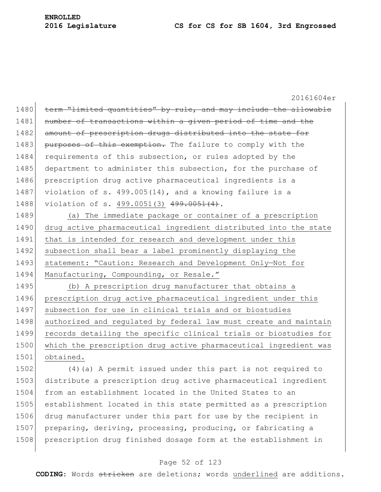20161604er 1480 term "limited quantities" by rule, and may include the allowable 1481 number of transactions within a given period of time and the 1482 amount of prescription drugs distributed into the state for 1483 purposes of this exemption. The failure to comply with the 1484 requirements of this subsection, or rules adopted by the 1485 department to administer this subsection, for the purchase of 1486 prescription drug active pharmaceutical ingredients is a 1487 violation of s. 499.005(14), and a knowing failure is a 1488 violation of s. 499.0051(3) 499.0051(4). 1489 (a) The immediate package or container of a prescription 1490 drug active pharmaceutical ingredient distributed into the state 1491 that is intended for research and development under this 1492 subsection shall bear a label prominently displaying the 1493 statement: "Caution: Research and Development Only-Not for 1494 Manufacturing, Compounding, or Resale." 1495 (b) A prescription drug manufacturer that obtains a 1496 prescription drug active pharmaceutical ingredient under this 1497 subsection for use in clinical trials and or biostudies 1498 authorized and regulated by federal law must create and maintain 1499 records detailing the specific clinical trials or biostudies for 1500 which the prescription drug active pharmaceutical ingredient was 1501 obtained. 1502 (4) (a) A permit issued under this part is not required to 1503 distribute a prescription drug active pharmaceutical ingredient 1504 from an establishment located in the United States to an 1505 establishment located in this state permitted as a prescription 1506 drug manufacturer under this part for use by the recipient in 1507 preparing, deriving, processing, producing, or fabricating a

#### Page 52 of 123

1508 prescription drug finished dosage form at the establishment in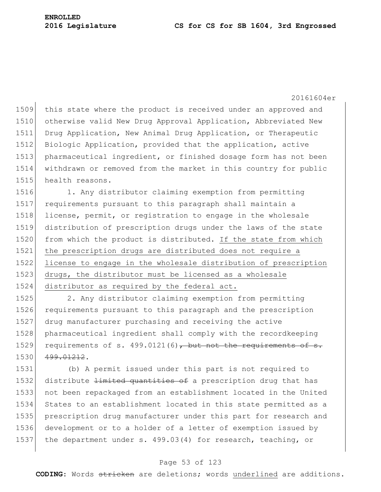this state where the product is received under an approved and 1510 otherwise valid New Drug Approval Application, Abbreviated New Drug Application, New Animal Drug Application, or Therapeutic Biologic Application, provided that the application, active 1513 pharmaceutical ingredient, or finished dosage form has not been withdrawn or removed from the market in this country for public health reasons.

1516 1. Any distributor claiming exemption from permitting requirements pursuant to this paragraph shall maintain a license, permit, or registration to engage in the wholesale distribution of prescription drugs under the laws of the state 1520 from which the product is distributed. If the state from which 1521 the prescription drugs are distributed does not require a license to engage in the wholesale distribution of prescription drugs, the distributor must be licensed as a wholesale distributor as required by the federal act.

 2. Any distributor claiming exemption from permitting 1526 requirements pursuant to this paragraph and the prescription drug manufacturer purchasing and receiving the active pharmaceutical ingredient shall comply with the recordkeeping 1529 requirements of s. 499.0121(6), but not the requirements of s. 499.01212.

 (b) A permit issued under this part is not required to 1532 distribute <del>limited quantities of</del> a prescription drug that has not been repackaged from an establishment located in the United States to an establishment located in this state permitted as a prescription drug manufacturer under this part for research and development or to a holder of a letter of exemption issued by 1537 the department under s. 499.03(4) for research, teaching, or

#### Page 53 of 123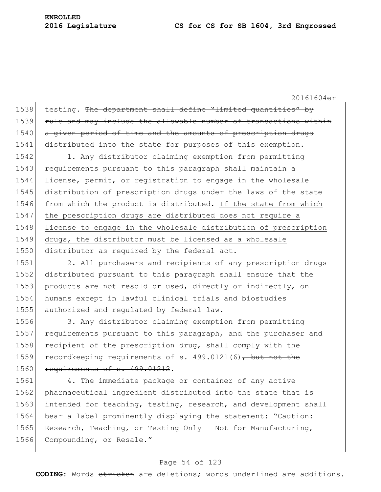1538 testing. The department shall define "limited quantities" by 1539 rule and may include the allowable number of transactions within 1540 a given period of time and the amounts of prescription drugs 1541 distributed into the state for purposes of this exemption.

1542 1. Any distributor claiming exemption from permitting 1543 requirements pursuant to this paragraph shall maintain a 1544 license, permit, or registration to engage in the wholesale 1545 distribution of prescription drugs under the laws of the state 1546 from which the product is distributed. If the state from which 1547 the prescription drugs are distributed does not require a 1548 license to engage in the wholesale distribution of prescription 1549 drugs, the distributor must be licensed as a wholesale 1550 distributor as required by the federal act.

1551 2. All purchasers and recipients of any prescription drugs distributed pursuant to this paragraph shall ensure that the products are not resold or used, directly or indirectly, on humans except in lawful clinical trials and biostudies authorized and regulated by federal law.

1556 3. Any distributor claiming exemption from permitting 1557 requirements pursuant to this paragraph, and the purchaser and 1558 recipient of the prescription drug, shall comply with the 1559 recordkeeping requirements of s. 499.0121(6), but not the 1560 requirements of s. 499.01212.

1561 4. The immediate package or container of any active 1562 pharmaceutical ingredient distributed into the state that is 1563 intended for teaching, testing, research, and development shall 1564 bear a label prominently displaying the statement: "Caution: 1565 Research, Teaching, or Testing Only - Not for Manufacturing, 1566 Compounding, or Resale."

#### Page 54 of 123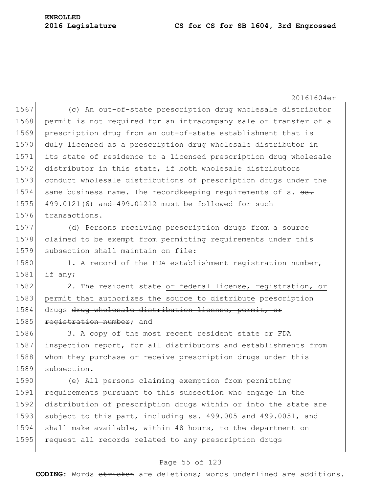20161604er 1567 (c) An out-of-state prescription drug wholesale distributor 1568 permit is not required for an intracompany sale or transfer of a 1569 prescription drug from an out-of-state establishment that is 1570 duly licensed as a prescription drug wholesale distributor in 1571 its state of residence to a licensed prescription drug wholesale 1572 distributor in this state, if both wholesale distributors 1573 conduct wholesale distributions of prescription drugs under the 1574 same business name. The recordkeeping requirements of s. <del>ss.</del> 1575 499.0121(6) and  $499.01212$  must be followed for such 1576 transactions. 1577 (d) Persons receiving prescription drugs from a source 1578 claimed to be exempt from permitting requirements under this 1579 subsection shall maintain on file:

1580 1. A record of the FDA establishment registration number, 1581 if any;

1582 2. The resident state or federal license, registration, or 1583 permit that authorizes the source to distribute prescription 1584 drugs drug wholesale distribution license, permit, or 1585 registration number; and

1586 3. A copy of the most recent resident state or FDA 1587 inspection report, for all distributors and establishments from 1588 whom they purchase or receive prescription drugs under this 1589 subsection.

 (e) All persons claiming exemption from permitting requirements pursuant to this subsection who engage in the distribution of prescription drugs within or into the state are 1593 subject to this part, including ss. 499.005 and 499.0051, and shall make available, within 48 hours, to the department on 1595 request all records related to any prescription drugs

#### Page 55 of 123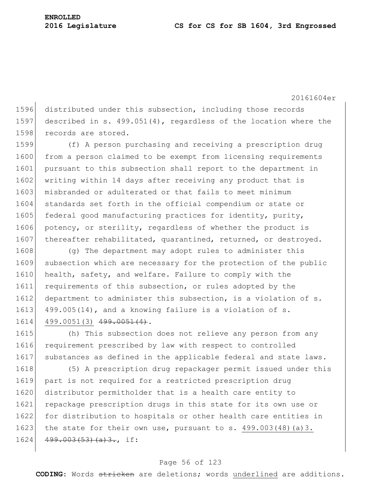1596 distributed under this subsection, including those records 1597 described in s. 499.051(4), regardless of the location where the 1598 records are stored.

1599 (f) A person purchasing and receiving a prescription drug 1600 from a person claimed to be exempt from licensing requirements 1601 pursuant to this subsection shall report to the department in 1602 writing within 14 days after receiving any product that is 1603 misbranded or adulterated or that fails to meet minimum 1604 standards set forth in the official compendium or state or 1605 federal good manufacturing practices for identity, purity, 1606 potency, or sterility, regardless of whether the product is 1607 thereafter rehabilitated, quarantined, returned, or destroyed.

1608 (q) The department may adopt rules to administer this 1609 subsection which are necessary for the protection of the public 1610 health, safety, and welfare. Failure to comply with the 1611 requirements of this subsection, or rules adopted by the 1612 department to administer this subsection, is a violation of s. 1613 499.005(14), and a knowing failure is a violation of s. 1614 499.0051(3) 499.0051(4).

1615 (h) This subsection does not relieve any person from any 1616 requirement prescribed by law with respect to controlled 1617 substances as defined in the applicable federal and state laws.

1618 (5) A prescription drug repackager permit issued under this 1619 part is not required for a restricted prescription drug 1620 distributor permitholder that is a health care entity to 1621 repackage prescription drugs in this state for its own use or 1622 for distribution to hospitals or other health care entities in 1623 the state for their own use, pursuant to s.  $499.003(48)(a)3$ . 1624 499.003(53)(a)3., if:

#### Page 56 of 123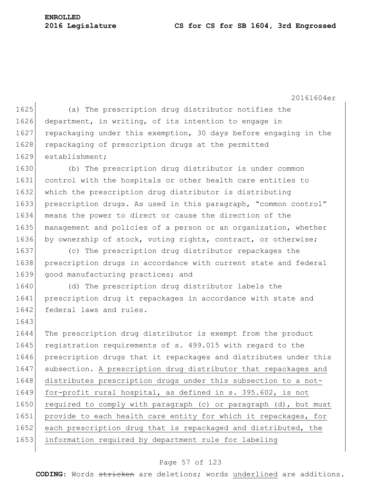#### **2016 Legislature CS for CS for SB 1604, 3rd Engrossed**

**ENROLLED**

20161604er 1625 (a) The prescription drug distributor notifies the 1626 department, in writing, of its intention to engage in 1627 repackaging under this exemption, 30 days before engaging in the 1628 repackaging of prescription drugs at the permitted 1629 establishment; 1630 (b) The prescription drug distributor is under common 1631 control with the hospitals or other health care entities to 1632 which the prescription drug distributor is distributing 1633 prescription drugs. As used in this paragraph, "common control" 1634 means the power to direct or cause the direction of the 1635 management and policies of a person or an organization, whether 1636 by ownership of stock, voting rights, contract, or otherwise; 1637 (c) The prescription drug distributor repackages the 1638 prescription drugs in accordance with current state and federal 1639 good manufacturing practices; and 1640 (d) The prescription drug distributor labels the 1641 prescription drug it repackages in accordance with state and 1642 federal laws and rules. 1643 1644 The prescription drug distributor is exempt from the product 1645 registration requirements of s. 499.015 with regard to the 1646 prescription drugs that it repackages and distributes under this 1647 subsection. A prescription drug distributor that repackages and 1648 distributes prescription drugs under this subsection to a not-1649 for-profit rural hospital, as defined in s. 395.602, is not 1650 required to comply with paragraph (c) or paragraph  $(d)$ , but must 1651 provide to each health care entity for which it repackages, for 1652 each prescription drug that is repackaged and distributed, the 1653 information required by department rule for labeling

#### Page 57 of 123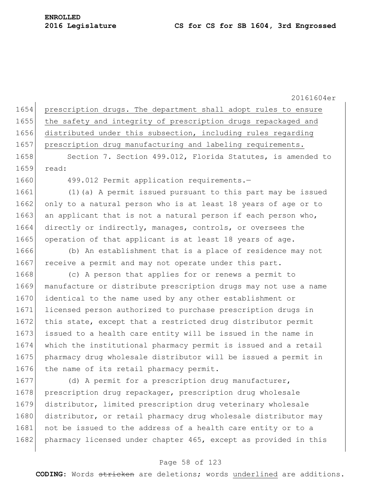20161604er 1654 prescription drugs. The department shall adopt rules to ensure 1655 the safety and integrity of prescription drugs repackaged and 1656 distributed under this subsection, including rules regarding 1657 prescription drug manufacturing and labeling requirements. 1658 Section 7. Section 499.012, Florida Statutes, is amended to 1659 read: 1660 499.012 Permit application requirements.-1661 (1)(a) A permit issued pursuant to this part may be issued 1662 only to a natural person who is at least 18 years of age or to 1663 an applicant that is not a natural person if each person who, 1664 directly or indirectly, manages, controls, or oversees the 1665 operation of that applicant is at least 18 years of age. 1666 (b) An establishment that is a place of residence may not 1667 receive a permit and may not operate under this part. 1668 (c) A person that applies for or renews a permit to

 manufacture or distribute prescription drugs may not use a name identical to the name used by any other establishment or licensed person authorized to purchase prescription drugs in 1672 this state, except that a restricted drug distributor permit 1673 issued to a health care entity will be issued in the name in which the institutional pharmacy permit is issued and a retail pharmacy drug wholesale distributor will be issued a permit in 1676 the name of its retail pharmacy permit.

1677 (d) A permit for a prescription drug manufacturer, 1678 prescription drug repackager, prescription drug wholesale 1679 distributor, limited prescription drug veterinary wholesale 1680 distributor, or retail pharmacy drug wholesale distributor may 1681 not be issued to the address of a health care entity or to a 1682 pharmacy licensed under chapter 465, except as provided in this

# Page 58 of 123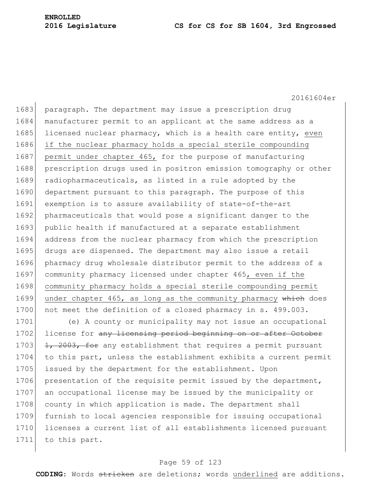1683 paragraph. The department may issue a prescription drug 1684 manufacturer permit to an applicant at the same address as a 1685 licensed nuclear pharmacy, which is a health care entity, even 1686 if the nuclear pharmacy holds a special sterile compounding 1687 permit under chapter 465, for the purpose of manufacturing 1688 prescription drugs used in positron emission tomography or other 1689 radiopharmaceuticals, as listed in a rule adopted by the 1690 department pursuant to this paragraph. The purpose of this 1691 exemption is to assure availability of state-of-the-art 1692 pharmaceuticals that would pose a significant danger to the 1693 public health if manufactured at a separate establishment 1694 address from the nuclear pharmacy from which the prescription 1695 drugs are dispensed. The department may also issue a retail 1696 pharmacy drug wholesale distributor permit to the address of a 1697 community pharmacy licensed under chapter 465, even if the 1698 community pharmacy holds a special sterile compounding permit 1699 under chapter 465, as long as the community pharmacy which does 1700 not meet the definition of a closed pharmacy in s. 499.003.

1701 (e) A county or municipality may not issue an occupational 1702 license for any licensing period beginning on or after October 1703  $\left| \frac{1}{1} \right|$ ,  $2003$ , for any establishment that requires a permit pursuant 1704 to this part, unless the establishment exhibits a current permit 1705 issued by the department for the establishment. Upon 1706 presentation of the requisite permit issued by the department, 1707 an occupational license may be issued by the municipality or 1708 county in which application is made. The department shall 1709 furnish to local agencies responsible for issuing occupational 1710 licenses a current list of all establishments licensed pursuant 1711 to this part.

## Page 59 of 123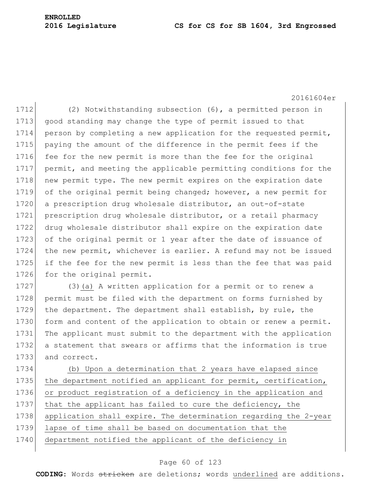#### **2016 Legislature CS for CS for SB 1604, 3rd Engrossed**

20161604er

1712 (2) Notwithstanding subsection (6), a permitted person in 1713 good standing may change the type of permit issued to that 1714 person by completing a new application for the requested permit, 1715 paying the amount of the difference in the permit fees if the 1716 fee for the new permit is more than the fee for the original 1717 permit, and meeting the applicable permitting conditions for the 1718 new permit type. The new permit expires on the expiration date 1719 of the original permit being changed; however, a new permit for 1720 a prescription drug wholesale distributor, an out-of-state 1721 prescription drug wholesale distributor, or a retail pharmacy 1722 drug wholesale distributor shall expire on the expiration date 1723 of the original permit or 1 year after the date of issuance of 1724 the new permit, whichever is earlier. A refund may not be issued 1725 if the fee for the new permit is less than the fee that was paid 1726 for the original permit.

1727 (3)(a) A written application for a permit or to renew a 1728 permit must be filed with the department on forms furnished by 1729 the department. The department shall establish, by rule, the 1730 form and content of the application to obtain or renew a permit. 1731 The applicant must submit to the department with the application 1732 a statement that swears or affirms that the information is true 1733 and correct.

1734 (b) Upon a determination that 2 years have elapsed since 1735 the department notified an applicant for permit, certification, 1736 or product registration of a deficiency in the application and 1737 that the applicant has failed to cure the deficiency, the 1738 application shall expire. The determination regarding the 2-year 1739 lapse of time shall be based on documentation that the 1740 department notified the applicant of the deficiency in

#### Page 60 of 123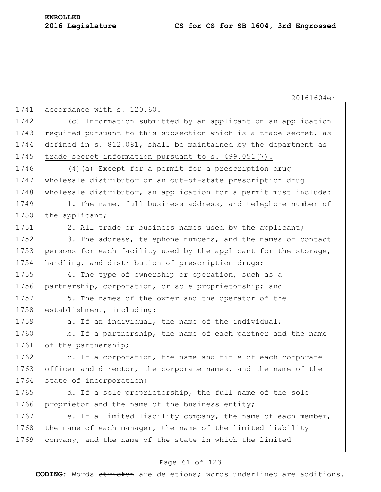|      | 20161604er                                                       |
|------|------------------------------------------------------------------|
| 1741 | accordance with s. 120.60.                                       |
| 1742 | (c) Information submitted by an applicant on an application      |
|      | required pursuant to this subsection which is a trade secret, as |
|      | defined in s. 812.081, shall be maintained by the department as  |
|      | trade secret information pursuant to s. 499.051(7).              |
|      | (4) (a) Except for a permit for a prescription drug              |
|      | wholesale distributor or an out-of-state prescription drug       |
|      | wholesale distributor, an application for a permit must include: |
|      | 1. The name, full business address, and telephone number of      |
|      | the applicant;                                                   |
|      | 2. All trade or business names used by the applicant;            |
|      | 3. The address, telephone numbers, and the names of contact      |
|      | persons for each facility used by the applicant for the storage, |
|      | handling, and distribution of prescription drugs;                |
|      | 4. The type of ownership or operation, such as a                 |
|      | partnership, corporation, or sole proprietorship; and            |
|      | 5. The names of the owner and the operator of the                |
|      | establishment, including:                                        |
|      | a. If an individual, the name of the individual;                 |
|      | b. If a partnership, the name of each partner and the name       |
|      | of the partnership;                                              |
|      | c. If a corporation, the name and title of each corporate        |
|      | officer and director, the corporate names, and the name of the   |
|      | state of incorporation;                                          |
|      | d. If a sole proprietorship, the full name of the sole           |
|      | proprietor and the name of the business entity;                  |
|      | e. If a limited liability company, the name of each member,      |
|      | the name of each manager, the name of the limited liability      |
|      | company, and the name of the state in which the limited          |

# Page 61 of 123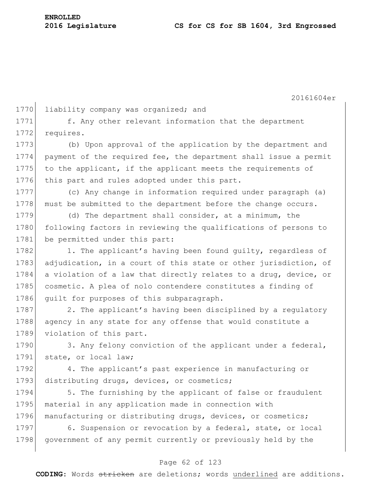20161604er 1770 liability company was organized; and 1771 f. Any other relevant information that the department 1772 requires. 1773 (b) Upon approval of the application by the department and 1774 payment of the required fee, the department shall issue a permit 1775 to the applicant, if the applicant meets the requirements of 1776 this part and rules adopted under this part. 1777 (c) Any change in information required under paragraph (a) 1778 must be submitted to the department before the change occurs. 1779 (d) The department shall consider, at a minimum, the 1780 following factors in reviewing the qualifications of persons to 1781 be permitted under this part: 1782 1. The applicant's having been found quilty, regardless of 1783 adjudication, in a court of this state or other jurisdiction, of 1784 a violation of a law that directly relates to a drug, device, or 1785 cosmetic. A plea of nolo contendere constitutes a finding of 1786 quilt for purposes of this subparagraph. 1787 2. The applicant's having been disciplined by a regulatory 1788 agency in any state for any offense that would constitute a 1789 violation of this part. 1790 3. Any felony conviction of the applicant under a federal, 1791 state, or local law; 1792 4. The applicant's past experience in manufacturing or 1793 distributing drugs, devices, or cosmetics; 1794 5. The furnishing by the applicant of false or fraudulent 1795 material in any application made in connection with 1796 manufacturing or distributing drugs, devices, or cosmetics; 1797 6. Suspension or revocation by a federal, state, or local 1798 government of any permit currently or previously held by the

#### Page 62 of 123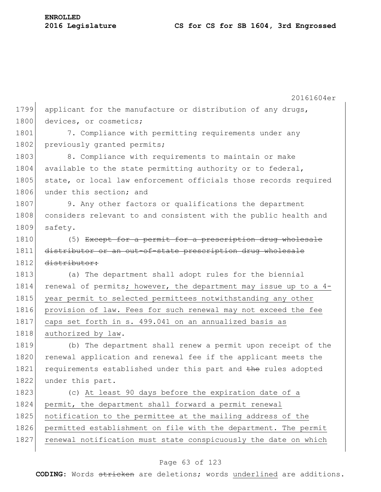|      | 20161604er                                                       |
|------|------------------------------------------------------------------|
| 1799 | applicant for the manufacture or distribution of any drugs,      |
| 1800 | devices, or cosmetics;                                           |
| 1801 | 7. Compliance with permitting requirements under any             |
| 1802 | previously granted permits;                                      |
| 1803 | 8. Compliance with requirements to maintain or make              |
| 1804 | available to the state permitting authority or to federal,       |
| 1805 | state, or local law enforcement officials those records required |
| 1806 | under this section; and                                          |
| 1807 | 9. Any other factors or qualifications the department            |
| 1808 | considers relevant to and consistent with the public health and  |
| 1809 | safety.                                                          |
| 1810 | (5) Except for a permit for a prescription drug wholesale        |
| 1811 | distributor or an out-of-state prescription drug wholesale       |
| 1812 | distributor:                                                     |
| 1813 | (a) The department shall adopt rules for the biennial            |
| 1814 | renewal of permits; however, the department may issue up to a 4- |
| 1815 | year permit to selected permittees notwithstanding any other     |
| 1816 | provision of law. Fees for such renewal may not exceed the fee   |
| 1817 | caps set forth in s. 499.041 on an annualized basis as           |
| 1818 | authorized by law.                                               |
| 1819 | (b) The department shall renew a permit upon receipt of the      |
| 1820 | renewal application and renewal fee if the applicant meets the   |
| 1821 | requirements established under this part and the rules adopted   |
| 1822 | under this part.                                                 |
| 1823 | (c) At least 90 days before the expiration date of a             |
| 1824 | permit, the department shall forward a permit renewal            |
| 1825 | notification to the permittee at the mailing address of the      |
| 1826 | permitted establishment on file with the department. The permit  |
| 1827 | renewal notification must state conspicuously the date on which  |
|      |                                                                  |

# Page 63 of 123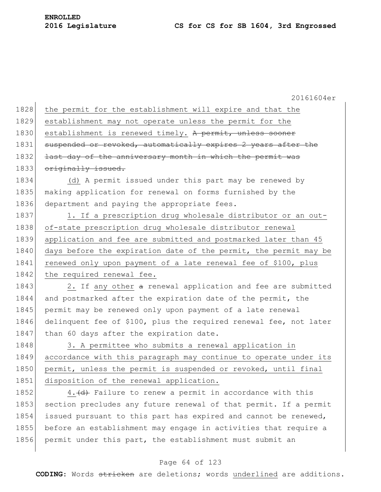1828 the permit for the establishment will expire and that the 1829 establishment may not operate unless the permit for the 1830 establishment is renewed timely. A permit, unless sooner 1831 suspended or revoked, automatically expires 2 years after the 1832 <del>last day of the anniversary month in which the permit was</del> 1833 originally issued. 1834 (d) A permit issued under this part may be renewed by 1835 making application for renewal on forms furnished by the 1836 department and paying the appropriate fees. 1837 1. If a prescription drug wholesale distributor or an out-1838 of-state prescription drug wholesale distributor renewal 1839 application and fee are submitted and postmarked later than 45 1840 days before the expiration date of the permit, the permit may be 1841 renewed only upon payment of a late renewal fee of \$100, plus 1842 the required renewal fee. 1843 2. If any other a renewal application and fee are submitted

1844 and postmarked after the expiration date of the permit, the 1845 permit may be renewed only upon payment of a late renewal 1846 delinquent fee of \$100, plus the required renewal fee, not later 1847 than 60 days after the expiration date.

1848 3. A permittee who submits a renewal application in 1849 accordance with this paragraph may continue to operate under its 1850 permit, unless the permit is suspended or revoked, until final 1851 disposition of the renewal application.

1852 4.  $\left(\frac{d}{dt}\right)$  Failure to renew a permit in accordance with this 1853 section precludes any future renewal of that permit. If a permit 1854 issued pursuant to this part has expired and cannot be renewed, 1855 before an establishment may engage in activities that require a 1856 permit under this part, the establishment must submit an

## Page 64 of 123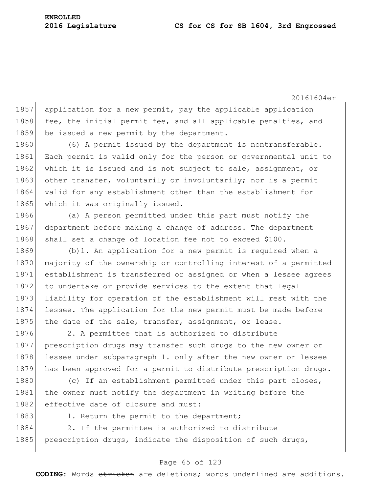20161604er 1857 application for a new permit, pay the applicable application 1858 fee, the initial permit fee, and all applicable penalties, and 1859 be issued a new permit by the department. 1860 (6) A permit issued by the department is nontransferable. 1861 Each permit is valid only for the person or governmental unit to 1862 which it is issued and is not subject to sale, assignment, or 1863 other transfer, voluntarily or involuntarily; nor is a permit 1864 valid for any establishment other than the establishment for 1865 which it was originally issued. 1866 (a) A person permitted under this part must notify the 1867 department before making a change of address. The department 1868 shall set a change of location fee not to exceed \$100. 1869 (b)1. An application for a new permit is required when a 1870 majority of the ownership or controlling interest of a permitted 1871 establishment is transferred or assigned or when a lessee agrees 1872 to undertake or provide services to the extent that legal 1873 liability for operation of the establishment will rest with the 1874 lessee. The application for the new permit must be made before 1875 the date of the sale, transfer, assignment, or lease. 1876 2. A permittee that is authorized to distribute 1877 prescription drugs may transfer such drugs to the new owner or 1878 lessee under subparagraph 1. only after the new owner or lessee 1879 has been approved for a permit to distribute prescription drugs. 1880 (c) If an establishment permitted under this part closes, 1881 the owner must notify the department in writing before the 1882 effective date of closure and must: 1883 1. Return the permit to the department; 1884 2. If the permittee is authorized to distribute 1885 prescription drugs, indicate the disposition of such drugs,

#### Page 65 of 123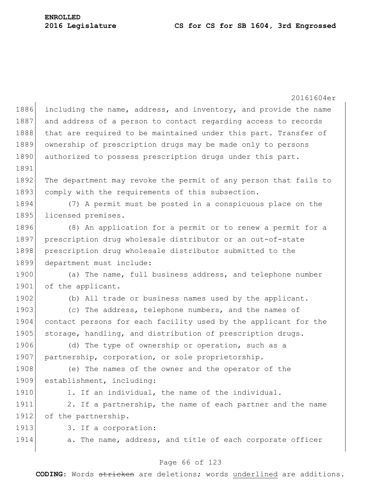20161604er 1886 including the name, address, and inventory, and provide the name 1887 and address of a person to contact regarding access to records 1888 that are required to be maintained under this part. Transfer of 1889 ownership of prescription drugs may be made only to persons 1890 authorized to possess prescription drugs under this part. 1891 1892 The department may revoke the permit of any person that fails to 1893 comply with the requirements of this subsection. 1894 (7) A permit must be posted in a conspicuous place on the 1895 licensed premises. 1896 (8) An application for a permit or to renew a permit for a 1897 prescription drug wholesale distributor or an out-of-state 1898 prescription drug wholesale distributor submitted to the 1899 department must include: 1900 (a) The name, full business address, and telephone number 1901 of the applicant. 1902 (b) All trade or business names used by the applicant. 1903 (c) The address, telephone numbers, and the names of 1904 contact persons for each facility used by the applicant for the 1905 storage, handling, and distribution of prescription drugs. 1906 (d) The type of ownership or operation, such as a 1907 partnership, corporation, or sole proprietorship. 1908 (e) The names of the owner and the operator of the 1909 establishment, including: 1910 1. If an individual, the name of the individual. 1911 2. If a partnership, the name of each partner and the name 1912 of the partnership. 1913 3. If a corporation: 1914 **a.** The name, address, and title of each corporate officer

# Page 66 of 123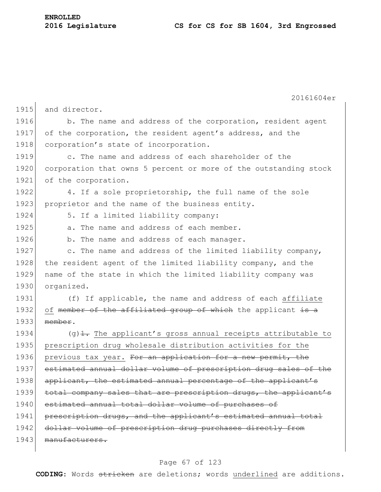**ENROLLED**

|      | 20161604er                                                                             |
|------|----------------------------------------------------------------------------------------|
| 1915 | and director.                                                                          |
| 1916 | b. The name and address of the corporation, resident agent                             |
| 1917 | of the corporation, the resident agent's address, and the                              |
| 1918 | corporation's state of incorporation.                                                  |
| 1919 | c. The name and address of each shareholder of the                                     |
| 1920 | corporation that owns 5 percent or more of the outstanding stock                       |
| 1921 | of the corporation.                                                                    |
| 1922 | 4. If a sole proprietorship, the full name of the sole                                 |
| 1923 | proprietor and the name of the business entity.                                        |
| 1924 | 5. If a limited liability company:                                                     |
| 1925 | a. The name and address of each member.                                                |
| 1926 | b. The name and address of each manager.                                               |
| 1927 | c. The name and address of the limited liability company,                              |
| 1928 | the resident agent of the limited liability company, and the                           |
| 1929 | name of the state in which the limited liability company was                           |
| 1930 | organized.                                                                             |
| 1931 | (f) If applicable, the name and address of each affiliate                              |
| 1932 | of member of the affiliated group of which the applicant is a                          |
| 1933 | member.                                                                                |
| 1934 | $(q)$ $\frac{1}{\sqrt{1 + q}}$ . The applicant's gross annual receipts attributable to |
| 1935 | prescription drug wholesale distribution activities for the                            |
| 1936 | previous tax year. For an application for a new permit, the                            |
| 1937 | estimated annual dollar volume of prescription drug sales of the                       |
| 1938 | applicant, the estimated annual percentage of the applicant's                          |
| 1939 | total company sales that are prescription drugs, the applicant's                       |
| 1940 | estimated annual total dollar volume of purchases of                                   |
| 1941 | prescription drugs, and the applicant's estimated annual total                         |
| 1942 | dollar volume of prescription drug purchases directly from                             |
| 1943 | manufacturers.                                                                         |
|      |                                                                                        |

# Page 67 of 123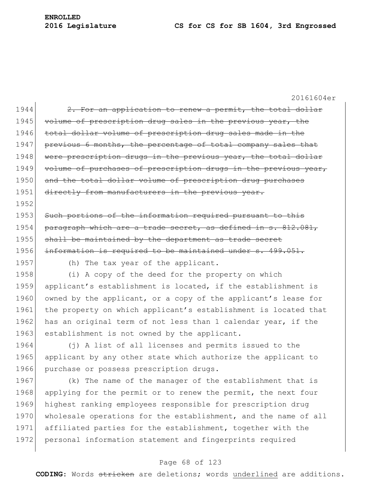20161604er 1944  $\sim$  2. For an application to renew a permit, the total dollar 1945 volume of prescription drug sales in the previous year, the 1946 total dollar volume of prescription drug sales made in the 1947 previous 6 months, the percentage of total company sales that 1948 were prescription drugs in the previous year, the total dollar 1949 volume of purchases of prescription drugs in the previous year, 1950 and the total dollar volume of prescription drug purchases 1951 directly from manufacturers in the previous year. 1952 1953 Such portions of the information required pursuant to this 1954 paragraph which are a trade secret, as defined in s. 812.081, 1955 shall be maintained by the department as trade secret 1956 information is required to be maintained under s. 499.051. 1957 (h) The tax year of the applicant. 1958 (i) A copy of the deed for the property on which 1959 applicant's establishment is located, if the establishment is 1960 owned by the applicant, or a copy of the applicant's lease for 1961 the property on which applicant's establishment is located that 1962 has an original term of not less than 1 calendar year, if the 1963 establishment is not owned by the applicant. 1964 (j) A list of all licenses and permits issued to the 1965 applicant by any other state which authorize the applicant to 1966 purchase or possess prescription drugs. 1967 (k) The name of the manager of the establishment that is 1968 applying for the permit or to renew the permit, the next four 1969 highest ranking employees responsible for prescription drug 1970 wholesale operations for the establishment, and the name of all

#### Page 68 of 123

1971 affiliated parties for the establishment, together with the

1972 personal information statement and fingerprints required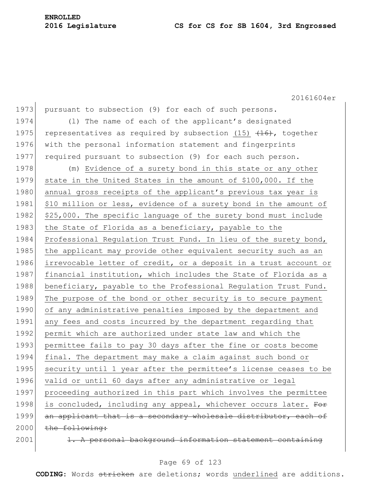20161604er 1973 pursuant to subsection (9) for each of such persons. 1974 (l) The name of each of the applicant's designated 1975 representatives as required by subsection (15)  $(16)$ , together 1976 with the personal information statement and fingerprints 1977 required pursuant to subsection (9) for each such person. 1978 (m) Evidence of a surety bond in this state or any other 1979 state in the United States in the amount of \$100,000. If the 1980 annual gross receipts of the applicant's previous tax year is 1981 \$10 million or less, evidence of a surety bond in the amount of 1982  $|$  \$25,000. The specific language of the surety bond must include 1983 the State of Florida as a beneficiary, payable to the 1984 Professional Regulation Trust Fund. In lieu of the surety bond, 1985 | the applicant may provide other equivalent security such as an 1986 irrevocable letter of credit, or a deposit in a trust account or 1987 financial institution, which includes the State of Florida as a 1988 beneficiary, payable to the Professional Regulation Trust Fund. 1989 The purpose of the bond or other security is to secure payment 1990 of any administrative penalties imposed by the department and 1991 any fees and costs incurred by the department regarding that 1992 permit which are authorized under state law and which the 1993 permittee fails to pay 30 days after the fine or costs become 1994 final. The department may make a claim against such bond or 1995 security until 1 year after the permittee's license ceases to be 1996 valid or until 60 days after any administrative or legal 1997 proceeding authorized in this part which involves the permittee 1998 is concluded, including any appeal, whichever occurs later. For 1999 an applicant that is a secondary wholesale distributor, each of  $2000$  the following:  $2001$  1. A personal background information statement containing

## Page 69 of 123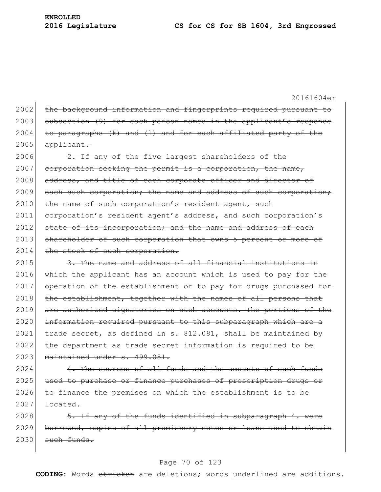20161604er 2002 the background information and fingerprints required pursuant to

2003 subsection (9) for each person named in the applicant's response  $2004$  to paragraphs (k) and (1) and for each affiliated party of the  $2005$  applicant.

 $2006$  2. If any of the five largest shareholders of the 2007 corporation seeking the permit is a corporation, the name, 2008 address, and title of each corporate officer and director of 2009 each such corporation; the name and address of such corporation; 2010 the name of such corporation's resident agent, such 2011 corporation's resident agent's address, and such corporation's 2012 state of its incorporation; and the name and address of each 2013 shareholder of such corporation that owns 5 percent or more of 2014 the stock of such corporation.

 $2015$  3. The name and address of all financial institutions in 2016 which the applicant has an account which is used to pay for the 2017 operation of the establishment or to pay for drugs purchased for 2018 the establishment, together with the names of all persons that 2019 are authorized signatories on such accounts. The portions of the 2020 information required pursuant to this subparagraph which are a 2021  $\left| \right|$  trade secret, as defined in s. 812.081, shall be maintained by 2022 the department as trade secret information is required to be 2023 maintained under s. 499.051.

 $2024$  4. The sources of all funds and the amounts of such funds 2025 used to purchase or finance purchases of prescription drugs or 2026 to finance the premises on which the establishment is to be  $2027$  <del>located.</del>

 $2028$  5. If any of the funds identified in subparagraph 4. were 2029 borrowed, copies of all promissory notes or loans used to obtain  $2030$  such funds.

#### Page 70 of 123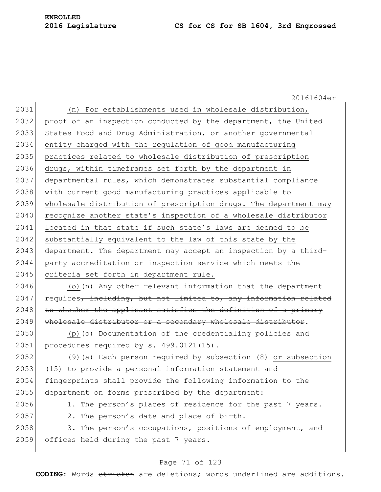20161604er 2031 (n) For establishments used in wholesale distribution, 2032 proof of an inspection conducted by the department, the United 2033 States Food and Drug Administration, or another governmental 2034 entity charged with the regulation of good manufacturing 2035 practices related to wholesale distribution of prescription 2036 drugs, within timeframes set forth by the department in 2037 departmental rules, which demonstrates substantial compliance 2038 with current good manufacturing practices applicable to 2039 wholesale distribution of prescription drugs. The department may 2040 recognize another state's inspection of a wholesale distributor 2041 located in that state if such state's laws are deemed to be 2042 substantially equivalent to the law of this state by the 2043 department. The department may accept an inspection by a third-2044 party accreditation or inspection service which meets the 2045 criteria set forth in department rule. 2046 (o) $\left\langle \text{h} \right\rangle$  Any other relevant information that the department  $2047$  requires, including, but not limited to, any information related  $2048$  to whether the applicant satisfies the definition of a primary 2049 wholesale distributor or a secondary wholesale distributor. 2050 (p) $\leftrightarrow$  Documentation of the credentialing policies and 2051 procedures required by s. 499.0121(15). 2052 (9)(a) Each person required by subsection (8) or subsection 2053 (15) to provide a personal information statement and 2054 fingerprints shall provide the following information to the 2055 department on forms prescribed by the department: 2056 1. The person's places of residence for the past 7 years. 2057 2. The person's date and place of birth. 2058 3. The person's occupations, positions of employment, and 2059 offices held during the past 7 years.

## Page 71 of 123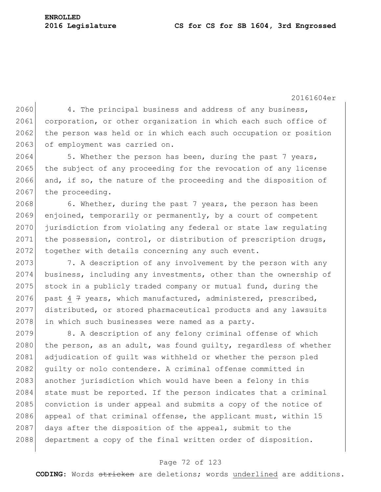**ENROLLED**

20161604er

2060 4. The principal business and address of any business, 2061 corporation, or other organization in which each such office of 2062 the person was held or in which each such occupation or position 2063 of employment was carried on.

2064 5. Whether the person has been, during the past 7 years, 2065 the subject of any proceeding for the revocation of any license 2066 and, if so, the nature of the proceeding and the disposition of 2067 the proceeding.

2068 6. Whether, during the past 7 years, the person has been 2069 enjoined, temporarily or permanently, by a court of competent 2070 jurisdiction from violating any federal or state law regulating 2071 the possession, control, or distribution of prescription drugs, 2072 together with details concerning any such event.

2073 7. A description of any involvement by the person with any 2074 business, including any investments, other than the ownership of 2075 stock in a publicly traded company or mutual fund, during the 2076 past 4 7 years, which manufactured, administered, prescribed, 2077 distributed, or stored pharmaceutical products and any lawsuits 2078 in which such businesses were named as a party.

2079 8. A description of any felony criminal offense of which 2080 the person, as an adult, was found quilty, regardless of whether 2081 adjudication of quilt was withheld or whether the person pled 2082 guilty or nolo contendere. A criminal offense committed in 2083 another jurisdiction which would have been a felony in this 2084 state must be reported. If the person indicates that a criminal 2085 conviction is under appeal and submits a copy of the notice of 2086 appeal of that criminal offense, the applicant must, within 15 2087 days after the disposition of the appeal, submit to the 2088 department a copy of the final written order of disposition.

# Page 72 of 123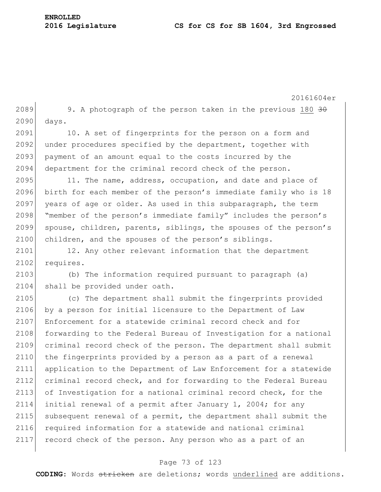2089 9. A photograph of the person taken in the previous 180  $30$ 2090 days. 2091 10. A set of fingerprints for the person on a form and 2092 under procedures specified by the department, together with 2093 payment of an amount equal to the costs incurred by the 2094 department for the criminal record check of the person. 2095 11. The name, address, occupation, and date and place of 2096 birth for each member of the person's immediate family who is 18 2097 years of age or older. As used in this subparagraph, the term 2098 "member of the person's immediate family" includes the person's 2099 spouse, children, parents, siblings, the spouses of the person's 2100 children, and the spouses of the person's siblings. 2101 12. Any other relevant information that the department 2102 requires. 2103 (b) The information required pursuant to paragraph (a) 2104 shall be provided under oath. 2105 (c) The department shall submit the fingerprints provided 2106 by a person for initial licensure to the Department of Law 2107 Enforcement for a statewide criminal record check and for 2108 forwarding to the Federal Bureau of Investigation for a national 2109 criminal record check of the person. The department shall submit 2110 the fingerprints provided by a person as a part of a renewal 2111 application to the Department of Law Enforcement for a statewide 2112 criminal record check, and for forwarding to the Federal Bureau 2113 of Investigation for a national criminal record check, for the 2114 initial renewal of a permit after January 1, 2004; for any 2115 subsequent renewal of a permit, the department shall submit the 2116 required information for a statewide and national criminal 2117 record check of the person. Any person who as a part of an

#### Page 73 of 123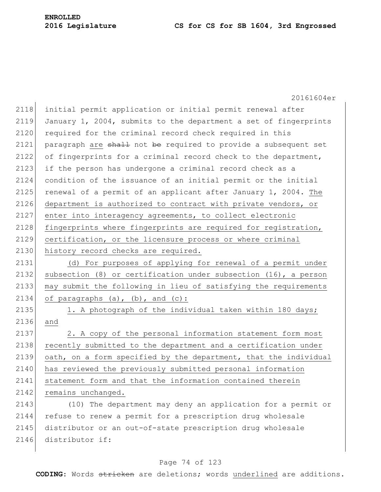20161604er 2118 initial permit application or initial permit renewal after 2119 January 1, 2004, submits to the department a set of fingerprints 2120 required for the criminal record check required in this 2121 paragraph are shall not be required to provide a subsequent set 2122 of fingerprints for a criminal record check to the department, 2123 if the person has undergone a criminal record check as a 2124 condition of the issuance of an initial permit or the initial 2125 renewal of a permit of an applicant after January 1, 2004. The 2126 department is authorized to contract with private vendors, or 2127 enter into interagency agreements, to collect electronic 2128 fingerprints where fingerprints are required for registration, 2129 certification, or the licensure process or where criminal 2130 history record checks are required. 2131 (d) For purposes of applying for renewal of a permit under 2132 subsection  $(8)$  or certification under subsection  $(16)$ , a person 2133 may submit the following in lieu of satisfying the requirements 2134 of paragraphs  $(a)$ ,  $(b)$ , and  $(c)$ : 2135 1. A photograph of the individual taken within 180 days; 2136 and 2137 2. A copy of the personal information statement form most 2138 recently submitted to the department and a certification under 2139 oath, on a form specified by the department, that the individual 2140 has reviewed the previously submitted personal information 2141 statement form and that the information contained therein 2142 remains unchanged. 2143 (10) The department may deny an application for a permit or 2144 refuse to renew a permit for a prescription drug wholesale 2145 distributor or an out-of-state prescription drug wholesale 2146 distributor if:

#### Page 74 of 123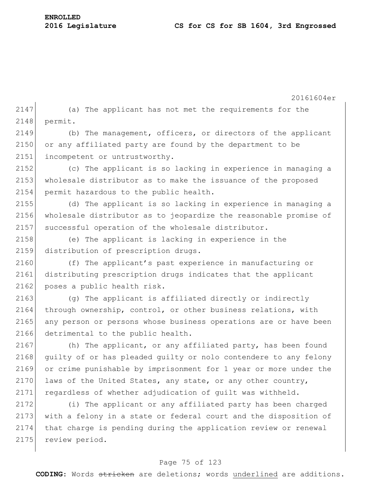20161604er  $2147$  (a) The applicant has not met the requirements for the 2148 permit. 2149 (b) The management, officers, or directors of the applicant 2150 or any affiliated party are found by the department to be 2151 incompetent or untrustworthy. 2152 (c) The applicant is so lacking in experience in managing a 2153 wholesale distributor as to make the issuance of the proposed 2154 permit hazardous to the public health. 2155 (d) The applicant is so lacking in experience in managing a 2156 wholesale distributor as to jeopardize the reasonable promise of 2157 successful operation of the wholesale distributor. 2158 (e) The applicant is lacking in experience in the 2159 distribution of prescription drugs. 2160 (f) The applicant's past experience in manufacturing or 2161 distributing prescription drugs indicates that the applicant 2162 poses a public health risk. 2163 (g) The applicant is affiliated directly or indirectly 2164 | through ownership, control, or other business relations, with 2165 any person or persons whose business operations are or have been 2166 detrimental to the public health. 2167 (h) The applicant, or any affiliated party, has been found 2168 guilty of or has pleaded quilty or nolo contendere to any felony 2169 or crime punishable by imprisonment for 1 year or more under the 2170 laws of the United States, any state, or any other country, 2171 regardless of whether adjudication of quilt was withheld. 2172 (i) The applicant or any affiliated party has been charged 2173 with a felony in a state or federal court and the disposition of 2174 that charge is pending during the application review or renewal 2175 review period.

#### Page 75 of 123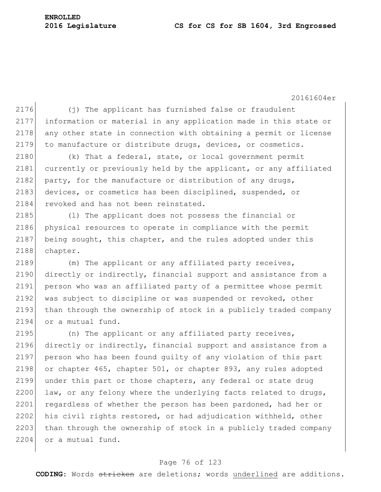#### **2016 Legislature CS for CS for SB 1604, 3rd Engrossed**

20161604er

 $2176$  (j) The applicant has furnished false or fraudulent 2177 information or material in any application made in this state or  $2178$  any other state in connection with obtaining a permit or license 2179 to manufacture or distribute drugs, devices, or cosmetics.  $2180$  (k) That a federal, state, or local government permit 2181 currently or previously held by the applicant, or any affiliated 2182 party, for the manufacture or distribution of any drugs, 2183 devices, or cosmetics has been disciplined, suspended, or 2184 revoked and has not been reinstated. 2185 (l) The applicant does not possess the financial or 2186 physical resources to operate in compliance with the permit 2187 being sought, this chapter, and the rules adopted under this 2188 chapter. 2189 (m) The applicant or any affiliated party receives, 2190 directly or indirectly, financial support and assistance from a 2191 person who was an affiliated party of a permittee whose permit 2192 was subject to discipline or was suspended or revoked, other 2193 than through the ownership of stock in a publicly traded company 2194 or a mutual fund. 2195 (n) The applicant or any affiliated party receives, 2196 directly or indirectly, financial support and assistance from a 2197 person who has been found guilty of any violation of this part 2198 or chapter 465, chapter 501, or chapter 893, any rules adopted 2199 under this part or those chapters, any federal or state drug  $2200$  law, or any felony where the underlying facts related to drugs, 2201 regardless of whether the person has been pardoned, had her or

2202 his civil rights restored, or had adjudication withheld, other 2203 than through the ownership of stock in a publicly traded company 2204 or a mutual fund.

#### Page 76 of 123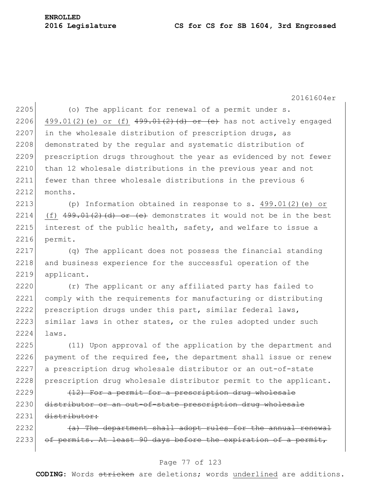#### **2016 Legislature CS for CS for SB 1604, 3rd Engrossed**

20161604er

2205 (o) The applicant for renewal of a permit under  $s$ . 2206 499.01(2)(e) or (f)  $499.01(2)$  (d) or (e) has not actively engaged  $2207$  in the wholesale distribution of prescription drugs, as 2208 demonstrated by the reqular and systematic distribution of 2209 prescription drugs throughout the year as evidenced by not fewer 2210 than 12 wholesale distributions in the previous year and not 2211 fewer than three wholesale distributions in the previous 6 2212 months.

2213 (p) Information obtained in response to s. 499.01(2)(e) or 2214 (f)  $499.01(2)(d)$  or (e) demonstrates it would not be in the best 2215 interest of the public health, safety, and welfare to issue a 2216 permit.

2217 (q) The applicant does not possess the financial standing 2218 and business experience for the successful operation of the 2219 applicant.

2220 (r) The applicant or any affiliated party has failed to 2221 comply with the requirements for manufacturing or distributing 2222 prescription drugs under this part, similar federal laws, 2223 similar laws in other states, or the rules adopted under such 2224 laws.

2225 (11) Upon approval of the application by the department and 2226 payment of the required fee, the department shall issue or renew 2227 a prescription drug wholesale distributor or an out-of-state 2228 prescription drug wholesale distributor permit to the applicant.

 $2229$  (12) For a permit for a prescription drug wholesale 2230 distributor or an out-of-state prescription drug wholesale 2231 distributor:

 $2232$  (a) The department shall adopt rules for the annual renewal  $2233$  of permits. At least 90 days before the expiration of a permit,

#### Page 77 of 123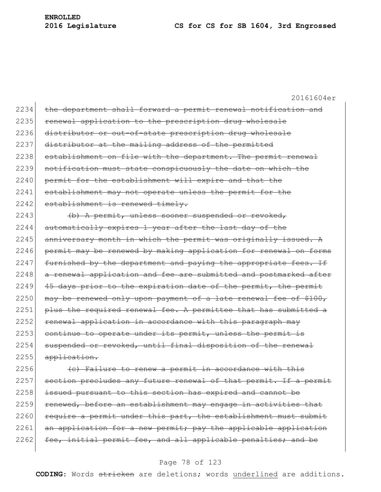20161604er 2234 the department shall forward a permit renewal notification and 2235 renewal application to the prescription drug wholesale 2236 distributor or out-of-state prescription drug wholesale 2237 distributor at the mailing address of the permitted 2238 establishment on file with the department. The permit renewal 2239 notification must state conspicuously the date on which the 2240 permit for the establishment will expire and that the 2241 establishment may not operate unless the permit for the 2242 establishment is renewed timely.  $2243$  (b) A permit, unless sooner suspended or revoked,  $2244$  automatically expires 1 year after the last day of the  $2245$  anniversary month in which the permit was originally issued. A 2246 permit may be renewed by making application for renewal on forms  $2247$  furnished by the department and paying the appropriate fees. If 2248 a renewal application and fee are submitted and postmarked after 2249  $\left|$  45 days prior to the expiration date of the permit, the permit  $2250$  may be renewed only upon payment of a late renewal fee of \$100, 2251 plus the required renewal fee. A permittee that has submitted a 2252 renewal application in accordance with this paragraph may  $2253$  continue to operate under its permit, unless the permit is 2254 suspended or revoked, until final disposition of the renewal 2255 application. 2256  $\left($  (c) Failure to renew a permit in accordance with this

2257 section precludes any future renewal of that permit. If a permit 2258 issued pursuant to this section has expired and cannot be 2259 renewed, before an establishment may engage in activities that  $2260$  require a permit under this part, the establishment must submit  $2261$  an application for a new permit; pay the applicable application 2262 fee, initial permit fee, and all applicable penalties; and be

#### Page 78 of 123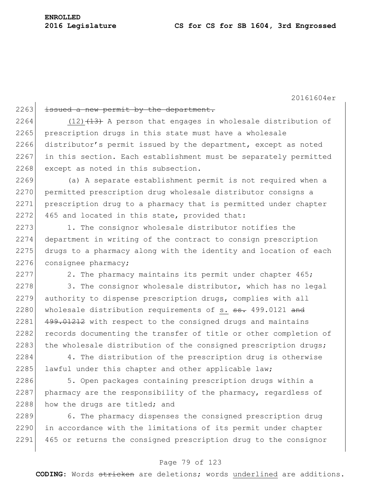#### 2263 issued a new permit by the department.

2264 (12) $(12)$  (13) A person that engages in wholesale distribution of 2265 prescription drugs in this state must have a wholesale 2266 distributor's permit issued by the department, except as noted 2267 in this section. Each establishment must be separately permitted 2268 except as noted in this subsection.

2269 (a) A separate establishment permit is not required when a 2270 permitted prescription drug wholesale distributor consigns a 2271 prescription drug to a pharmacy that is permitted under chapter 2272 465 and located in this state, provided that:

2273 1. The consignor wholesale distributor notifies the 2274 department in writing of the contract to consign prescription 2275 drugs to a pharmacy along with the identity and location of each 2276 consignee pharmacy;

 $2277$  2. The pharmacy maintains its permit under chapter 465;

 $2278$  3. The consignor wholesale distributor, which has no legal 2279 authority to dispense prescription drugs, complies with all 2280 wholesale distribution requirements of s. ss. 499.0121 and 2281 499.01212 with respect to the consigned drugs and maintains 2282 records documenting the transfer of title or other completion of 2283 the wholesale distribution of the consigned prescription drugs;

2284 4. The distribution of the prescription drug is otherwise 2285 lawful under this chapter and other applicable law;

2286 5. Open packages containing prescription drugs within a  $2287$  pharmacy are the responsibility of the pharmacy, regardless of 2288 how the drugs are titled; and

2289 6. The pharmacy dispenses the consigned prescription drug 2290 in accordance with the limitations of its permit under chapter 2291 465 or returns the consigned prescription drug to the consignor

#### Page 79 of 123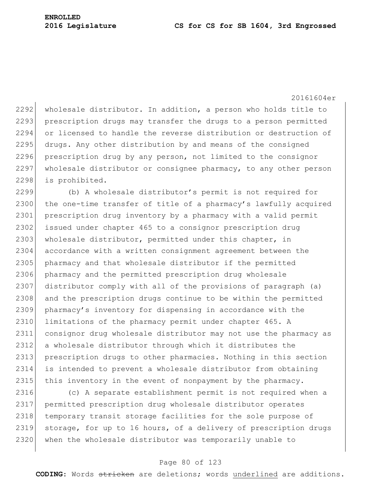2292 wholesale distributor. In addition, a person who holds title to 2293 prescription drugs may transfer the drugs to a person permitted 2294 or licensed to handle the reverse distribution or destruction of 2295 drugs. Any other distribution by and means of the consigned 2296 prescription drug by any person, not limited to the consignor 2297 wholesale distributor or consignee pharmacy, to any other person 2298 is prohibited.

2299 (b) A wholesale distributor's permit is not required for 2300 the one-time transfer of title of a pharmacy's lawfully acquired 2301 prescription drug inventory by a pharmacy with a valid permit 2302 issued under chapter 465 to a consignor prescription drug 2303 wholesale distributor, permitted under this chapter, in 2304 accordance with a written consignment agreement between the 2305 pharmacy and that wholesale distributor if the permitted 2306 pharmacy and the permitted prescription drug wholesale 2307 distributor comply with all of the provisions of paragraph (a) 2308 and the prescription drugs continue to be within the permitted 2309 pharmacy's inventory for dispensing in accordance with the 2310 limitations of the pharmacy permit under chapter 465. A 2311 consignor drug wholesale distributor may not use the pharmacy as 2312 a wholesale distributor through which it distributes the 2313 prescription drugs to other pharmacies. Nothing in this section 2314 is intended to prevent a wholesale distributor from obtaining 2315 this inventory in the event of nonpayment by the pharmacy.

2316 (c) A separate establishment permit is not required when a 2317 permitted prescription drug wholesale distributor operates 2318 temporary transit storage facilities for the sole purpose of 2319 storage, for up to 16 hours, of a delivery of prescription drugs 2320 when the wholesale distributor was temporarily unable to

#### Page 80 of 123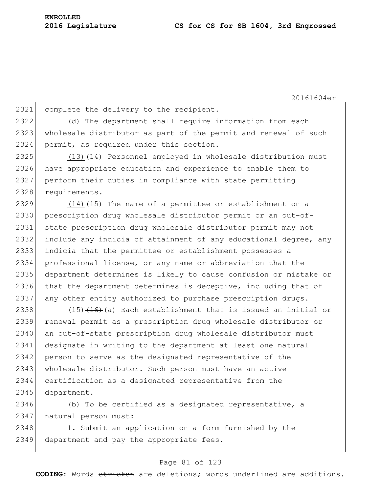2321 complete the delivery to the recipient. 2322 (d) The department shall require information from each 2323 wholesale distributor as part of the permit and renewal of such 2324 permit, as required under this section.

 $(13)$   $(14)$  Personnel employed in wholesale distribution must have appropriate education and experience to enable them to perform their duties in compliance with state permitting 2328 requirements.

2329  $(14)$   $(15)$  The name of a permittee or establishment on a 2330 prescription drug wholesale distributor permit or an out-of-2331 state prescription drug wholesale distributor permit may not 2332 include any indicia of attainment of any educational degree, any 2333 indicia that the permittee or establishment possesses a 2334 professional license, or any name or abbreviation that the 2335 department determines is likely to cause confusion or mistake or 2336 that the department determines is deceptive, including that of 2337 any other entity authorized to purchase prescription drugs.

2338  $(15)$  (15)(16) Each establishment that is issued an initial or 2339 renewal permit as a prescription drug wholesale distributor or 2340 an out-of-state prescription drug wholesale distributor must 2341 designate in writing to the department at least one natural 2342 person to serve as the designated representative of the 2343 wholesale distributor. Such person must have an active 2344 certification as a designated representative from the 2345 department.

2346 (b) To be certified as a designated representative, a 2347 | natural person must:

2348 1. Submit an application on a form furnished by the 2349 department and pay the appropriate fees.

#### Page 81 of 123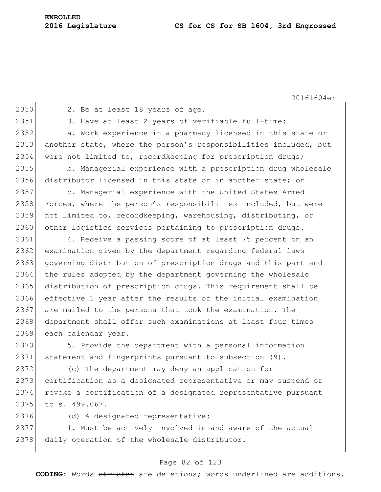2350 2. Be at least 18 years of age.

2351 3. Have at least 2 years of verifiable full-time:

2352 a. Work experience in a pharmacy licensed in this state or 2353 another state, where the person's responsibilities included, but 2354 were not limited to, recordkeeping for prescription drugs;

2355 b. Managerial experience with a prescription drug wholesale 2356 distributor licensed in this state or in another state; or

2357 c. Managerial experience with the United States Armed 2358 Forces, where the person's responsibilities included, but were 2359 not limited to, recordkeeping, warehousing, distributing, or 2360 other logistics services pertaining to prescription drugs.

2361 4. Receive a passing score of at least 75 percent on an 2362 examination given by the department regarding federal laws 2363 governing distribution of prescription drugs and this part and 2364 the rules adopted by the department governing the wholesale 2365 distribution of prescription drugs. This requirement shall be 2366 effective 1 year after the results of the initial examination 2367 are mailed to the persons that took the examination. The 2368 department shall offer such examinations at least four times 2369 each calendar year.

2370 5. Provide the department with a personal information 2371 statement and fingerprints pursuant to subsection (9).

2372 (c) The department may deny an application for 2373 certification as a designated representative or may suspend or 2374 revoke a certification of a designated representative pursuant 2375 to s. 499.067.

2376 (d) A designated representative:

2377 1. Must be actively involved in and aware of the actual 2378 daily operation of the wholesale distributor.

#### Page 82 of 123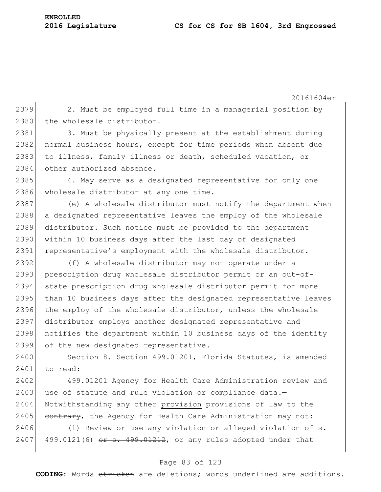**ENROLLED**

20161604er  $2379$  2. Must be employed full time in a managerial position by 2380 the wholesale distributor. 2381 3. Must be physically present at the establishment during 2382 normal business hours, except for time periods when absent due 2383 to illness, family illness or death, scheduled vacation, or 2384 other authorized absence. 2385 4. May serve as a designated representative for only one 2386 wholesale distributor at any one time. 2387 (e) A wholesale distributor must notify the department when 2388 a designated representative leaves the employ of the wholesale 2389 distributor. Such notice must be provided to the department 2390 within 10 business days after the last day of designated 2391 representative's employment with the wholesale distributor. 2392 (f) A wholesale distributor may not operate under a 2393 prescription drug wholesale distributor permit or an out-of-2394 state prescription drug wholesale distributor permit for more 2395 than 10 business days after the designated representative leaves 2396 the employ of the wholesale distributor, unless the wholesale 2397 distributor employs another designated representative and 2398 notifies the department within 10 business days of the identity 2399 of the new designated representative. 2400 Section 8. Section 499.01201, Florida Statutes, is amended 2401 to read: 2402 499.01201 Agency for Health Care Administration review and 2403 use of statute and rule violation or compliance  $data$ . 2404 Notwithstanding any other provision provisions of law to the

2406 (1) Review or use any violation or alleged violation of s. 2407 499.0121(6) or s. 499.01212, or any rules adopted under that

 $2405$  contrary, the Agency for Health Care Administration may not:

#### Page 83 of 123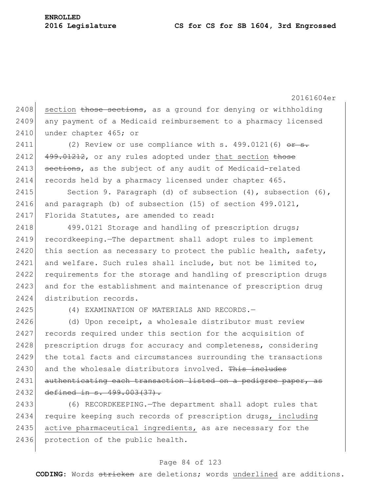20161604er  $2408$  section those sections, as a ground for denying or withholding 2409 any payment of a Medicaid reimbursement to a pharmacy licensed 2410 under chapter 465; or 2411 (2) Review or use compliance with s.  $499.0121(6)$  or s.  $2412$   $499.01212$ , or any rules adopted under that section those 2413 sections, as the subject of any audit of Medicaid-related 2414 records held by a pharmacy licensed under chapter 465. 2415 Section 9. Paragraph (d) of subsection (4), subsection (6), 2416 and paragraph (b) of subsection (15) of section 499.0121, 2417 Florida Statutes, are amended to read: 2418 499.0121 Storage and handling of prescription drugs; 2419 recordkeeping.—The department shall adopt rules to implement 2420 this section as necessary to protect the public health, safety, 2421 and welfare. Such rules shall include, but not be limited to, 2422 requirements for the storage and handling of prescription drugs 2423 and for the establishment and maintenance of prescription drug 2424 distribution records. 2425 (4) EXAMINATION OF MATERIALS AND RECORDS.— 2426 (d) Upon receipt, a wholesale distributor must review 2427 records required under this section for the acquisition of 2428 prescription drugs for accuracy and completeness, considering 2429 the total facts and circumstances surrounding the transactions  $2430$  and the wholesale distributors involved. This includes 2431 authenticating each transaction listed on a pedigree paper, as 2432 defined in s. 499.003(37).

2433 (6) RECORDKEEPING.—The department shall adopt rules that 2434 require keeping such records of prescription drugs, including 2435 active pharmaceutical ingredients, as are necessary for the 2436 protection of the public health.

#### Page 84 of 123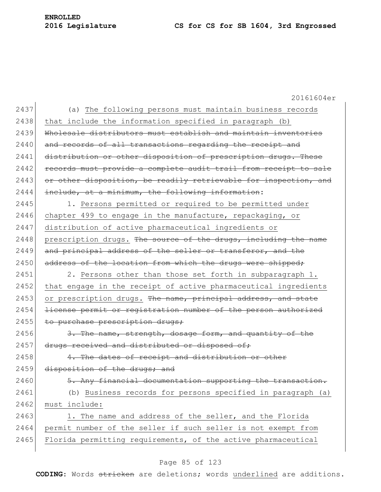20161604er 2437 (a) The following persons must maintain business records  $2438$  that include the information specified in paragraph (b) 2439 Wholesale distributors must establish and maintain inventories 2440 and records of all transactions regarding the receipt and 2441 distribution or other disposition of prescription drugs. These 2442 records must provide a complete audit trail from receipt to sale 2443 or other disposition, be readily retrievable for inspection, and  $2444$  include, at a minimum, the following information: 2445 1. Persons permitted or required to be permitted under 2446 chapter 499 to engage in the manufacture, repackaging, or 2447 distribution of active pharmaceutical ingredients or 2448 prescription drugs. The source of the drugs, including the name 2449 and principal address of the seller or transferor, and the 2450 address of the location from which the drugs were shipped; 2451 2. Persons other than those set forth in subparagraph 1. 2452 that engage in the receipt of active pharmaceutical ingredients 2453 or prescription drugs. The name, principal address, and state 2454 <del>license permit or registration number of the person authorized</del> 2455 to purchase prescription drugs; 2456 3. The name, strength, dosage form, and quantity of the 2457 drugs received and distributed or disposed of;  $2458$  4. The dates of receipt and distribution or other 2459 disposition of the drugs; and 2460 5. Any financial documentation supporting the transaction. 2461 (b) Business records for persons specified in paragraph (a) 2462 must include: 2463 1. The name and address of the seller, and the Florida 2464 permit number of the seller if such seller is not exempt from 2465 Florida permitting requirements, of the active pharmaceutical

#### Page 85 of 123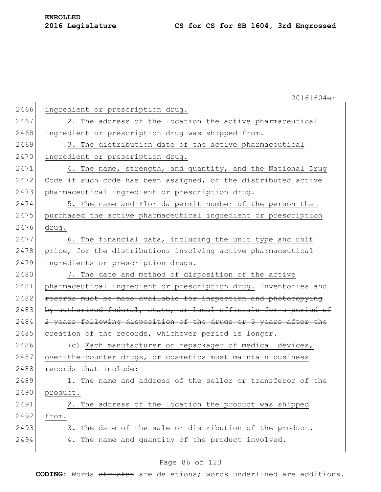|      | 20161604er                                                       |
|------|------------------------------------------------------------------|
| 2466 | ingredient or prescription drug.                                 |
| 2467 | 2. The address of the location the active pharmaceutical         |
| 2468 | ingredient or prescription drug was shipped from.                |
| 2469 | 3. The distribution date of the active pharmaceutical            |
| 2470 | ingredient or prescription drug.                                 |
| 2471 | 4. The name, strength, and quantity, and the National Drug       |
| 2472 | Code if such code has been assigned, of the distributed active   |
| 2473 | pharmaceutical ingredient or prescription drug.                  |
| 2474 | 5. The name and Florida permit number of the person that         |
| 2475 | purchased the active pharmaceutical ingredient or prescription   |
| 2476 | drug.                                                            |
| 2477 | 6. The financial data, including the unit type and unit          |
| 2478 | price, for the distributions involving active pharmaceutical     |
| 2479 | ingredients or prescription drugs.                               |
| 2480 | 7. The date and method of disposition of the active              |
| 2481 | pharmaceutical ingredient or prescription drug. Inventories and  |
| 2482 | records must be made available for inspection and photocopying   |
| 2483 | by authorized federal, state, or local officials for a period of |
| 2484 | 2 years following disposition of the drugs or 3 years after the  |
| 2485 | ereation of the records, whichever period is longer.             |
| 2486 | (c) Each manufacturer or repackager of medical devices,          |
| 2487 | over-the-counter drugs, or cosmetics must maintain business      |
| 2488 | records that include:                                            |
| 2489 | 1. The name and address of the seller or transferor of the       |
| 2490 | product.                                                         |
| 2491 | 2. The address of the location the product was shipped           |
| 2492 | from.                                                            |
| 2493 | 3. The date of the sale or distribution of the product.          |
| 2494 | 4. The name and quantity of the product involved.                |

## Page 86 of 123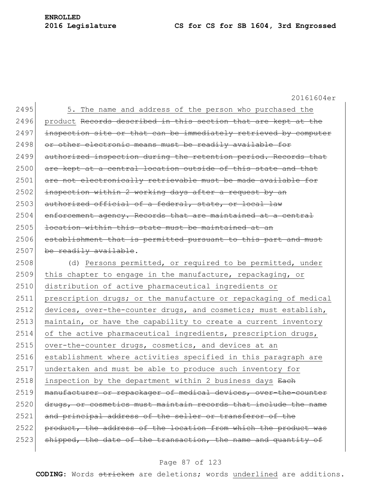#### **2016 Legislature CS for CS for SB 1604, 3rd Engrossed**

**ENROLLED**

20161604er 2495 5. The name and address of the person who purchased the 2496 product Records described in this section that are kept at the 2497 inspection site or that can be immediately retrieved by computer 2498 or other electronic means must be readily available for 2499 authorized inspection during the retention period. Records that 2500 are kept at a central location outside of this state and that 2501 are not electronically retrievable must be made available for  $2502$  inspection within 2 working days after a request by an 2503 authorized official of a federal, state, or local law  $2504$  enforcement agency. Records that are maintained at a central  $2505$  location within this state must be maintained at an 2506 establishment that is permitted pursuant to this part and must  $2507$  be readily available. 2508 (d) Persons permitted, or required to be permitted, under 2509 this chapter to engage in the manufacture, repackaging, or 2510 distribution of active pharmaceutical ingredients or 2511 prescription drugs; or the manufacture or repackaging of medical 2512 devices, over-the-counter drugs, and cosmetics; must establish,  $2513$  maintain, or have the capability to create a current inventory 2514 of the active pharmaceutical ingredients, prescription drugs, 2515 over-the-counter drugs, cosmetics, and devices at an 2516 establishment where activities specified in this paragraph are 2517 undertaken and must be able to produce such inventory for  $2518$  inspection by the department within 2 business days  $\frac{12}{2}$ 2519 manufacturer or repackager of medical devices, over-the-counter 2520 drugs, or cosmetics must maintain records that include the name 2521 and principal address of the seller or transferor of the 2522 product, the address of the location from which the product was 2523 shipped, the date of the transaction, the name and quantity of

#### Page 87 of 123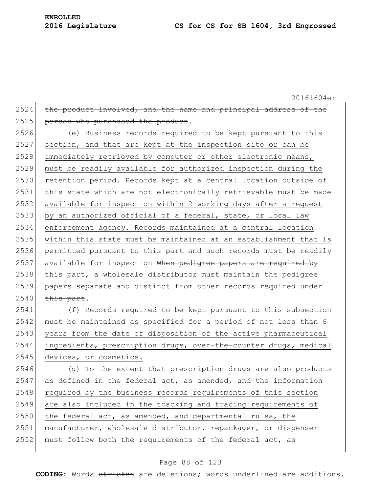$2524$  the product involved, and the name and principal address of the 2525 person who purchased the product. 2526 (e) Business records required to be kept pursuant to this  $2527$  section, and that are kept at the inspection site or can be 2528 immediately retrieved by computer or other electronic means, 2529 must be readily available for authorized inspection during the 2530 retention period. Records kept at a central location outside of 2531 this state which are not electronically retrievable must be made 2532 available for inspection within 2 working days after a request 2533 by an authorized official of a federal, state, or local law 2534 enforcement agency. Records maintained at a central location 2535 within this state must be maintained at an establishment that is 2536 permitted pursuant to this part and such records must be readily 2537 available for inspection When pedigree papers are required by  $2538$  this part, a wholesale distributor must maintain the pedigree 2539 papers separate and distinct from other records required under  $2540$  this part. 2541 (f) Records required to be kept pursuant to this subsection 2542 must be maintained as specified for a period of not less than 6

2543 years from the date of disposition of the active pharmaceutical 2544 ingredients, prescription drugs, over-the-counter drugs, medical 2545 devices, or cosmetics.

 (g) To the extent that prescription drugs are also products as defined in the federal act, as amended, and the information 2548 required by the business records requirements of this section are also included in the tracking and tracing requirements of the federal act, as amended, and departmental rules, the 2551 manufacturer, wholesale distributor, repackager, or dispenser must follow both the requirements of the federal act, as

#### Page 88 of 123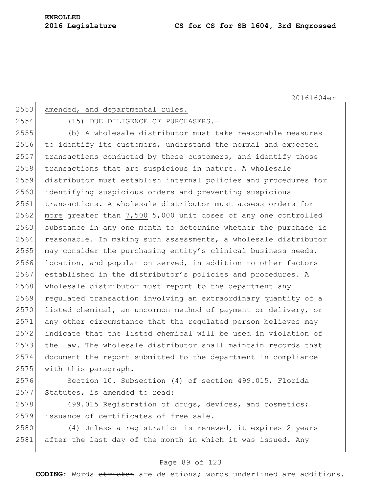| 2553 | amended, and departmental rules.                                        |
|------|-------------------------------------------------------------------------|
| 2554 | (15) DUE DILIGENCE OF PURCHASERS.-                                      |
| 2555 | (b) A wholesale distributor must take reasonable measures               |
| 2556 | to identify its customers, understand the normal and expected           |
| 2557 | transactions conducted by those customers, and identify those           |
| 2558 | transactions that are suspicious in nature. A wholesale                 |
| 2559 | distributor must establish internal policies and procedures for         |
| 2560 | identifying suspicious orders and preventing suspicious                 |
| 2561 | transactions. A wholesale distributor must assess orders for            |
| 2562 | more $\theta$ areater than 7,500 5,000 unit doses of any one controlled |
| 2563 | substance in any one month to determine whether the purchase is         |
| 2564 | reasonable. In making such assessments, a wholesale distributor         |
| 2565 | may consider the purchasing entity's clinical business needs,           |
| 2566 | location, and population served, in addition to other factors           |
| 2567 | established in the distributor's policies and procedures. A             |
| 2568 | wholesale distributor must report to the department any                 |
| 2569 | regulated transaction involving an extraordinary quantity of a          |
| 2570 | listed chemical, an uncommon method of payment or delivery, or          |
| 2571 | any other circumstance that the regulated person believes may           |
| 2572 | indicate that the listed chemical will be used in violation of          |
| 2573 | the law. The wholesale distributor shall maintain records that          |
| 2574 | document the report submitted to the department in compliance           |
| 2575 | with this paragraph.                                                    |
| 2576 | Section 10. Subsection (4) of section 499.015, Florida                  |
| 2577 | Statutes, is amended to read:                                           |
| 2578 | 499.015 Registration of drugs, devices, and cosmetics;                  |
| 2579 | issuance of certificates of free sale.-                                 |
| 2580 | (4) Unless a registration is renewed, it expires 2 years                |
| 2581 | after the last day of the month in which it was issued. Any             |
|      |                                                                         |

#### Page 89 of 123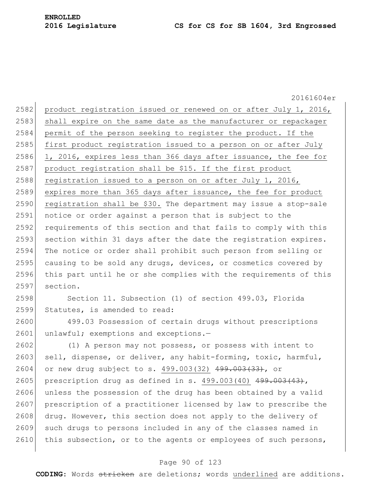20161604er 2582 product registration issued or renewed on or after July 1, 2016, 2583 shall expire on the same date as the manufacturer or repackager 2584 permit of the person seeking to register the product. If the 2585 first product registration issued to a person on or after July 2586 1, 2016, expires less than 366 days after issuance, the fee for 2587 product registration shall be \$15. If the first product 2588 registration issued to a person on or after July 1, 2016, 2589 expires more than 365 days after issuance, the fee for product  $2590$  registration shall be \$30. The department may issue a stop-sale 2591 notice or order against a person that is subject to the 2592 requirements of this section and that fails to comply with this 2593 section within 31 days after the date the registration expires. 2594 The notice or order shall prohibit such person from selling or 2595 causing to be sold any drugs, devices, or cosmetics covered by 2596 this part until he or she complies with the requirements of this 2597 section. 2598 Section 11. Subsection (1) of section 499.03, Florida 2599 Statutes, is amended to read: 2600 499.03 Possession of certain drugs without prescriptions 2601 unlawful; exemptions and exceptions.-2602 (1) A person may not possess, or possess with intent to 2603 sell, dispense, or deliver, any habit-forming, toxic, harmful, 2604 or new drug subject to s. 499.003(32) 499.003(33), or 2605 prescription drug as defined in s.  $499.003(40)$   $499.003(43)$ , 2606 unless the possession of the drug has been obtained by a valid 2607 prescription of a practitioner licensed by law to prescribe the 2608 drug. However, this section does not apply to the delivery of 2609 such drugs to persons included in any of the classes named in 2610 this subsection, or to the agents or employees of such persons,

#### Page 90 of 123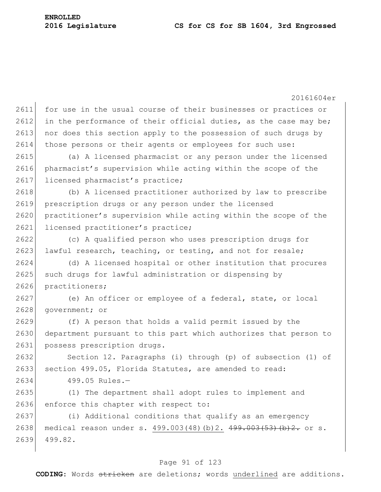20161604er 2611 for use in the usual course of their businesses or practices or 2612 in the performance of their official duties, as the case may be; 2613 nor does this section apply to the possession of such drugs by 2614 those persons or their agents or employees for such use: 2615 (a) A licensed pharmacist or any person under the licensed 2616 pharmacist's supervision while acting within the scope of the 2617 licensed pharmacist's practice; 2618 (b) A licensed practitioner authorized by law to prescribe 2619 prescription drugs or any person under the licensed 2620 practitioner's supervision while acting within the scope of the 2621 licensed practitioner's practice; 2622 (c) A qualified person who uses prescription drugs for 2623 lawful research, teaching, or testing, and not for resale; 2624 (d) A licensed hospital or other institution that procures 2625 such drugs for lawful administration or dispensing by 2626 practitioners; 2627 (e) An officer or employee of a federal, state, or local 2628 government; or 2629 (f) A person that holds a valid permit issued by the 2630 department pursuant to this part which authorizes that person to 2631 possess prescription drugs. 2632 Section 12. Paragraphs (i) through (p) of subsection (1) of 2633 section 499.05, Florida Statutes, are amended to read: 2634 499.05 Rules.— 2635 (1) The department shall adopt rules to implement and 2636 enforce this chapter with respect to: 2637 (i) Additional conditions that qualify as an emergency 2638 medical reason under s. 499.003(48)(b)2. 499.003(53)(b)2. or s. 2639 499.82.

#### Page 91 of 123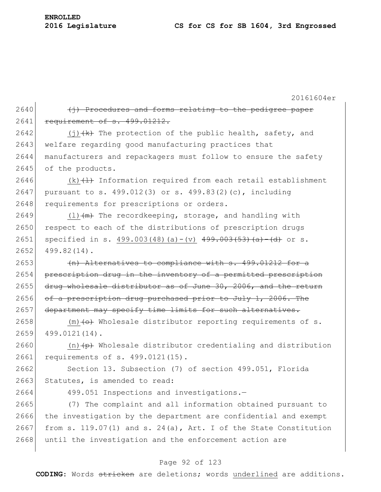**ENROLLED**

|      | 20161604er                                                                 |
|------|----------------------------------------------------------------------------|
| 2640 | (j) Procedures and forms relating to the pedigree paper                    |
| 2641 | requirement of s. 499.01212.                                               |
| 2642 | (j) $\{k\}$ The protection of the public health, safety, and               |
| 2643 | welfare regarding good manufacturing practices that                        |
| 2644 | manufacturers and repackagers must follow to ensure the safety             |
| 2645 | of the products.                                                           |
| 2646 | $(k)$ $(1)$ Information required from each retail establishment            |
| 2647 | pursuant to s. 499.012(3) or s. 499.83(2)(c), including                    |
| 2648 | requirements for prescriptions or orders.                                  |
| 2649 | $(1)$ $(m)$ The recordkeeping, storage, and handling with                  |
| 2650 | respect to each of the distributions of prescription drugs                 |
| 2651 | specified in s. 499.003(48)(a)-(v) $499.003(53)(a) - (d)$ or s.            |
| 2652 | 499.82(14).                                                                |
| 2653 | (n) Alternatives to compliance with s. 499.01212 for a                     |
| 2654 | prescription drug in the inventory of a permitted prescription             |
| 2655 | drug wholesale distributor as of June 30, 2006, and the return             |
| 2656 | of a prescription drug purchased prior to July 1, 2006. The                |
| 2657 | department may specify time limits for such alternatives.                  |
| 2658 | $(m)$ $\leftrightarrow$ Wholesale distributor reporting requirements of s. |
| 2659 | 499.0121(14).                                                              |
| 2660 | (n) $\overline{p}$ Wholesale distributor credentialing and distribution    |
| 2661 | requirements of s. 499.0121(15).                                           |
| 2662 | Section 13. Subsection (7) of section 499.051, Florida                     |
| 2663 | Statutes, is amended to read:                                              |
| 2664 | 499.051 Inspections and investigations.-                                   |
| 2665 | (7) The complaint and all information obtained pursuant to                 |
| 2666 | the investigation by the department are confidential and exempt            |
| 2667 | from s. 119.07(1) and s. 24(a), Art. I of the State Constitution           |
| 2668 | until the investigation and the enforcement action are                     |

## Page 92 of 123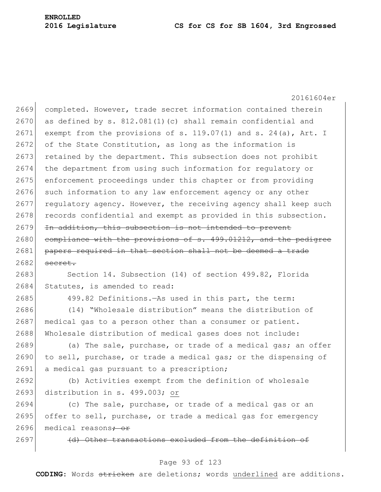20161604er 2669 completed. However, trade secret information contained therein  $2670$  as defined by s.  $812.081(1)(c)$  shall remain confidential and 2671 exempt from the provisions of s. 119.07(1) and s. 24(a), Art. I 2672 of the State Constitution, as long as the information is 2673 retained by the department. This subsection does not prohibit 2674 the department from using such information for regulatory or 2675 enforcement proceedings under this chapter or from providing 2676 such information to any law enforcement agency or any other 2677 regulatory agency. However, the receiving agency shall keep such 2678 records confidential and exempt as provided in this subsection. 2679 In addition, this subsection is not intended to prevent 2680 compliance with the provisions of s. 499.01212, and the pedigree 2681 papers required in that section shall not be deemed a trade  $2682$  secret. 2683 Section 14. Subsection (14) of section 499.82, Florida 2684 Statutes, is amended to read: 2685 499.82 Definitions.—As used in this part, the term: 2686 (14) "Wholesale distribution" means the distribution of 2687 medical gas to a person other than a consumer or patient. 2688 Wholesale distribution of medical gases does not include: 2689 (a) The sale, purchase, or trade of a medical gas; an offer 2690 to sell, purchase, or trade a medical gas; or the dispensing of 2691 a medical gas pursuant to a prescription; 2692 (b) Activities exempt from the definition of wholesale

2693 distribution in s. 499.003; or

2694 (c) The sale, purchase, or trade of a medical gas or an 2695 offer to sell, purchase, or trade a medical gas for emergency 2696 medical reasons<del>; or</del>

 $2697$  (d) Other transactions excluded from the definition

#### Page 93 of 123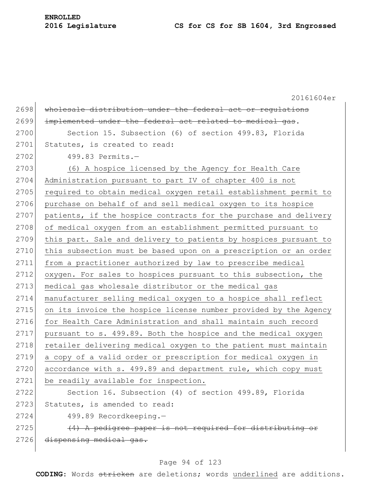**ENROLLED**

|      | 20161604er                                                       |
|------|------------------------------------------------------------------|
| 2698 | wholesale distribution under the federal act or regulations      |
| 2699 | implemented under the federal act related to medical gas.        |
| 2700 | Section 15. Subsection (6) of section 499.83, Florida            |
| 2701 | Statutes, is created to read:                                    |
| 2702 | 499.83 Permits.-                                                 |
| 2703 | (6) A hospice licensed by the Agency for Health Care             |
| 2704 | Administration pursuant to part IV of chapter 400 is not         |
| 2705 | required to obtain medical oxygen retail establishment permit to |
| 2706 | purchase on behalf of and sell medical oxygen to its hospice     |
| 2707 | patients, if the hospice contracts for the purchase and delivery |
| 2708 | of medical oxygen from an establishment permitted pursuant to    |
| 2709 | this part. Sale and delivery to patients by hospices pursuant to |
| 2710 | this subsection must be based upon on a prescription or an order |
| 2711 | from a practitioner authorized by law to prescribe medical       |
| 2712 | oxygen. For sales to hospices pursuant to this subsection, the   |
| 2713 | medical gas wholesale distributor or the medical gas             |
| 2714 | manufacturer selling medical oxygen to a hospice shall reflect   |
| 2715 | on its invoice the hospice license number provided by the Agency |
| 2716 | for Health Care Administration and shall maintain such record    |
| 2717 | pursuant to s. 499.89. Both the hospice and the medical oxygen   |
| 2718 | retailer delivering medical oxygen to the patient must maintain  |
| 2719 | a copy of a valid order or prescription for medical oxygen in    |
| 2720 | accordance with s. 499.89 and department rule, which copy must   |
| 2721 | be readily available for inspection.                             |
| 2722 | Section 16. Subsection (4) of section 499.89, Florida            |
| 2723 | Statutes, is amended to read:                                    |
| 2724 | 499.89 Recordkeeping.-                                           |
| 2725 | (4) A pedigree paper is not required for distributing or         |
| 2726 | dispensing medical gas.                                          |
|      |                                                                  |

## Page 94 of 123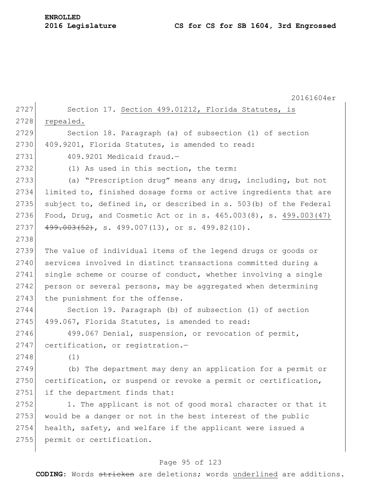**ENROLLED**

|      | 20161604er                                                       |
|------|------------------------------------------------------------------|
| 2727 | Section 17. Section 499.01212, Florida Statutes, is              |
| 2728 | repealed.                                                        |
| 2729 | Section 18. Paragraph (a) of subsection (1) of section           |
| 2730 | 409.9201, Florida Statutes, is amended to read:                  |
| 2731 | 409.9201 Medicaid fraud.-                                        |
| 2732 | (1) As used in this section, the term:                           |
| 2733 | (a) "Prescription drug" means any drug, including, but not       |
| 2734 | limited to, finished dosage forms or active ingredients that are |
| 2735 | subject to, defined in, or described in s. 503(b) of the Federal |
| 2736 | Food, Drug, and Cosmetic Act or in s. 465.003(8), s. 499.003(47) |
| 2737 | $499.003(52)$ , s. 499.007(13), or s. 499.82(10).                |
| 2738 |                                                                  |
| 2739 | The value of individual items of the legend drugs or goods or    |
| 2740 | services involved in distinct transactions committed during a    |
| 2741 | single scheme or course of conduct, whether involving a single   |
| 2742 | person or several persons, may be aggregated when determining    |
| 2743 | the punishment for the offense.                                  |
| 2744 | Section 19. Paragraph (b) of subsection (1) of section           |
| 2745 | 499.067, Florida Statutes, is amended to read:                   |
| 2746 | 499.067 Denial, suspension, or revocation of permit,             |
| 2747 | certification, or registration.-                                 |
| 2748 | (1)                                                              |
| 2749 | (b) The department may deny an application for a permit or       |
| 2750 | certification, or suspend or revoke a permit or certification,   |
| 2751 | if the department finds that:                                    |
| 2752 | 1. The applicant is not of good moral character or that it       |
| 2753 | would be a danger or not in the best interest of the public      |
| 2754 | health, safety, and welfare if the applicant were issued a       |
| 2755 | permit or certification.                                         |
|      |                                                                  |

## Page 95 of 123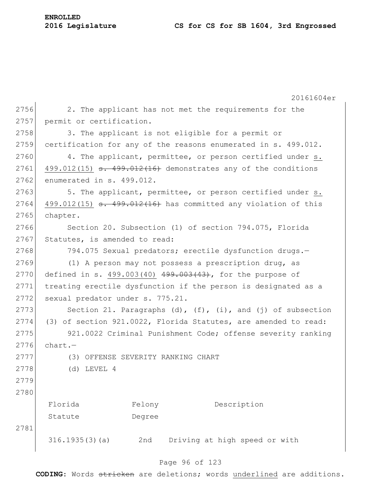|      |                                                                 |        | 20161604er                                                         |  |  |
|------|-----------------------------------------------------------------|--------|--------------------------------------------------------------------|--|--|
| 2756 |                                                                 |        | 2. The applicant has not met the requirements for the              |  |  |
| 2757 | permit or certification.                                        |        |                                                                    |  |  |
| 2758 | 3. The applicant is not eligible for a permit or                |        |                                                                    |  |  |
| 2759 |                                                                 |        | certification for any of the reasons enumerated in s. 499.012.     |  |  |
| 2760 |                                                                 |        | 4. The applicant, permittee, or person certified under s.          |  |  |
| 2761 |                                                                 |        | $499.012(15)$ s. $499.012(16)$ demonstrates any of the conditions  |  |  |
| 2762 | enumerated in s. 499.012.                                       |        |                                                                    |  |  |
| 2763 |                                                                 |        | 5. The applicant, permittee, or person certified under s.          |  |  |
| 2764 |                                                                 |        | $499.012(15)$ s. $499.012(16)$ has committed any violation of this |  |  |
| 2765 | chapter.                                                        |        |                                                                    |  |  |
| 2766 |                                                                 |        | Section 20. Subsection (1) of section 794.075, Florida             |  |  |
| 2767 | Statutes, is amended to read:                                   |        |                                                                    |  |  |
| 2768 |                                                                 |        | 794.075 Sexual predators; erectile dysfunction drugs.-             |  |  |
| 2769 |                                                                 |        | (1) A person may not possess a prescription drug, as               |  |  |
| 2770 | defined in s. $499.003(40)$ $499.003(43)$ , for the purpose of  |        |                                                                    |  |  |
| 2771 | treating erectile dysfunction if the person is designated as a  |        |                                                                    |  |  |
| 2772 | sexual predator under s. 775.21.                                |        |                                                                    |  |  |
| 2773 | Section 21. Paragraphs (d), $(f)$ , (i), and (j) of subsection  |        |                                                                    |  |  |
| 2774 | (3) of section 921.0022, Florida Statutes, are amended to read: |        |                                                                    |  |  |
| 2775 | 921.0022 Criminal Punishment Code; offense severity ranking     |        |                                                                    |  |  |
| 2776 | $chart. -$                                                      |        |                                                                    |  |  |
| 2777 |                                                                 |        | (3) OFFENSE SEVERITY RANKING CHART                                 |  |  |
| 2778 | $(d)$ LEVEL 4                                                   |        |                                                                    |  |  |
| 2779 |                                                                 |        |                                                                    |  |  |
| 2780 |                                                                 |        |                                                                    |  |  |
|      | Florida                                                         | Felony | Description                                                        |  |  |
|      | Statute                                                         | Degree |                                                                    |  |  |
| 2781 |                                                                 |        |                                                                    |  |  |
|      | 316.1935(3)(a)                                                  | 2nd    | Driving at high speed or with                                      |  |  |
|      |                                                                 |        | 06.65102                                                           |  |  |

#### Page 96 of 123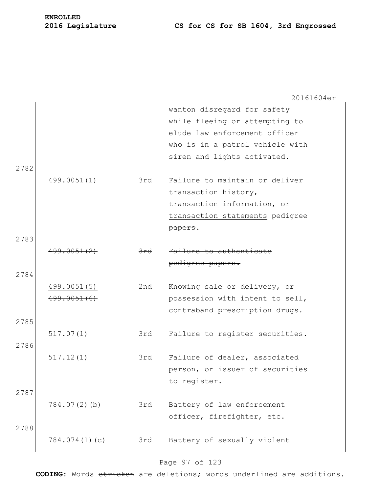## **2016 Legislature CS for CS for SB 1604, 3rd Engrossed**

|      |                 |                | 20161604er                      |
|------|-----------------|----------------|---------------------------------|
|      |                 |                | wanton disregard for safety     |
|      |                 |                | while fleeing or attempting to  |
|      |                 |                | elude law enforcement officer   |
|      |                 |                | who is in a patrol vehicle with |
|      |                 |                | siren and lights activated.     |
| 2782 |                 |                |                                 |
|      | 499.0051(1)     | 3rd            | Failure to maintain or deliver  |
|      |                 |                | transaction history,            |
|      |                 |                | transaction information, or     |
|      |                 |                | transaction statements pedigree |
|      |                 |                | papers.                         |
| 2783 |                 |                |                                 |
|      | 499.0051(2)     | <del>3rd</del> | Failure to authenticate         |
|      |                 |                | pedigree papers.                |
| 2784 |                 |                |                                 |
|      | 499.0051(5)     | 2nd            | Knowing sale or delivery, or    |
|      | 499.0051(6)     |                | possession with intent to sell, |
|      |                 |                | contraband prescription drugs.  |
| 2785 |                 |                |                                 |
|      | 517.07(1)       | 3rd            | Failure to register securities. |
| 2786 |                 |                |                                 |
|      | 517.12(1)       | 3rd            | Failure of dealer, associated   |
|      |                 |                | person, or issuer of securities |
|      |                 |                | to register.                    |
| 2787 |                 |                |                                 |
|      | $784.07(2)$ (b) | 3rd            | Battery of law enforcement      |
|      |                 |                | officer, firefighter, etc.      |
| 2788 |                 |                |                                 |
|      | 784.074(1)(c)   | 3rd            |                                 |
|      |                 |                | Battery of sexually violent     |

## Page 97 of 123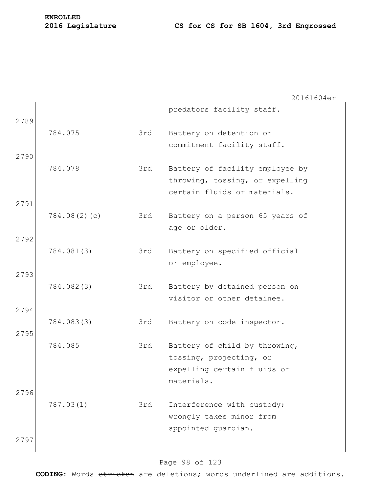|      |              |     | 20161604er                                                                                            |
|------|--------------|-----|-------------------------------------------------------------------------------------------------------|
| 2789 |              |     | predators facility staff.                                                                             |
|      | 784.075      | 3rd | Battery on detention or<br>commitment facility staff.                                                 |
| 2790 |              |     |                                                                                                       |
| 2791 | 784.078      | 3rd | Battery of facility employee by<br>throwing, tossing, or expelling<br>certain fluids or materials.    |
|      | 784.08(2)(c) | 3rd | Battery on a person 65 years of<br>age or older.                                                      |
| 2792 |              |     |                                                                                                       |
|      | 784.081(3)   | 3rd | Battery on specified official<br>or employee.                                                         |
| 2793 |              |     |                                                                                                       |
|      | 784.082(3)   | 3rd | Battery by detained person on<br>visitor or other detainee.                                           |
| 2794 |              |     |                                                                                                       |
| 2795 | 784.083(3)   | 3rd | Battery on code inspector.                                                                            |
|      | 784.085      | 3rd | Battery of child by throwing,<br>tossing, projecting, or<br>expelling certain fluids or<br>materials. |
| 2796 |              |     |                                                                                                       |
|      | 787.03(1)    | 3rd | Interference with custody;<br>wrongly takes minor from<br>appointed guardian.                         |
| 2797 |              |     |                                                                                                       |

## Page 98 of 123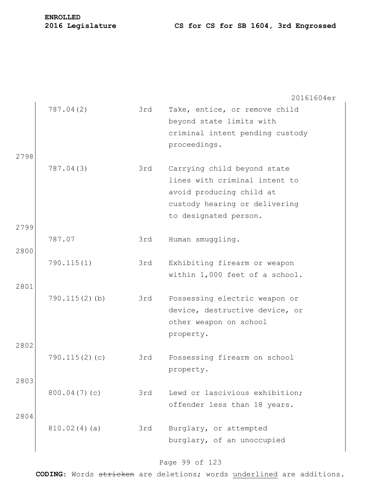# **ENROLLED**

## **2016 Legislature CS for CS for SB 1604, 3rd Engrossed**

|      |                  |     | 20161604er                                                                                                                                         |
|------|------------------|-----|----------------------------------------------------------------------------------------------------------------------------------------------------|
| 2798 | 787.04(2)        | 3rd | Take, entice, or remove child<br>beyond state limits with<br>criminal intent pending custody<br>proceedings.                                       |
|      | 787.04(3)        | 3rd | Carrying child beyond state<br>lines with criminal intent to<br>avoid producing child at<br>custody hearing or delivering<br>to designated person. |
| 2799 |                  |     |                                                                                                                                                    |
| 2800 | 787.07           | 3rd | Human smuggling.                                                                                                                                   |
|      | 790.115(1)       | 3rd | Exhibiting firearm or weapon<br>within 1,000 feet of a school.                                                                                     |
| 2801 | $790.115(2)$ (b) | 3rd | Possessing electric weapon or<br>device, destructive device, or<br>other weapon on school<br>property.                                             |
| 2802 |                  |     |                                                                                                                                                    |
|      | 790.115(2)(c)    | 3rd | Possessing firearm on school<br>property.                                                                                                          |
| 2803 | 800.04(7)(c)     | 3rd | Lewd or lascivious exhibition;<br>offender less than 18 years.                                                                                     |
| 2804 | 810.02(4)(a)     | 3rd | Burglary, or attempted<br>burglary, of an unoccupied                                                                                               |

## Page 99 of 123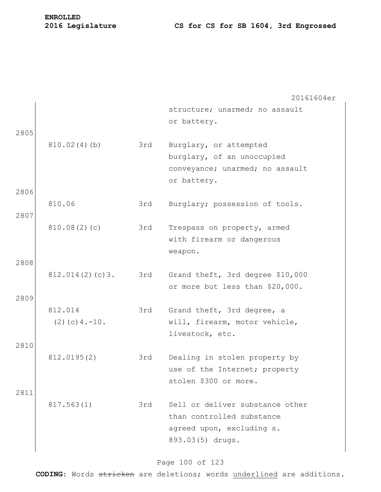|      |                                 |     | 20161604er                                                  |
|------|---------------------------------|-----|-------------------------------------------------------------|
|      |                                 |     | structure; unarmed; no assault                              |
|      |                                 |     | or battery.                                                 |
| 2805 |                                 |     |                                                             |
|      | 810.02(4)(b)                    | 3rd | Burglary, or attempted                                      |
|      |                                 |     | burglary, of an unoccupied                                  |
|      |                                 |     | conveyance; unarmed; no assault<br>or battery.              |
| 2806 |                                 |     |                                                             |
|      | 810.06                          | 3rd | Burglary; possession of tools.                              |
| 2807 |                                 |     |                                                             |
|      | 810.08(2)(c)                    | 3rd | Trespass on property, armed                                 |
|      |                                 |     | with firearm or dangerous                                   |
|      |                                 |     | weapon.                                                     |
| 2808 |                                 |     |                                                             |
|      | 812.014(2)(c)3.                 | 3rd | Grand theft, 3rd degree \$10,000                            |
|      |                                 |     | or more but less than \$20,000.                             |
| 2809 |                                 |     |                                                             |
|      | 812.014<br>$(2)$ (c) 4. $-10$ . | 3rd | Grand theft, 3rd degree, a<br>will, firearm, motor vehicle, |
|      |                                 |     | livestock, etc.                                             |
| 2810 |                                 |     |                                                             |
|      | 812.0195(2)                     | 3rd | Dealing in stolen property by                               |
|      |                                 |     | use of the Internet; property                               |
|      |                                 |     | stolen \$300 or more.                                       |
| 2811 |                                 |     |                                                             |
|      | 817.563(1)                      | 3rd | Sell or deliver substance other                             |
|      |                                 |     | than controlled substance                                   |
|      |                                 |     | agreed upon, excluding s.                                   |
|      |                                 |     | 893.03(5) drugs.                                            |
|      |                                 |     |                                                             |

## Page 100 of 123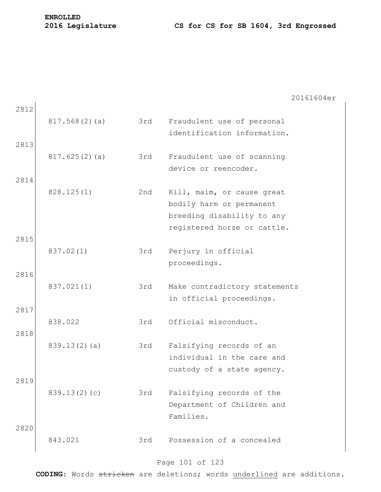|      |               |     | 20161604er                    |
|------|---------------|-----|-------------------------------|
| 2812 |               |     |                               |
|      | 817.568(2)(a) | 3rd | Fraudulent use of personal    |
|      |               |     | identification information.   |
| 2813 |               |     |                               |
|      | 817.625(2)(a) | 3rd | Fraudulent use of scanning    |
|      |               |     | device or reencoder.          |
| 2814 |               |     |                               |
|      | 828.125(1)    | 2nd | Kill, maim, or cause great    |
|      |               |     | bodily harm or permanent      |
|      |               |     | breeding disability to any    |
|      |               |     | registered horse or cattle.   |
| 2815 |               |     |                               |
|      | 837.02(1)     | 3rd | Perjury in official           |
|      |               |     | proceedings.                  |
| 2816 |               |     |                               |
|      | 837.021(1)    | 3rd | Make contradictory statements |
|      |               |     | in official proceedings.      |
| 2817 |               |     |                               |
|      | 838.022       | 3rd | Official misconduct.          |
| 2818 |               |     |                               |
|      |               |     |                               |
|      | 839.13(2)(a)  | 3rd | Falsifying records of an      |
|      |               |     | individual in the care and    |
|      |               |     | custody of a state agency.    |
| 2819 |               |     |                               |
|      | 839.13(2)(c)  | 3rd | Falsifying records of the     |
|      |               |     | Department of Children and    |
|      |               |     | Families.                     |
| 2820 |               |     |                               |
|      | 843.021       | 3rd | Possession of a concealed     |
|      |               |     |                               |

## Page 101 of 123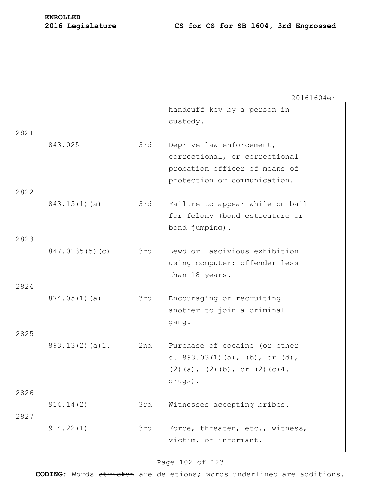|      |                |     | 20161604er                                                                                                                 |
|------|----------------|-----|----------------------------------------------------------------------------------------------------------------------------|
| 2821 |                |     | handcuff key by a person in<br>custody.                                                                                    |
| 2822 | 843.025        | 3rd | Deprive law enforcement,<br>correctional, or correctional<br>probation officer of means of<br>protection or communication. |
| 2823 | 843.15(1)(a)   | 3rd | Failure to appear while on bail<br>for felony (bond estreature or<br>bond jumping).                                        |
|      | 847.0135(5)(c) | 3rd | Lewd or lascivious exhibition<br>using computer; offender less<br>than 18 years.                                           |
| 2824 | 874.05(1)(a)   | 3rd | Encouraging or recruiting<br>another to join a criminal<br>gang.                                                           |
| 2825 | 893.13(2)(a)1. | 2nd | Purchase of cocaine (or other<br>s. $893.03(1)(a)$ , (b), or (d),<br>$(2)$ (a), $(2)$ (b), or $(2)$ (c) 4.<br>drugs).      |
| 2826 | 914.14(2)      | 3rd | Witnesses accepting bribes.                                                                                                |
| 2827 |                |     |                                                                                                                            |
|      | 914.22(1)      | 3rd | Force, threaten, etc., witness,<br>victim, or informant.                                                                   |

## Page 102 of 123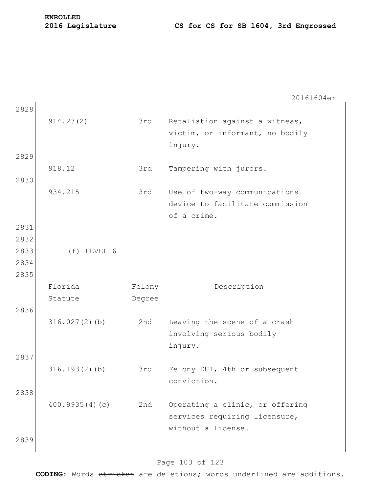20161604er 2828 914.23(2) 3rd Retaliation against a witness, victim, or informant, no bodily injury. 2829 918.12 3rd Tampering with jurors. 2830 934.215 3rd Use of two-way communications device to facilitate commission of a crime. 2831 2832 2833 (f) LEVEL 6 2834 2835 Florida Statute Felony Degree Description 2836 316.027(2)(b) 2nd Leaving the scene of a crash involving serious bodily injury. 2837 316.193(2)(b) 3rd Felony DUI, 4th or subsequent conviction. 2838 400.9935(4)(c) 2nd Operating a clinic, or offering services requiring licensure, without a license. 2839

#### Page 103 of 123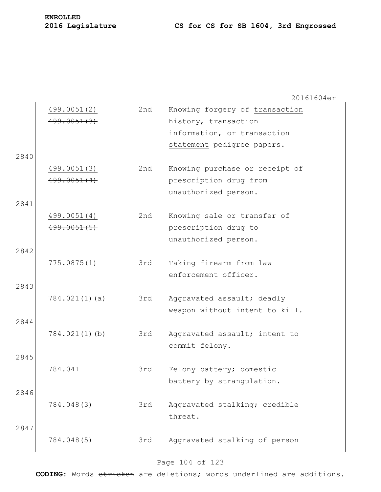|      | 499.0051(2)<br>499.0051(3) | 2nd | Knowing forgery of transaction<br>history, transaction<br>information, or transaction<br>statement pedigree papers. |
|------|----------------------------|-----|---------------------------------------------------------------------------------------------------------------------|
| 2840 |                            |     |                                                                                                                     |
|      | 499.0051(3)<br>499.0051(4) | 2nd | Knowing purchase or receipt of<br>prescription drug from<br>unauthorized person.                                    |
| 2841 | 499.0051(4)<br>499.0051(5) | 2nd | Knowing sale or transfer of<br>prescription drug to<br>unauthorized person.                                         |
| 2842 | 775.0875(1)                | 3rd | Taking firearm from law<br>enforcement officer.                                                                     |
| 2843 | 784.021(1)(a)              | 3rd | Aggravated assault; deadly<br>weapon without intent to kill.                                                        |
| 2844 | 784.021(1)(b)              | 3rd | Aggravated assault; intent to<br>commit felony.                                                                     |
| 2845 | 784.041                    | 3rd | Felony battery; domestic<br>battery by strangulation.                                                               |
| 2846 | 784.048(3)                 | 3rd | Aggravated stalking; credible<br>threat.                                                                            |
| 2847 | 784.048(5)                 | 3rd | Aggravated stalking of person                                                                                       |

## Page 104 of 123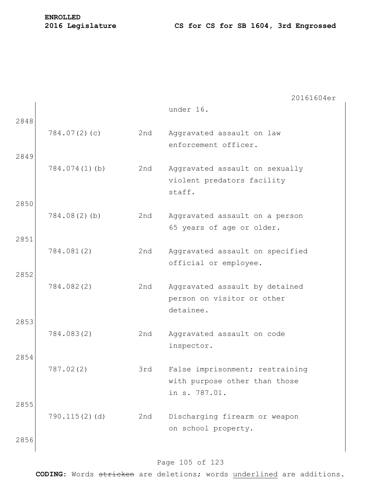|              |                 |     | 20161604er                                                                        |
|--------------|-----------------|-----|-----------------------------------------------------------------------------------|
| 2848         |                 |     | under 16.                                                                         |
|              | 784.07(2)(c)    | 2nd | Aggravated assault on law<br>enforcement officer.                                 |
| 2849         | 784.074(1)(b)   | 2nd | Aggravated assault on sexually<br>violent predators facility<br>staff.            |
| 2850<br>2851 | $784.08(2)$ (b) | 2nd | Aggravated assault on a person<br>65 years of age or older.                       |
| 2852         | 784.081(2)      | 2nd | Aggravated assault on specified<br>official or employee.                          |
| 2853         | 784.082(2)      | 2nd | Aggravated assault by detained<br>person on visitor or other<br>detainee.         |
|              | 784.083(2)      | 2nd | Aggravated assault on code<br>inspector.                                          |
| 2854         | 787.02(2)       | 3rd | False imprisonment; restraining<br>with purpose other than those<br>in s. 787.01. |
| 2855         | 790.115(2)(d)   | 2nd | Discharging firearm or weapon<br>on school property.                              |
| 2856         |                 |     |                                                                                   |

## Page 105 of 123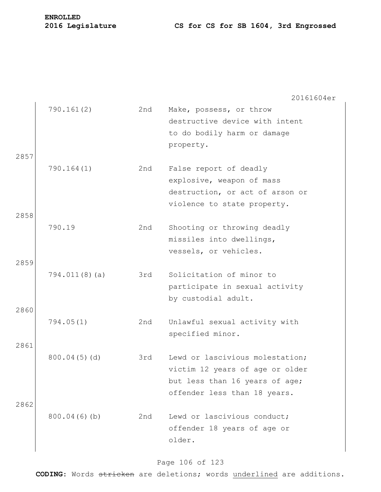# **ENROLLED**

20161604er

| 2857 | 790.161(2)       | 2nd | Make, possess, or throw<br>destructive device with intent<br>to do bodily harm or damage<br>property.                                |
|------|------------------|-----|--------------------------------------------------------------------------------------------------------------------------------------|
| 2858 | 790.164(1)       | 2nd | False report of deadly<br>explosive, weapon of mass<br>destruction, or act of arson or<br>violence to state property.                |
| 2859 | 790.19           | 2nd | Shooting or throwing deadly<br>missiles into dwellings,<br>vessels, or vehicles.                                                     |
| 2860 | $794.011(8)$ (a) | 3rd | Solicitation of minor to<br>participate in sexual activity<br>by custodial adult.                                                    |
| 2861 | 794.05(1)        | 2nd | Unlawful sexual activity with<br>specified minor.                                                                                    |
| 2862 | 800.04(5)(d)     | 3rd | Lewd or lascivious molestation;<br>victim 12 years of age or older<br>but less than 16 years of age;<br>offender less than 18 years. |
|      | 800.04(6)(b)     | 2nd | Lewd or lascivious conduct;<br>offender 18 years of age or<br>older.                                                                 |

## Page 106 of 123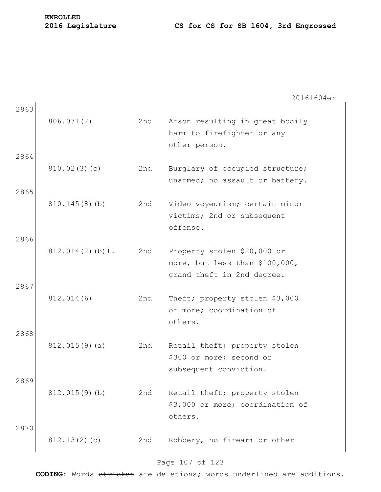|      |                  |     | 20161604er                                                         |
|------|------------------|-----|--------------------------------------------------------------------|
| 2863 |                  |     |                                                                    |
|      | 806.031(2)       | 2nd | Arson resulting in great bodily<br>harm to firefighter or any      |
|      |                  |     | other person.                                                      |
| 2864 |                  |     |                                                                    |
|      | 810.02(3)(c)     | 2nd | Burglary of occupied structure;<br>unarmed; no assault or battery. |
| 2865 |                  |     |                                                                    |
|      | 810.145(8)(b)    | 2nd | Video voyeurism; certain minor                                     |
|      |                  |     | victims; 2nd or subsequent                                         |
| 2866 |                  |     | offense.                                                           |
|      | 812.014(2)(b)1.  | 2nd | Property stolen \$20,000 or                                        |
|      |                  |     | more, but less than \$100,000,                                     |
| 2867 |                  |     | grand theft in 2nd degree.                                         |
|      | 812.014(6)       | 2nd | Theft; property stolen \$3,000                                     |
|      |                  |     | or more; coordination of                                           |
|      |                  |     | others.                                                            |
| 2868 | $812.015(9)$ (a) | 2nd | Retail theft; property stolen                                      |
|      |                  |     | \$300 or more; second or                                           |
|      |                  |     | subsequent conviction.                                             |
| 2869 | $812.015(9)$ (b) | 2nd | Retail theft; property stolen                                      |
|      |                  |     | \$3,000 or more; coordination of                                   |
|      |                  |     | others.                                                            |
| 2870 |                  |     |                                                                    |
|      | 812.13(2)(c)     | 2nd | Robbery, no firearm or other                                       |

## Page 107 of 123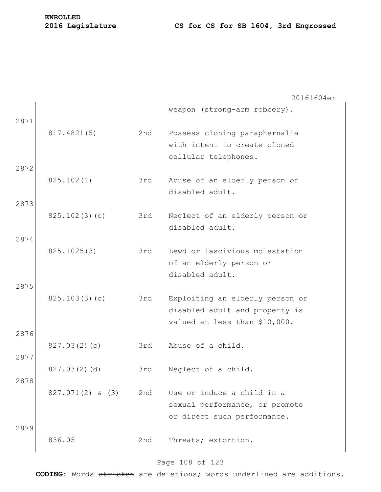|      |                    |     | 20161604er                      |
|------|--------------------|-----|---------------------------------|
| 2871 |                    |     | weapon (strong-arm robbery).    |
|      | 817.4821(5)        | 2nd | Possess cloning paraphernalia   |
|      |                    |     | with intent to create cloned    |
|      |                    |     | cellular telephones.            |
| 2872 |                    |     |                                 |
|      | 825.102(1)         | 3rd | Abuse of an elderly person or   |
|      |                    |     | disabled adult.                 |
| 2873 |                    |     |                                 |
|      | 825.102(3)(c)      | 3rd | Neglect of an elderly person or |
|      |                    |     | disabled adult.                 |
| 2874 |                    |     |                                 |
|      | 825.1025(3)        | 3rd | Lewd or lascivious molestation  |
|      |                    |     | of an elderly person or         |
|      |                    |     | disabled adult.                 |
| 2875 |                    |     |                                 |
|      | 825.103(3)(c)      | 3rd | Exploiting an elderly person or |
|      |                    |     | disabled adult and property is  |
| 2876 |                    |     | valued at less than \$10,000.   |
|      | 827.03(2)(c)       | 3rd | Abuse of a child.               |
| 2877 |                    |     |                                 |
|      | 827.03(2)(d)       | 3rd | Neglect of a child.             |
| 2878 |                    |     |                                 |
|      | $827.071(2)$ & (3) | 2nd | Use or induce a child in a      |
|      |                    |     | sexual performance, or promote  |
|      |                    |     | or direct such performance.     |
| 2879 |                    |     |                                 |
|      | 836.05             | 2nd | Threats; extortion.             |
|      |                    |     |                                 |

## Page 108 of 123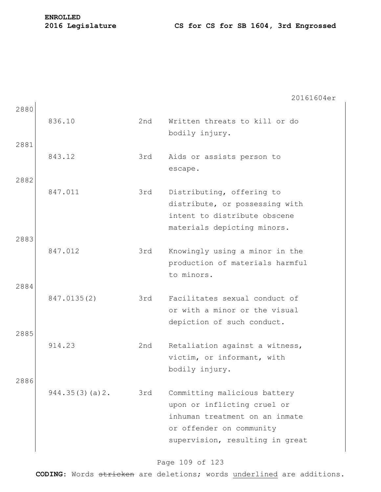2880 836.10 2nd Written threats to kill or do bodily injury. 2881 843.12 3rd Aids or assists person to escape. 2882 847.011 3rd Distributing, offering to distribute, or possessing with intent to distribute obscene materials depicting minors. 2883 847.012 3rd Knowingly using a minor in the production of materials harmful to minors. 2884 847.0135(2) 3rd Facilitates sexual conduct of or with a minor or the visual depiction of such conduct. 2885 914.23 2nd Retaliation against a witness, victim, or informant, with bodily injury. 2886 944.35(3)(a)2. 3rd Committing malicious battery upon or inflicting cruel or inhuman treatment on an inmate or offender on community

### Page 109 of 123

supervision, resulting in great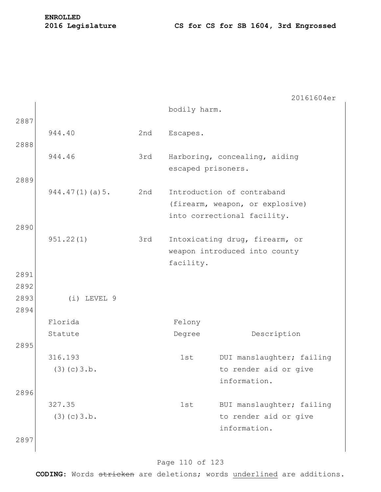|            |                                                                              |              | 20161604er                                    |
|------------|------------------------------------------------------------------------------|--------------|-----------------------------------------------|
|            |                                                                              | bodily harm. |                                               |
|            |                                                                              |              |                                               |
| 944.40     | 2nd                                                                          | Escapes.     |                                               |
|            |                                                                              |              |                                               |
|            |                                                                              |              | Harboring, concealing, aiding                 |
|            |                                                                              |              |                                               |
|            |                                                                              |              | Introduction of contraband                    |
|            |                                                                              |              | (firearm, weapon, or explosive)               |
|            |                                                                              |              | into correctional facility.                   |
|            |                                                                              |              |                                               |
| 951.22(1)  | 3rd                                                                          |              | Intoxicating drug, firearm, or                |
|            |                                                                              |              | weapon introduced into county                 |
|            |                                                                              | facility.    |                                               |
|            |                                                                              |              |                                               |
|            |                                                                              |              |                                               |
|            |                                                                              |              |                                               |
|            |                                                                              |              |                                               |
|            |                                                                              |              | Description                                   |
|            |                                                                              |              |                                               |
|            |                                                                              |              | DUI manslaughter; failing                     |
| (3)(c)3.b. |                                                                              |              | to render aid or give                         |
|            |                                                                              |              | information.                                  |
|            |                                                                              |              |                                               |
| 327.35     |                                                                              | 1st          | BUI manslaughter; failing                     |
| (3)(c)3.b. |                                                                              |              | to render aid or give                         |
|            |                                                                              |              | information.                                  |
|            |                                                                              |              |                                               |
|            | 944.46<br>944.47(1)(a)5.<br>$(i)$ LEVEL $9$<br>Florida<br>Statute<br>316.193 | 3rd<br>2nd   | escaped prisoners.<br>Felony<br>Degree<br>1st |

### Page 110 of 123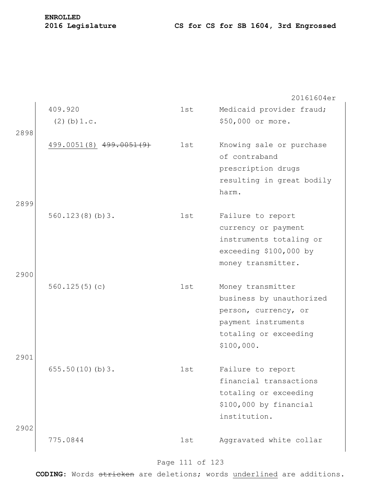|      |                         |     | 20161604er                |
|------|-------------------------|-----|---------------------------|
|      | 409.920                 | 1st | Medicaid provider fraud;  |
|      | $(2)$ (b) $1.c.$        |     | \$50,000 or more.         |
| 2898 |                         |     |                           |
|      | 499.0051(8) 499.0051(9) | 1st | Knowing sale or purchase  |
|      |                         |     | of contraband             |
|      |                         |     | prescription drugs        |
|      |                         |     | resulting in great bodily |
|      |                         |     | harm.                     |
| 2899 | 560.123(8)(b)3.         | 1st | Failure to report         |
|      |                         |     | currency or payment       |
|      |                         |     | instruments totaling or   |
|      |                         |     | exceeding \$100,000 by    |
|      |                         |     | money transmitter.        |
| 2900 |                         |     |                           |
|      | 560.125(5)(c)           | 1st | Money transmitter         |
|      |                         |     | business by unauthorized  |
|      |                         |     | person, currency, or      |
|      |                         |     | payment instruments       |
|      |                         |     | totaling or exceeding     |
|      |                         |     | \$100,000.                |
| 2901 | 655.50(10)(b)3.         | 1st | Failure to report         |
|      |                         |     | financial transactions    |
|      |                         |     | totaling or exceeding     |
|      |                         |     | \$100,000 by financial    |
|      |                         |     | institution.              |
| 2902 |                         |     |                           |
|      | 775.0844                | 1st | Aggravated white collar   |
|      |                         |     |                           |

# Page 111 of 123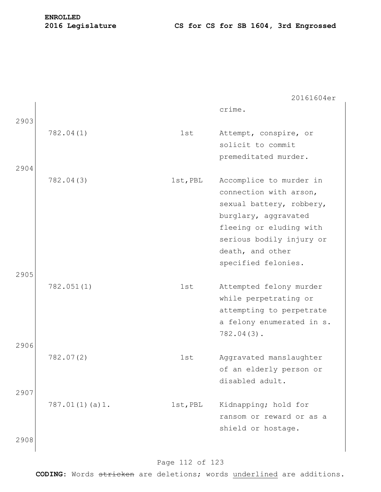| 2903         |                |          | crime.                                                                                                                                                                                                  |
|--------------|----------------|----------|---------------------------------------------------------------------------------------------------------------------------------------------------------------------------------------------------------|
| 2904         | 782.04(1)      | 1st      | Attempt, conspire, or<br>solicit to commit<br>premeditated murder.                                                                                                                                      |
| 2905         | 782.04(3)      | 1st, PBL | Accomplice to murder in<br>connection with arson,<br>sexual battery, robbery,<br>burglary, aggravated<br>fleeing or eluding with<br>serious bodily injury or<br>death, and other<br>specified felonies. |
|              | 782.051(1)     | 1st      | Attempted felony murder<br>while perpetrating or<br>attempting to perpetrate<br>a felony enumerated in s.<br>$782.04(3)$ .                                                                              |
| 2906<br>2907 | 782.07(2)      | 1st      | Aggravated manslaughter<br>of an elderly person or<br>disabled adult.                                                                                                                                   |
| 2908         | 787.01(1)(a)1. | 1st, PBL | Kidnapping; hold for<br>ransom or reward or as a<br>shield or hostage.                                                                                                                                  |

### Page 112 of 123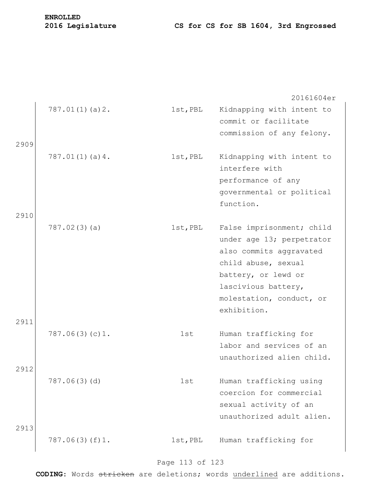|      |                |          | 20161604er                |
|------|----------------|----------|---------------------------|
|      | 787.01(1)(a)2. | 1st, PBL | Kidnapping with intent to |
|      |                |          | commit or facilitate      |
|      |                |          | commission of any felony. |
| 2909 |                |          |                           |
|      | 787.01(1)(a)4. | 1st, PBL | Kidnapping with intent to |
|      |                |          | interfere with            |
|      |                |          | performance of any        |
|      |                |          | governmental or political |
|      |                |          | function.                 |
| 2910 |                |          |                           |
|      | 787.02(3)(a)   | 1st, PBL | False imprisonment; child |
|      |                |          | under age 13; perpetrator |
|      |                |          | also commits aggravated   |
|      |                |          | child abuse, sexual       |
|      |                |          | battery, or lewd or       |
|      |                |          | lascivious battery,       |
|      |                |          | molestation, conduct, or  |
|      |                |          | exhibition.               |
| 2911 |                |          |                           |
|      | 787.06(3)(c)1. | 1st      | Human trafficking for     |
|      |                |          | labor and services of an  |
|      |                |          | unauthorized alien child. |
| 2912 |                |          |                           |
|      | 787.06(3)(d)   | 1st      | Human trafficking using   |
|      |                |          | coercion for commercial   |
|      |                |          | sexual activity of an     |
|      |                |          | unauthorized adult alien. |
| 2913 |                |          |                           |
|      | 787.06(3)(f)1. | 1st, PBL | Human trafficking for     |
|      |                |          |                           |

### Page 113 of 123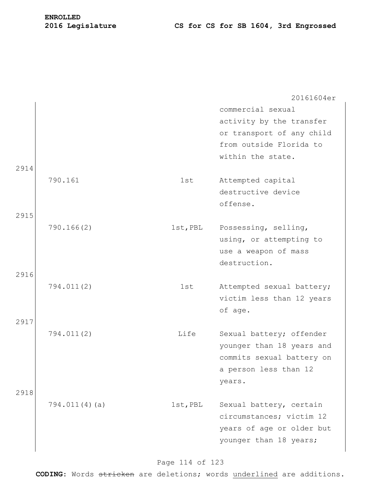|      |               |          | 20161604er                |
|------|---------------|----------|---------------------------|
|      |               |          | commercial sexual         |
|      |               |          | activity by the transfer  |
|      |               |          | or transport of any child |
|      |               |          | from outside Florida to   |
|      |               |          | within the state.         |
| 2914 |               |          |                           |
|      | 790.161       | 1st      | Attempted capital         |
|      |               |          | destructive device        |
|      |               |          | offense.                  |
| 2915 |               |          |                           |
|      | 790.166(2)    | 1st, PBL | Possessing, selling,      |
|      |               |          | using, or attempting to   |
|      |               |          | use a weapon of mass      |
| 2916 |               |          | destruction.              |
|      | 794.011(2)    | 1st      | Attempted sexual battery; |
|      |               |          | victim less than 12 years |
|      |               |          | of age.                   |
| 2917 |               |          |                           |
|      | 794.011(2)    | Life     | Sexual battery; offender  |
|      |               |          | younger than 18 years and |
|      |               |          | commits sexual battery on |
|      |               |          | a person less than 12     |
|      |               |          | years.                    |
| 2918 |               |          |                           |
|      | 794.011(4)(a) | 1st, PBL | Sexual battery, certain   |
|      |               |          | circumstances; victim 12  |
|      |               |          | years of age or older but |
|      |               |          | younger than 18 years;    |
|      |               |          |                           |

### Page 114 of 123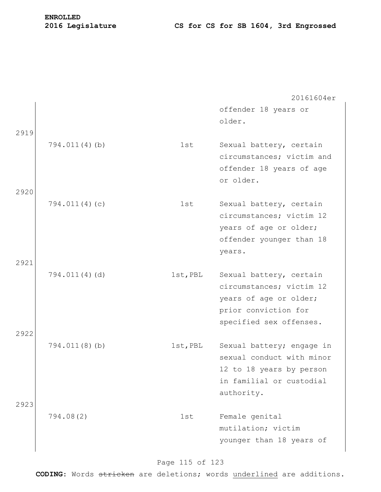20161604er offender 18 years or older. 2919 794.011(4)(b) 1st Sexual battery, certain circumstances; victim and offender 18 years of age or older. 2920 794.011(4)(c) 1st Sexual battery, certain circumstances; victim 12 years of age or older; offender younger than 18 years. 2921 794.011(4)(d) 1st,PBL Sexual battery, certain circumstances; victim 12 years of age or older; prior conviction for specified sex offenses. 2922 794.011(8)(b) 1st,PBL Sexual battery; engage in sexual conduct with minor 12 to 18 years by person in familial or custodial authority. 2923 794.08(2) 1st Female genital mutilation; victim younger than 18 years of

### Page 115 of 123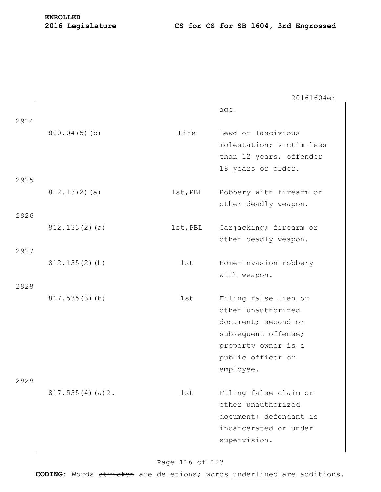age.

| 2924 |                  |          |                                                                                                                                                   |
|------|------------------|----------|---------------------------------------------------------------------------------------------------------------------------------------------------|
|      | 800.04(5)(b)     | Life     | Lewd or lascivious<br>molestation; victim less<br>than 12 years; offender<br>18 years or older.                                                   |
| 2925 |                  |          |                                                                                                                                                   |
|      | 812.13(2)(a)     | 1st, PBL | Robbery with firearm or<br>other deadly weapon.                                                                                                   |
| 2926 |                  |          |                                                                                                                                                   |
|      | 812.133(2)(a)    | 1st, PBL | Carjacking; firearm or<br>other deadly weapon.                                                                                                    |
| 2927 |                  |          |                                                                                                                                                   |
|      | $812.135(2)$ (b) | 1st      | Home-invasion robbery<br>with weapon.                                                                                                             |
| 2928 |                  |          |                                                                                                                                                   |
|      | 817.535(3)(b)    | 1st      | Filing false lien or<br>other unauthorized<br>document; second or<br>subsequent offense;<br>property owner is a<br>public officer or<br>employee. |
| 2929 |                  |          |                                                                                                                                                   |
|      | 817.535(4)(a)2.  | 1st      | Filing false claim or<br>other unauthorized<br>document; defendant is<br>incarcerated or under<br>supervision.                                    |

## Page 116 of 123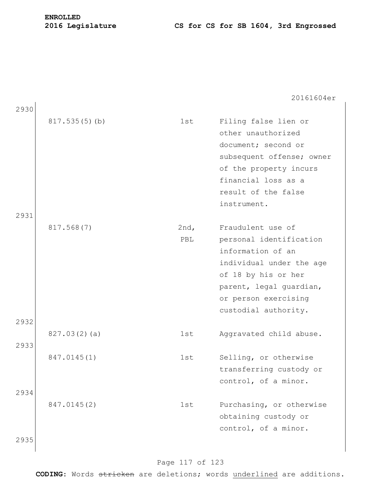20161604er

| 2930 |               |             |                                                                                                                                                                                                 |
|------|---------------|-------------|-------------------------------------------------------------------------------------------------------------------------------------------------------------------------------------------------|
|      | 817.535(5)(b) | 1st         | Filing false lien or<br>other unauthorized<br>document; second or<br>subsequent offense; owner<br>of the property incurs<br>financial loss as a<br>result of the false<br>instrument.           |
| 2931 |               |             |                                                                                                                                                                                                 |
|      | 817.568(7)    | 2nd,<br>PBL | Fraudulent use of<br>personal identification<br>information of an<br>individual under the age<br>of 18 by his or her<br>parent, legal guardian,<br>or person exercising<br>custodial authority. |
| 2932 |               |             |                                                                                                                                                                                                 |
| 2933 | 827.03(2)(a)  | 1st         | Aggravated child abuse.                                                                                                                                                                         |
|      | 847.0145(1)   | 1st         | Selling, or otherwise<br>transferring custody or<br>control, of a minor.                                                                                                                        |
| 2934 |               |             |                                                                                                                                                                                                 |
| 2935 | 847.0145(2)   | 1st         | Purchasing, or otherwise<br>obtaining custody or<br>control, of a minor.                                                                                                                        |
|      |               |             |                                                                                                                                                                                                 |

### Page 117 of 123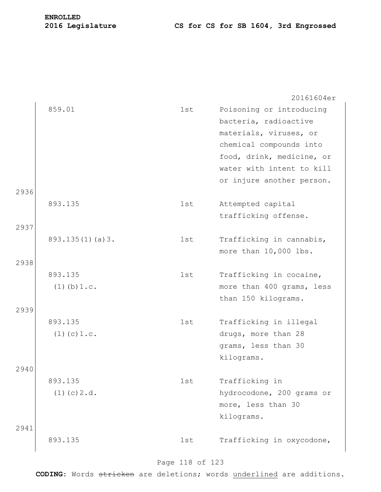|      |                  |     | 20161604er                |
|------|------------------|-----|---------------------------|
|      | 859.01           | 1st | Poisoning or introducing  |
|      |                  |     | bacteria, radioactive     |
|      |                  |     | materials, viruses, or    |
|      |                  |     | chemical compounds into   |
|      |                  |     | food, drink, medicine, or |
|      |                  |     | water with intent to kill |
|      |                  |     | or injure another person. |
| 2936 |                  |     |                           |
|      | 893.135          | 1st | Attempted capital         |
|      |                  |     | trafficking offense.      |
| 2937 |                  |     |                           |
|      | 893.135(1)(a)3.  | 1st | Trafficking in cannabis,  |
|      |                  |     | more than 10,000 lbs.     |
| 2938 |                  |     |                           |
|      | 893.135          | 1st | Trafficking in cocaine,   |
|      | $(1)$ (b) $1.c.$ |     | more than 400 grams, less |
|      |                  |     | than 150 kilograms.       |
| 2939 |                  |     |                           |
|      | 893.135          | 1st | Trafficking in illegal    |
|      | $(1)$ (c) $1.c.$ |     | drugs, more than 28       |
|      |                  |     | grams, less than 30       |
| 2940 |                  |     | kilograms.                |
|      | 893.135          | 1st | Trafficking in            |
|      | $(1)$ (c) $2.d.$ |     | hydrocodone, 200 grams or |
|      |                  |     | more, less than 30        |
|      |                  |     | kilograms.                |
| 2941 |                  |     |                           |
|      | 893.135          | 1st | Trafficking in oxycodone, |
|      |                  |     |                           |

## Page 118 of 123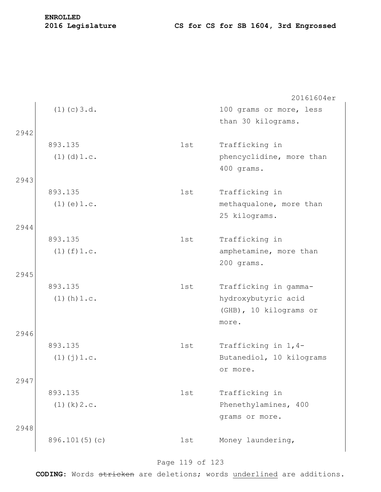|      |                    |     | 20161604er               |
|------|--------------------|-----|--------------------------|
|      | $(1)$ (c) $3.d.$   |     | 100 grams or more, less  |
|      |                    |     | than 30 kilograms.       |
| 2942 |                    |     |                          |
|      | 893.135            | 1st | Trafficking in           |
|      | $(1)$ $(d)$ $1.c.$ |     | phencyclidine, more than |
|      |                    |     | 400 grams.               |
| 2943 |                    |     |                          |
|      | 893.135            | 1st | Trafficking in           |
|      | $(1)$ (e) $1.c.$   |     | methaqualone, more than  |
|      |                    |     | 25 kilograms.            |
| 2944 |                    |     |                          |
|      | 893.135            | 1st | Trafficking in           |
|      | $(1)$ $(f)$ $1.c.$ |     | amphetamine, more than   |
|      |                    |     | 200 grams.               |
| 2945 |                    |     |                          |
|      | 893.135            | 1st | Trafficking in gamma-    |
|      | $(1)$ (h) $1.c.$   |     | hydroxybutyric acid      |
|      |                    |     | (GHB), 10 kilograms or   |
|      |                    |     | more.                    |
| 2946 |                    |     |                          |
|      | 893.135            | 1st | Trafficking in 1,4-      |
|      | $(1)$ $(j)$ $1.c.$ |     | Butanediol, 10 kilograms |
|      |                    |     | or more.                 |
| 2947 |                    |     |                          |
|      | 893.135            | 1st | Trafficking in           |
|      | $(1)$ (k) $2.c.$   |     | Phenethylamines, 400     |
|      |                    |     | grams or more.           |
| 2948 |                    |     |                          |
|      | 896.101(5)(c)      | 1st | Money laundering,        |
|      |                    |     |                          |

# Page 119 of 123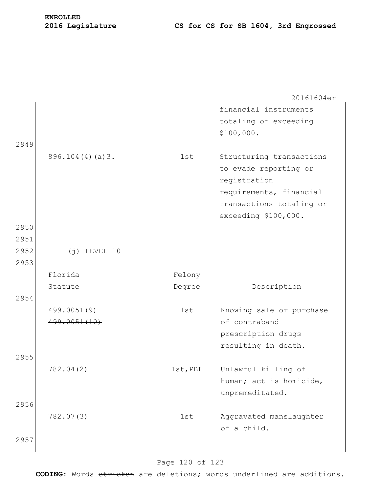|      |                    |               | 20161604er                             |
|------|--------------------|---------------|----------------------------------------|
|      |                    |               | financial instruments                  |
|      |                    |               | totaling or exceeding                  |
|      |                    |               | \$100,000.                             |
| 2949 |                    |               |                                        |
|      | $896.104(4)(a)$ 3. | 1st           | Structuring transactions               |
|      |                    |               | to evade reporting or                  |
|      |                    |               | registration                           |
|      |                    |               | requirements, financial                |
|      |                    |               | transactions totaling or               |
|      |                    |               | exceeding \$100,000.                   |
| 2950 |                    |               |                                        |
| 2951 |                    |               |                                        |
| 2952 | $(i)$ LEVEL 10     |               |                                        |
| 2953 |                    |               |                                        |
|      | Florida            | Felony        |                                        |
|      | Statute            | Degree        | Description                            |
| 2954 |                    |               |                                        |
|      | 499.0051(9)        | 1st           | Knowing sale or purchase               |
|      | 499.0051(10)       |               | of contraband                          |
|      |                    |               | prescription drugs                     |
|      |                    |               | resulting in death.                    |
| 2955 |                    |               |                                        |
|      | 782.04(2)          | $1st$ , $PBL$ | Unlawful killing of                    |
|      |                    |               | human; act is homicide,                |
| 2956 |                    |               | unpremeditated.                        |
|      | 782.07(3)          | 1st           |                                        |
|      |                    |               | Aggravated manslaughter<br>of a child. |
| 2957 |                    |               |                                        |
|      |                    |               |                                        |

### Page 120 of 123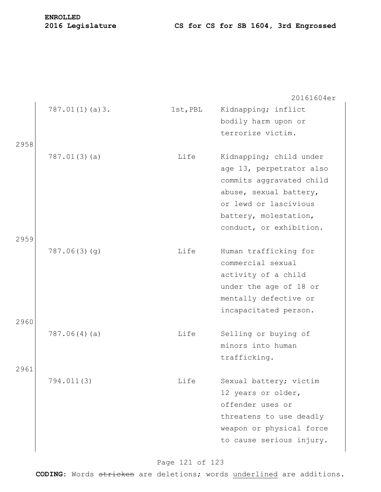|      |                |          | 20161604er               |
|------|----------------|----------|--------------------------|
|      | 787.01(1)(a)3. | 1st, PBL | Kidnapping; inflict      |
|      |                |          | bodily harm upon or      |
|      |                |          | terrorize victim.        |
| 2958 |                |          |                          |
|      | 787.01(3)(a)   | Life     | Kidnapping; child under  |
|      |                |          | age 13, perpetrator also |
|      |                |          | commits aggravated child |
|      |                |          | abuse, sexual battery,   |
|      |                |          | or lewd or lascivious    |
|      |                |          | battery, molestation,    |
|      |                |          | conduct, or exhibition.  |
| 2959 |                |          |                          |
|      | 787.06(3)(q)   | Life     | Human trafficking for    |
|      |                |          | commercial sexual        |
|      |                |          | activity of a child      |
|      |                |          | under the age of 18 or   |
|      |                |          | mentally defective or    |
|      |                |          | incapacitated person.    |
| 2960 |                |          |                          |
|      | 787.06(4)(a)   | Life     | Selling or buying of     |
|      |                |          | minors into human        |
|      |                |          | trafficking.             |
| 2961 |                |          |                          |
|      | 794.011(3)     | Life     | Sexual battery; victim   |
|      |                |          | 12 years or older,       |
|      |                |          | offender uses or         |
|      |                |          | threatens to use deadly  |
|      |                |          | weapon or physical force |
|      |                |          | to cause serious injury. |
|      |                |          |                          |

# Page 121 of 123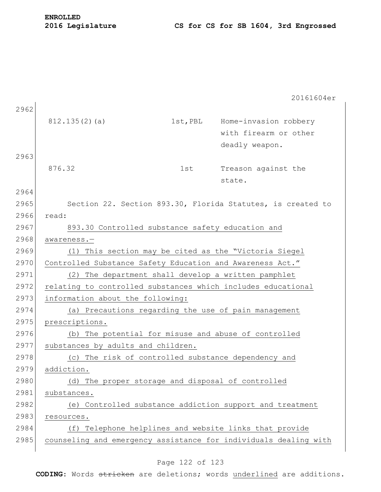2962 812.135(2)(a) 1st, PBL Home-invasion robbery with firearm or other deadly weapon. 2963 876.32 1st Treason against the state. 2964 2965 Section 22. Section 893.30, Florida Statutes, is created to 2966 read: 2967 893.30 Controlled substance safety education and 2968 awareness.— 2969 (1) This section may be cited as the "Victoria Siegel 2970 Controlled Substance Safety Education and Awareness Act." 2971 (2) The department shall develop a written pamphlet 2972 relating to controlled substances which includes educational 2973 information about the following: 2974 (a) Precautions regarding the use of pain management 2975 prescriptions. 2976 (b) The potential for misuse and abuse of controlled 2977 substances by adults and children. 2978 (c) The risk of controlled substance dependency and 2979 addiction. 2980 (d) The proper storage and disposal of controlled 2981 substances. 2982 (e) Controlled substance addiction support and treatment 2983 resources. 2984 (f) Telephone helplines and website links that provide 2985 counseling and emergency assistance for individuals dealing with

### Page 122 of 123